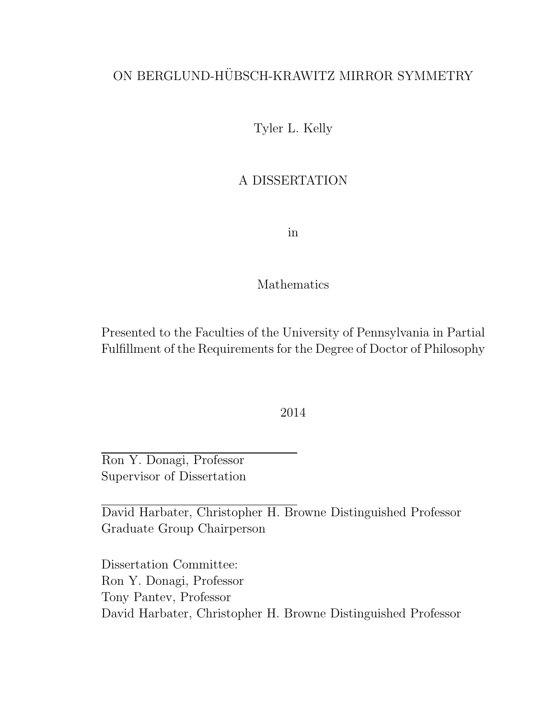## ON BERGLUND-HÜBSCH-KRAWITZ MIRROR SYMMETRY

Tyler L. Kelly

### A DISSERTATION

in

### Mathematics

Presented to the Faculties of the University of Pennsylvania in Partial Fulfillment of the Requirements for the Degree of Doctor of Philosophy

2014

Ron Y. Donagi, Professor Supervisor of Dissertation

David Harbater, Christopher H. Browne Distinguished Professor Graduate Group Chairperson

Dissertation Committee: Ron Y. Donagi, Professor Tony Pantev, Professor David Harbater, Christopher H. Browne Distinguished Professor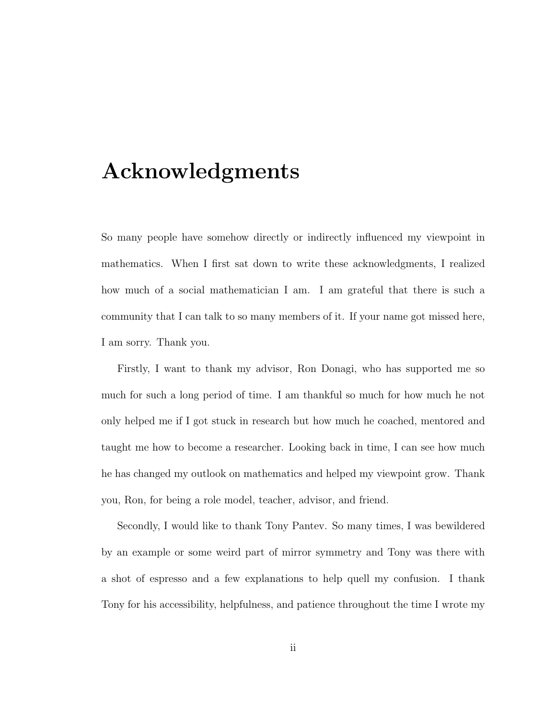## Acknowledgments

So many people have somehow directly or indirectly influenced my viewpoint in mathematics. When I first sat down to write these acknowledgments, I realized how much of a social mathematician I am. I am grateful that there is such a community that I can talk to so many members of it. If your name got missed here, I am sorry. Thank you.

Firstly, I want to thank my advisor, Ron Donagi, who has supported me so much for such a long period of time. I am thankful so much for how much he not only helped me if I got stuck in research but how much he coached, mentored and taught me how to become a researcher. Looking back in time, I can see how much he has changed my outlook on mathematics and helped my viewpoint grow. Thank you, Ron, for being a role model, teacher, advisor, and friend.

Secondly, I would like to thank Tony Pantev. So many times, I was bewildered by an example or some weird part of mirror symmetry and Tony was there with a shot of espresso and a few explanations to help quell my confusion. I thank Tony for his accessibility, helpfulness, and patience throughout the time I wrote my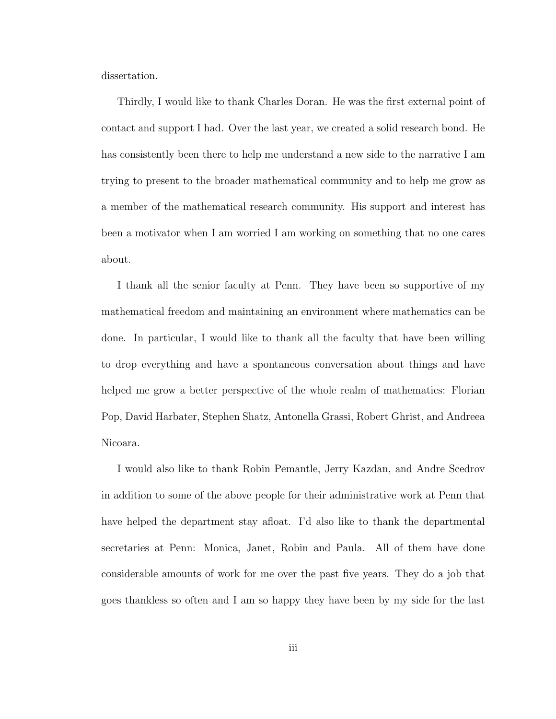dissertation.

Thirdly, I would like to thank Charles Doran. He was the first external point of contact and support I had. Over the last year, we created a solid research bond. He has consistently been there to help me understand a new side to the narrative I am trying to present to the broader mathematical community and to help me grow as a member of the mathematical research community. His support and interest has been a motivator when I am worried I am working on something that no one cares about.

I thank all the senior faculty at Penn. They have been so supportive of my mathematical freedom and maintaining an environment where mathematics can be done. In particular, I would like to thank all the faculty that have been willing to drop everything and have a spontaneous conversation about things and have helped me grow a better perspective of the whole realm of mathematics: Florian Pop, David Harbater, Stephen Shatz, Antonella Grassi, Robert Ghrist, and Andreea Nicoara.

I would also like to thank Robin Pemantle, Jerry Kazdan, and Andre Scedrov in addition to some of the above people for their administrative work at Penn that have helped the department stay afloat. I'd also like to thank the departmental secretaries at Penn: Monica, Janet, Robin and Paula. All of them have done considerable amounts of work for me over the past five years. They do a job that goes thankless so often and I am so happy they have been by my side for the last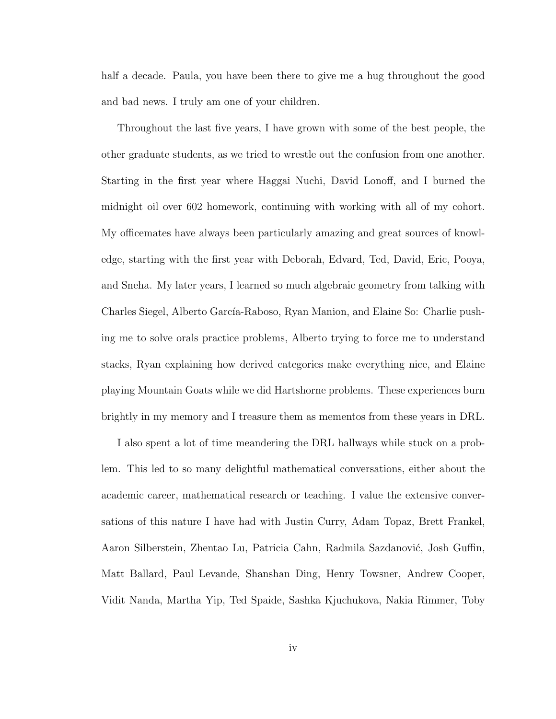half a decade. Paula, you have been there to give me a hug throughout the good and bad news. I truly am one of your children.

Throughout the last five years, I have grown with some of the best people, the other graduate students, as we tried to wrestle out the confusion from one another. Starting in the first year where Haggai Nuchi, David Lonoff, and I burned the midnight oil over 602 homework, continuing with working with all of my cohort. My officemates have always been particularly amazing and great sources of knowledge, starting with the first year with Deborah, Edvard, Ted, David, Eric, Pooya, and Sneha. My later years, I learned so much algebraic geometry from talking with Charles Siegel, Alberto García-Raboso, Ryan Manion, and Elaine So: Charlie pushing me to solve orals practice problems, Alberto trying to force me to understand stacks, Ryan explaining how derived categories make everything nice, and Elaine playing Mountain Goats while we did Hartshorne problems. These experiences burn brightly in my memory and I treasure them as mementos from these years in DRL.

I also spent a lot of time meandering the DRL hallways while stuck on a problem. This led to so many delightful mathematical conversations, either about the academic career, mathematical research or teaching. I value the extensive conversations of this nature I have had with Justin Curry, Adam Topaz, Brett Frankel, Aaron Silberstein, Zhentao Lu, Patricia Cahn, Radmila Sazdanović, Josh Guffin, Matt Ballard, Paul Levande, Shanshan Ding, Henry Towsner, Andrew Cooper, Vidit Nanda, Martha Yip, Ted Spaide, Sashka Kjuchukova, Nakia Rimmer, Toby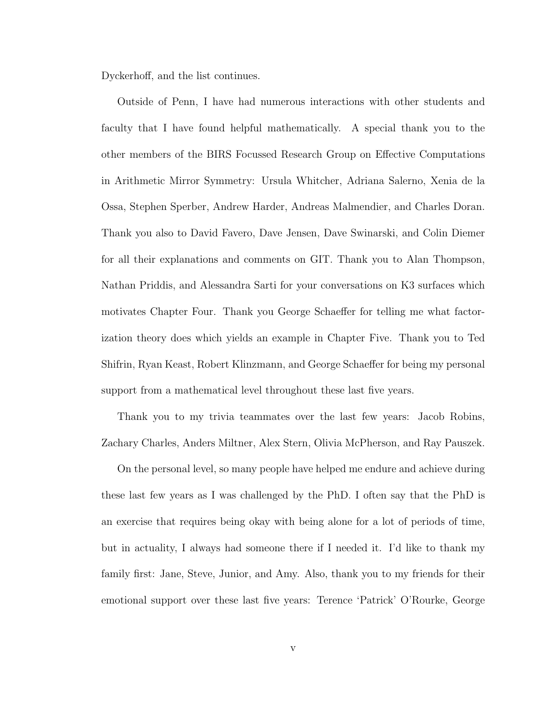Dyckerhoff, and the list continues.

Outside of Penn, I have had numerous interactions with other students and faculty that I have found helpful mathematically. A special thank you to the other members of the BIRS Focussed Research Group on Effective Computations in Arithmetic Mirror Symmetry: Ursula Whitcher, Adriana Salerno, Xenia de la Ossa, Stephen Sperber, Andrew Harder, Andreas Malmendier, and Charles Doran. Thank you also to David Favero, Dave Jensen, Dave Swinarski, and Colin Diemer for all their explanations and comments on GIT. Thank you to Alan Thompson, Nathan Priddis, and Alessandra Sarti for your conversations on K3 surfaces which motivates Chapter Four. Thank you George Schaeffer for telling me what factorization theory does which yields an example in Chapter Five. Thank you to Ted Shifrin, Ryan Keast, Robert Klinzmann, and George Schaeffer for being my personal support from a mathematical level throughout these last five years.

Thank you to my trivia teammates over the last few years: Jacob Robins, Zachary Charles, Anders Miltner, Alex Stern, Olivia McPherson, and Ray Pauszek.

On the personal level, so many people have helped me endure and achieve during these last few years as I was challenged by the PhD. I often say that the PhD is an exercise that requires being okay with being alone for a lot of periods of time, but in actuality, I always had someone there if I needed it. I'd like to thank my family first: Jane, Steve, Junior, and Amy. Also, thank you to my friends for their emotional support over these last five years: Terence 'Patrick' O'Rourke, George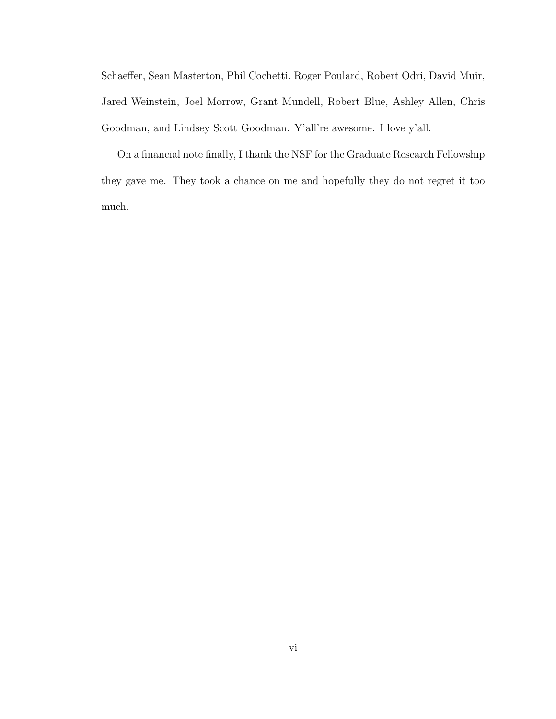Schaeffer, Sean Masterton, Phil Cochetti, Roger Poulard, Robert Odri, David Muir, Jared Weinstein, Joel Morrow, Grant Mundell, Robert Blue, Ashley Allen, Chris Goodman, and Lindsey Scott Goodman. Y'all're awesome. I love y'all.

On a financial note finally, I thank the NSF for the Graduate Research Fellowship they gave me. They took a chance on me and hopefully they do not regret it too much.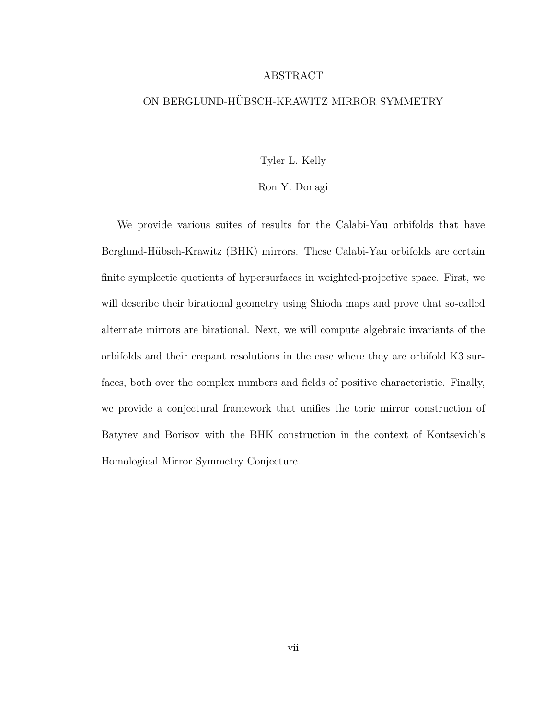#### ABSTRACT

### ON BERGLUND-HÜBSCH-KRAWITZ MIRROR SYMMETRY

#### Tyler L. Kelly

#### Ron Y. Donagi

We provide various suites of results for the Calabi-Yau orbifolds that have Berglund-Hübsch-Krawitz (BHK) mirrors. These Calabi-Yau orbifolds are certain finite symplectic quotients of hypersurfaces in weighted-projective space. First, we will describe their birational geometry using Shioda maps and prove that so-called alternate mirrors are birational. Next, we will compute algebraic invariants of the orbifolds and their crepant resolutions in the case where they are orbifold K3 surfaces, both over the complex numbers and fields of positive characteristic. Finally, we provide a conjectural framework that unifies the toric mirror construction of Batyrev and Borisov with the BHK construction in the context of Kontsevich's Homological Mirror Symmetry Conjecture.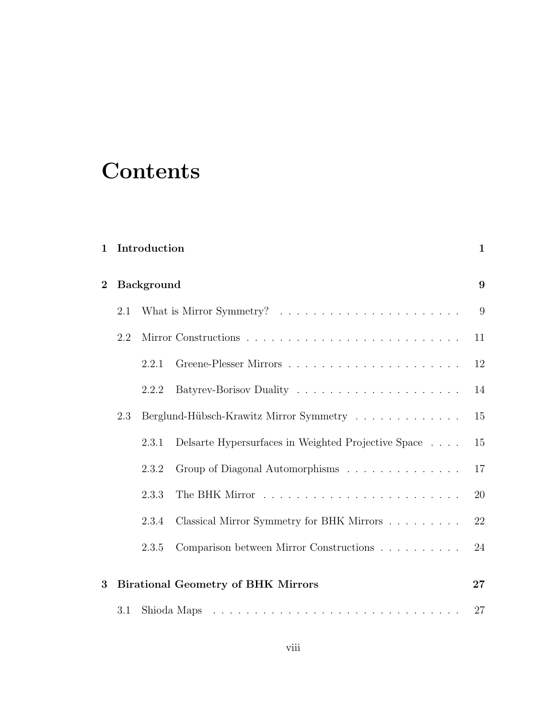# **Contents**

| $\mathbf{1}$   | Introduction      |                                           | $\mathbf{1}$                                        |    |
|----------------|-------------------|-------------------------------------------|-----------------------------------------------------|----|
| $\overline{2}$ | <b>Background</b> |                                           |                                                     | 9  |
|                | 2.1               |                                           |                                                     | 9  |
|                | 2.2               |                                           |                                                     | 11 |
|                |                   | 2.2.1                                     |                                                     | 12 |
|                |                   | 2.2.2                                     |                                                     | 14 |
|                | 2.3               | Berglund-Hübsch-Krawitz Mirror Symmetry   |                                                     | 15 |
|                |                   | 2.3.1                                     | Delsarte Hypersurfaces in Weighted Projective Space | 15 |
|                |                   | 2.3.2                                     | Group of Diagonal Automorphisms                     | 17 |
|                |                   | 2.3.3                                     |                                                     | 20 |
|                |                   | 2.3.4                                     | Classical Mirror Symmetry for BHK Mirrors           | 22 |
|                |                   | 2.3.5                                     | Comparison between Mirror Constructions             | 24 |
| 3              |                   |                                           |                                                     | 27 |
|                |                   | <b>Birational Geometry of BHK Mirrors</b> |                                                     |    |
|                | $3.1\,$           |                                           |                                                     | 27 |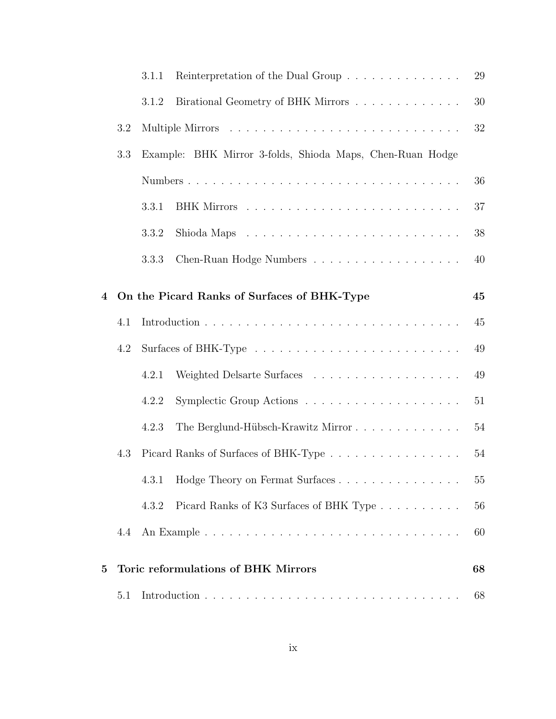|          |       | Reinterpretation of the Dual Group<br>3.1.1               |                                                                                 | 29     |
|----------|-------|-----------------------------------------------------------|---------------------------------------------------------------------------------|--------|
|          | 3.1.2 |                                                           | Birational Geometry of BHK Mirrors                                              | 30     |
|          | 3.2   |                                                           |                                                                                 | 32     |
|          | 3.3   | Example: BHK Mirror 3-folds, Shioda Maps, Chen-Ruan Hodge |                                                                                 |        |
|          |       |                                                           |                                                                                 | 36     |
|          |       | 3.3.1                                                     |                                                                                 | 37     |
|          |       | 3.3.2                                                     | Shioda Maps $\dots \dots \dots \dots \dots \dots \dots \dots \dots \dots \dots$ | 38     |
|          |       | 3.3.3                                                     |                                                                                 | 40     |
| 4        |       |                                                           | On the Picard Ranks of Surfaces of BHK-Type                                     | 45     |
|          | 4.1   |                                                           |                                                                                 | 45     |
|          | 4.2   |                                                           |                                                                                 | 49     |
|          |       | 4.2.1                                                     |                                                                                 | 49     |
|          |       | 4.2.2                                                     |                                                                                 | 51     |
|          |       | 4.2.3                                                     | The Berglund-Hübsch-Krawitz Mirror                                              | $54\,$ |
|          | 4.3   |                                                           | Picard Ranks of Surfaces of BHK-Type                                            | $54\,$ |
|          |       |                                                           | 4.3.1 Hodge Theory on Fermat Surfaces                                           | $55\,$ |
|          |       | 4.3.2                                                     | Picard Ranks of K3 Surfaces of BHK Type                                         | 56     |
|          | 4.4   |                                                           |                                                                                 | 60     |
|          |       |                                                           |                                                                                 |        |
| $\bf{5}$ |       | Toric reformulations of BHK Mirrors                       |                                                                                 | 68     |
|          | 5.1   |                                                           |                                                                                 | 68     |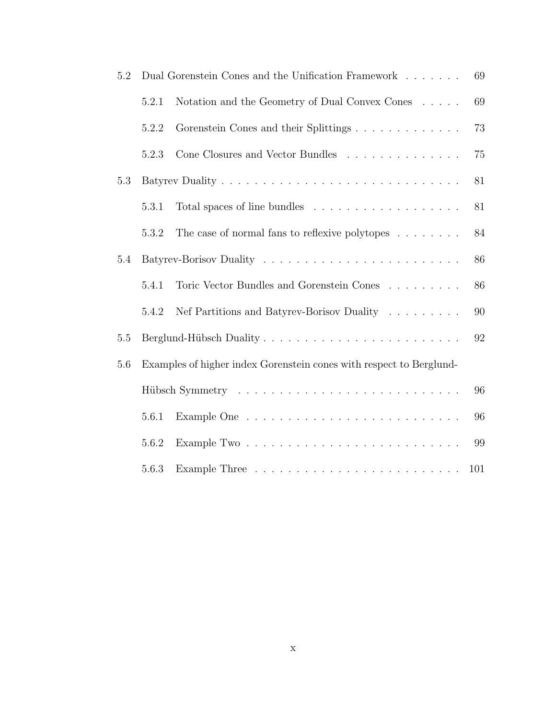| 5.2 | Dual Gorenstein Cones and the Unification Framework<br>69           |                                                                  |     |
|-----|---------------------------------------------------------------------|------------------------------------------------------------------|-----|
|     | 5.2.1                                                               | Notation and the Geometry of Dual Convex Cones                   | 69  |
|     | 5.2.2                                                               | Gorenstein Cones and their Splittings                            | 73  |
|     | 5.2.3                                                               | Cone Closures and Vector Bundles                                 | 75  |
| 5.3 |                                                                     |                                                                  | 81  |
|     | 5.3.1                                                               |                                                                  | 81  |
|     | 5.3.2                                                               | The case of normal fans to reflexive polytopes $\dots \dots$     | 84  |
| 5.4 |                                                                     |                                                                  | 86  |
|     | 5.4.1                                                               | Toric Vector Bundles and Gorenstein Cones $\ldots \ldots \ldots$ | 86  |
|     | 5.4.2                                                               | Nef Partitions and Batyrev-Borisov Duality                       | 90  |
| 5.5 | Berglund-Hübsch Duality                                             |                                                                  | 92  |
| 5.6 | Examples of higher index Gorenstein cones with respect to Berglund- |                                                                  |     |
|     | 96                                                                  |                                                                  |     |
|     | 5.6.1                                                               |                                                                  | 96  |
|     | 5.6.2                                                               |                                                                  | 99  |
|     | 5.6.3                                                               |                                                                  | 101 |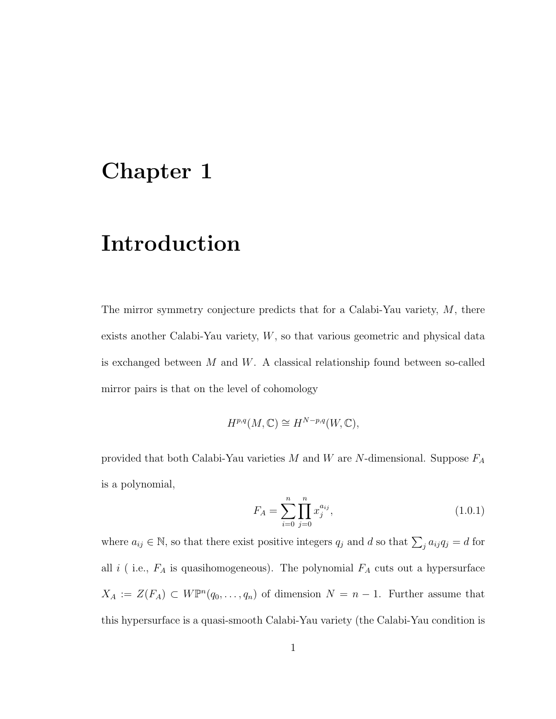## Chapter 1

## Introduction

The mirror symmetry conjecture predicts that for a Calabi-Yau variety,  $M$ , there exists another Calabi-Yau variety, W, so that various geometric and physical data is exchanged between  $M$  and  $W$ . A classical relationship found between so-called mirror pairs is that on the level of cohomology

$$
H^{p,q}(M,\mathbb{C}) \cong H^{N-p,q}(W,\mathbb{C}),
$$

provided that both Calabi-Yau varieties  $M$  and  $W$  are  $N$ -dimensional. Suppose  $F_A$ is a polynomial,

$$
F_A = \sum_{i=0}^{n} \prod_{j=0}^{n} x_j^{a_{ij}},
$$
\n(1.0.1)

where  $a_{ij} \in \mathbb{N}$ , so that there exist positive integers  $q_j$  and d so that  $\sum_j a_{ij}q_j = d$  for all  $i$  ( i.e.,  $F_A$  is quasihomogeneous). The polynomial  $F_A$  cuts out a hypersurface  $X_A := Z(F_A) \subset W\mathbb{P}^n(q_0,\ldots,q_n)$  of dimension  $N = n - 1$ . Further assume that this hypersurface is a quasi-smooth Calabi-Yau variety (the Calabi-Yau condition is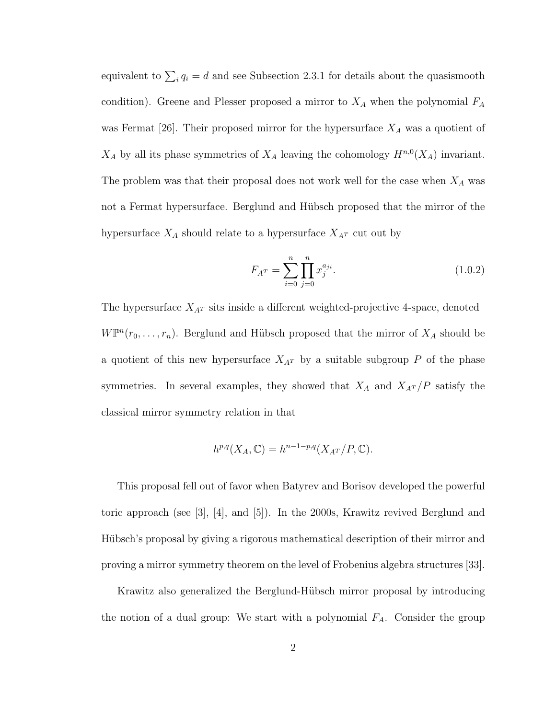equivalent to  $\sum_i q_i = d$  and see Subsection 2.3.1 for details about the quasismooth condition). Greene and Plesser proposed a mirror to  $X_A$  when the polynomial  $F_A$ was Fermat [26]. Their proposed mirror for the hypersurface  $X_A$  was a quotient of  $X_A$  by all its phase symmetries of  $X_A$  leaving the cohomology  $H^{n,0}(X_A)$  invariant. The problem was that their proposal does not work well for the case when  $X_A$  was not a Fermat hypersurface. Berglund and Hübsch proposed that the mirror of the hypersurface  $X_A$  should relate to a hypersurface  $X_{A<sup>T</sup>}$  cut out by

$$
F_{A^T} = \sum_{i=0}^{n} \prod_{j=0}^{n} x_j^{a_{ji}}.
$$
 (1.0.2)

The hypersurface  $X_{A^T}$  sits inside a different weighted-projective 4-space, denoted  $W\mathbb{P}^{n}(r_{0},...,r_{n})$ . Berglund and Hübsch proposed that the mirror of  $X_{A}$  should be a quotient of this new hypersurface  $X_{A^T}$  by a suitable subgroup P of the phase symmetries. In several examples, they showed that  $X_A$  and  $X_{A}T/P$  satisfy the classical mirror symmetry relation in that

$$
h^{p,q}(X_A,\mathbb{C}) = h^{n-1-p,q}(X_{A^T}/P,\mathbb{C}).
$$

This proposal fell out of favor when Batyrev and Borisov developed the powerful toric approach (see [3], [4], and [5]). In the 2000s, Krawitz revived Berglund and Hübsch's proposal by giving a rigorous mathematical description of their mirror and proving a mirror symmetry theorem on the level of Frobenius algebra structures [33].

Krawitz also generalized the Berglund-Hübsch mirror proposal by introducing the notion of a dual group: We start with a polynomial  $F_A$ . Consider the group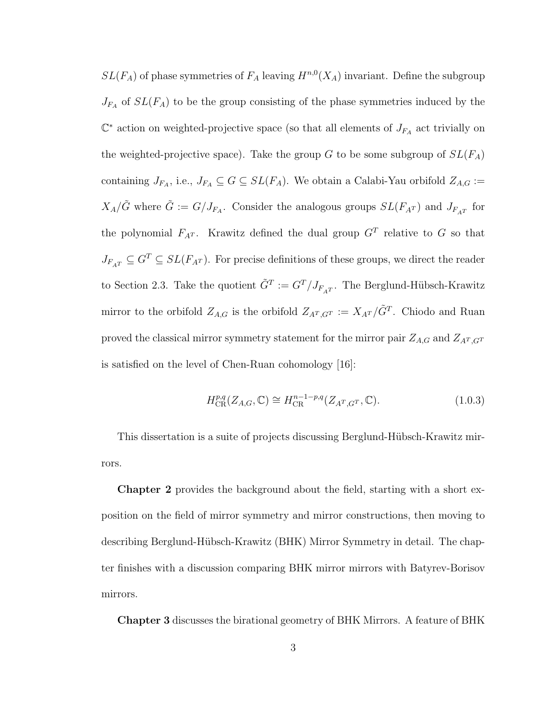$SL(F_A)$  of phase symmetries of  $F_A$  leaving  $H^{n,0}(X_A)$  invariant. Define the subgroup  $J_{F_A}$  of  $SL(F_A)$  to be the group consisting of the phase symmetries induced by the  $\mathbb{C}^*$  action on weighted-projective space (so that all elements of  $J_{FA}$  act trivially on the weighted-projective space). Take the group G to be some subgroup of  $SL(F_A)$ containing  $J_{F_A}$ , i.e.,  $J_{F_A} \subseteq G \subseteq SL(F_A)$ . We obtain a Calabi-Yau orbifold  $Z_{A,G} :=$  $X_A/\tilde{G}$  where  $\tilde{G} := G/J_{F_A}$ . Consider the analogous groups  $SL(F_{A^T})$  and  $J_{F_{A^T}}$  for the polynomial  $F_{A^T}$ . Krawitz defined the dual group  $G^T$  relative to G so that  $J_{F_{A}T} \subseteq G^{T} \subseteq SL(F_{A}T)$ . For precise definitions of these groups, we direct the reader to Section 2.3. Take the quotient  $\tilde{G}^T := G^T/J_{F_AT}$ . The Berglund-Hübsch-Krawitz mirror to the orbifold  $Z_{A,G}$  is the orbifold  $Z_{A^T,G^T} := X_{A^T}/\tilde{G}^T$ . Chiodo and Ruan proved the classical mirror symmetry statement for the mirror pair  $Z_{A,G}$  and  $Z_{A<sup>T</sup>,G<sup>T</sup>}$ is satisfied on the level of Chen-Ruan cohomology [16]:

$$
H_{\text{CR}}^{p,q}(Z_{A,G}, \mathbb{C}) \cong H_{\text{CR}}^{n-1-p,q}(Z_{A^T,G^T}, \mathbb{C}).
$$
\n(1.0.3)

This dissertation is a suite of projects discussing Berglund-H¨ubsch-Krawitz mirrors.

Chapter 2 provides the background about the field, starting with a short exposition on the field of mirror symmetry and mirror constructions, then moving to describing Berglund-Hübsch-Krawitz (BHK) Mirror Symmetry in detail. The chapter finishes with a discussion comparing BHK mirror mirrors with Batyrev-Borisov mirrors.

Chapter 3 discusses the birational geometry of BHK Mirrors. A feature of BHK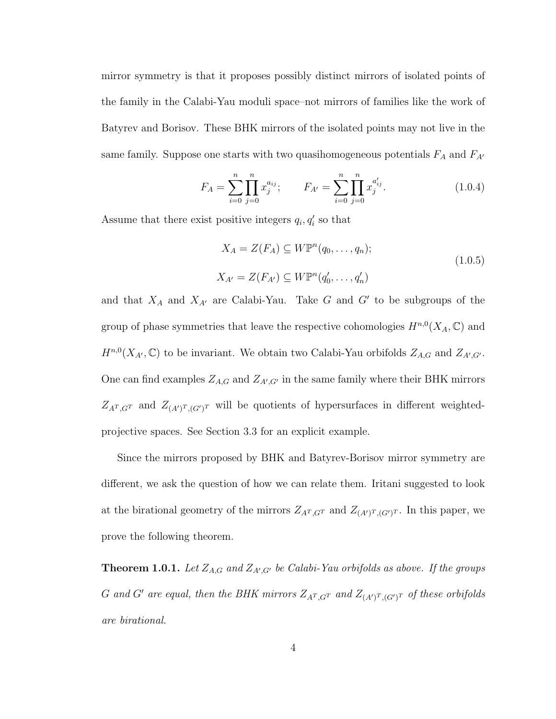mirror symmetry is that it proposes possibly distinct mirrors of isolated points of the family in the Calabi-Yau moduli space–not mirrors of families like the work of Batyrev and Borisov. These BHK mirrors of the isolated points may not live in the same family. Suppose one starts with two quasihomogeneous potentials  $F_A$  and  $F_{A'}$ 

$$
F_A = \sum_{i=0}^{n} \prod_{j=0}^{n} x_j^{a_{ij}}; \qquad F_{A'} = \sum_{i=0}^{n} \prod_{j=0}^{n} x_j^{a'_{ij}}.
$$
 (1.0.4)

Assume that there exist positive integers  $q_i, q'_i$  so that

$$
X_A = Z(F_A) \subseteq W\mathbb{P}^n(q_0, \dots, q_n);
$$
  
\n
$$
X_{A'} = Z(F_{A'}) \subseteq W\mathbb{P}^n(q'_0, \dots, q'_n)
$$
\n(1.0.5)

and that  $X_A$  and  $X_{A'}$  are Calabi-Yau. Take G and G' to be subgroups of the group of phase symmetries that leave the respective cohomologies  $H^{n,0}(X_A,\mathbb{C})$  and  $H^{n,0}(X_{A},\mathbb{C})$  to be invariant. We obtain two Calabi-Yau orbifolds  $Z_{A,G}$  and  $Z_{A',G'}$ . One can find examples  $Z_{A,G}$  and  $Z_{A',G'}$  in the same family where their BHK mirrors  $Z_{A^T,G^T}$  and  $Z_{(A')^T,(G')^T}$  will be quotients of hypersurfaces in different weightedprojective spaces. See Section 3.3 for an explicit example.

Since the mirrors proposed by BHK and Batyrev-Borisov mirror symmetry are different, we ask the question of how we can relate them. Iritani suggested to look at the birational geometry of the mirrors  $Z_{A^T,G^T}$  and  $Z_{(A')^T,(G')^T}$ . In this paper, we prove the following theorem.

**Theorem 1.0.1.** Let  $Z_{A,G}$  and  $Z_{A',G'}$  be Calabi-Yau orbifolds as above. If the groups G and G' are equal, then the BHK mirrors  $Z_{A^T,G^T}$  and  $Z_{(A')^T,(G')^T}$  of these orbifolds are birational.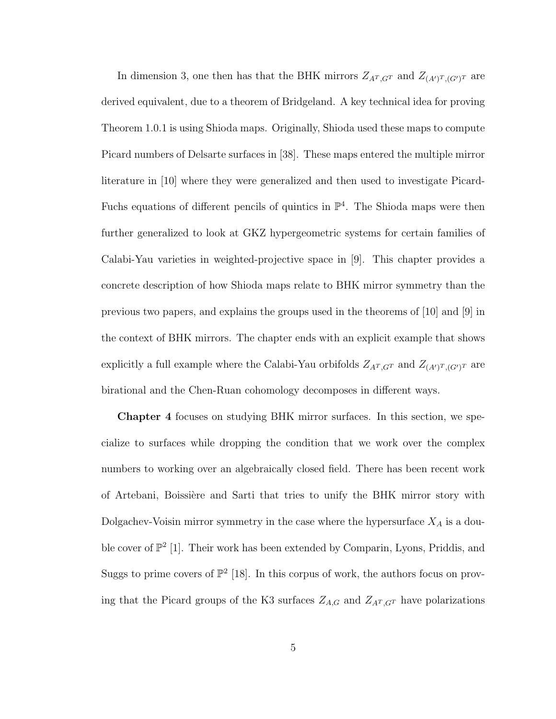In dimension 3, one then has that the BHK mirrors  $Z_{A^T,G^T}$  and  $Z_{(A')^T,(G')^T}$  are derived equivalent, due to a theorem of Bridgeland. A key technical idea for proving Theorem 1.0.1 is using Shioda maps. Originally, Shioda used these maps to compute Picard numbers of Delsarte surfaces in [38]. These maps entered the multiple mirror literature in [10] where they were generalized and then used to investigate Picard-Fuchs equations of different pencils of quintics in  $\mathbb{P}^4$ . The Shioda maps were then further generalized to look at GKZ hypergeometric systems for certain families of Calabi-Yau varieties in weighted-projective space in [9]. This chapter provides a concrete description of how Shioda maps relate to BHK mirror symmetry than the previous two papers, and explains the groups used in the theorems of [10] and [9] in the context of BHK mirrors. The chapter ends with an explicit example that shows explicitly a full example where the Calabi-Yau orbifolds  $Z_{A^T,G^T}$  and  $Z_{(A')^T,(G')^T}$  are birational and the Chen-Ruan cohomology decomposes in different ways.

Chapter 4 focuses on studying BHK mirror surfaces. In this section, we specialize to surfaces while dropping the condition that we work over the complex numbers to working over an algebraically closed field. There has been recent work of Artebani, Boissière and Sarti that tries to unify the BHK mirror story with Dolgachev-Voisin mirror symmetry in the case where the hypersurface  $X_A$  is a double cover of  $\mathbb{P}^2$  [1]. Their work has been extended by Comparin, Lyons, Priddis, and Suggs to prime covers of  $\mathbb{P}^2$  [18]. In this corpus of work, the authors focus on proving that the Picard groups of the K3 surfaces  $Z_{A,G}$  and  $Z_{A<sup>T</sup>,G<sup>T</sup>}$  have polarizations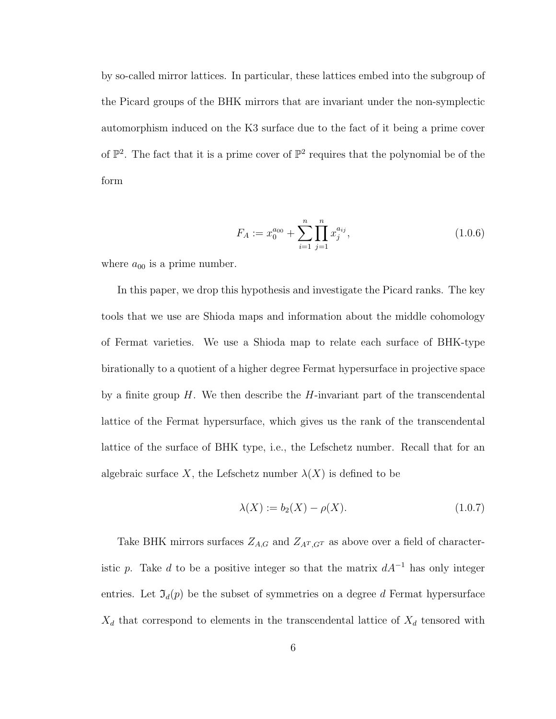by so-called mirror lattices. In particular, these lattices embed into the subgroup of the Picard groups of the BHK mirrors that are invariant under the non-symplectic automorphism induced on the K3 surface due to the fact of it being a prime cover of  $\mathbb{P}^2$ . The fact that it is a prime cover of  $\mathbb{P}^2$  requires that the polynomial be of the form

$$
F_A := x_0^{a_{00}} + \sum_{i=1}^n \prod_{j=1}^n x_j^{a_{ij}}, \qquad (1.0.6)
$$

where  $a_{00}$  is a prime number.

In this paper, we drop this hypothesis and investigate the Picard ranks. The key tools that we use are Shioda maps and information about the middle cohomology of Fermat varieties. We use a Shioda map to relate each surface of BHK-type birationally to a quotient of a higher degree Fermat hypersurface in projective space by a finite group  $H$ . We then describe the  $H$ -invariant part of the transcendental lattice of the Fermat hypersurface, which gives us the rank of the transcendental lattice of the surface of BHK type, i.e., the Lefschetz number. Recall that for an algebraic surface X, the Lefschetz number  $\lambda(X)$  is defined to be

$$
\lambda(X) := b_2(X) - \rho(X). \tag{1.0.7}
$$

Take BHK mirrors surfaces  $Z_{A,G}$  and  $Z_{A^T,G^T}$  as above over a field of characteristic p. Take d to be a positive integer so that the matrix  $dA^{-1}$  has only integer entries. Let  $\mathfrak{I}_d(p)$  be the subset of symmetries on a degree d Fermat hypersurface  $X_d$  that correspond to elements in the transcendental lattice of  $X_d$  tensored with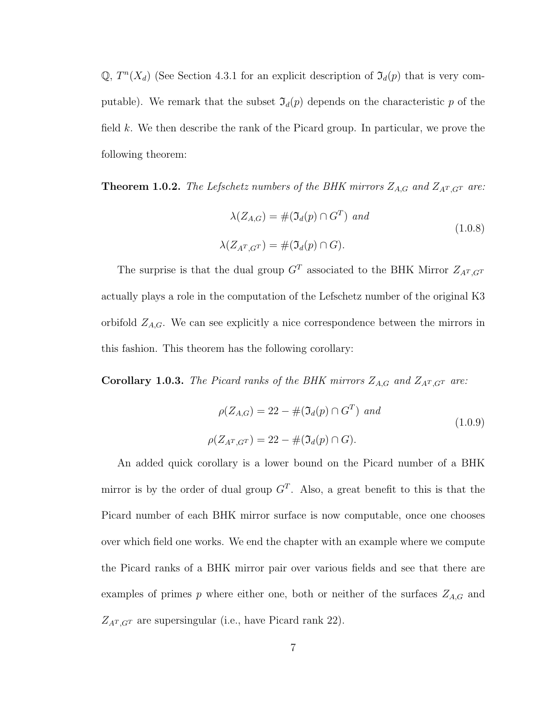Q,  $T^n(X_d)$  (See Section 4.3.1 for an explicit description of  $\mathfrak{I}_d(p)$  that is very computable). We remark that the subset  $\mathfrak{I}_d(p)$  depends on the characteristic p of the field k. We then describe the rank of the Picard group. In particular, we prove the following theorem:

**Theorem 1.0.2.** The Lefschetz numbers of the BHK mirrors  $Z_{A,G}$  and  $Z_{A<sup>T</sup>,G<sup>T</sup>}$  are:

$$
\lambda(Z_{A,G}) = #(\mathfrak{I}_d(p) \cap G^T) \text{ and}
$$
  

$$
\lambda(Z_{A^T,G^T}) = #(\mathfrak{I}_d(p) \cap G).
$$
 (1.0.8)

The surprise is that the dual group  $G<sup>T</sup>$  associated to the BHK Mirror  $Z_{A<sup>T</sup>,G<sup>T</sup>}$ actually plays a role in the computation of the Lefschetz number of the original K3 orbifold  $Z_{A,G}$ . We can see explicitly a nice correspondence between the mirrors in this fashion. This theorem has the following corollary:

**Corollary 1.0.3.** The Picard ranks of the BHK mirrors  $Z_{A,G}$  and  $Z_{A<sup>T</sup>,G<sup>T</sup>}$  are:

$$
\rho(Z_{A,G}) = 22 - #(\Im_d(p) \cap G^T) \text{ and}
$$
  
\n
$$
\rho(Z_{A^T,G^T}) = 22 - #(\Im_d(p) \cap G).
$$
\n(1.0.9)

An added quick corollary is a lower bound on the Picard number of a BHK mirror is by the order of dual group  $G<sup>T</sup>$ . Also, a great benefit to this is that the Picard number of each BHK mirror surface is now computable, once one chooses over which field one works. We end the chapter with an example where we compute the Picard ranks of a BHK mirror pair over various fields and see that there are examples of primes  $p$  where either one, both or neither of the surfaces  $Z_{A,G}$  and  $Z_{A^T,G^T}$  are supersingular (i.e., have Picard rank 22).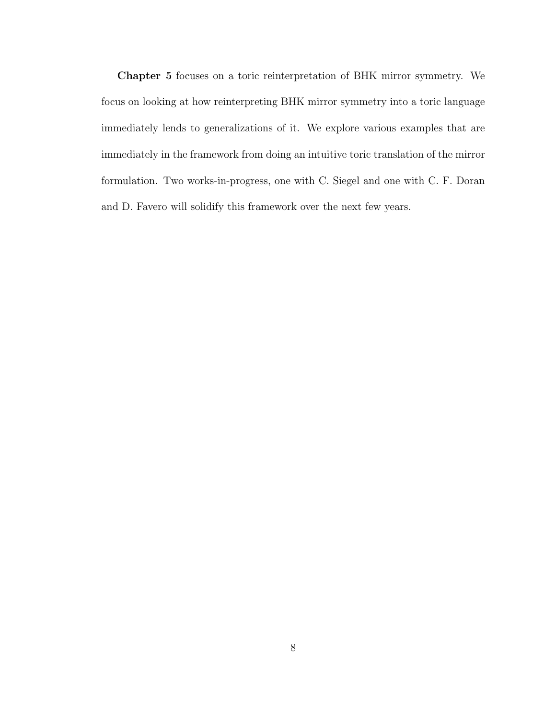Chapter 5 focuses on a toric reinterpretation of BHK mirror symmetry. We focus on looking at how reinterpreting BHK mirror symmetry into a toric language immediately lends to generalizations of it. We explore various examples that are immediately in the framework from doing an intuitive toric translation of the mirror formulation. Two works-in-progress, one with C. Siegel and one with C. F. Doran and D. Favero will solidify this framework over the next few years.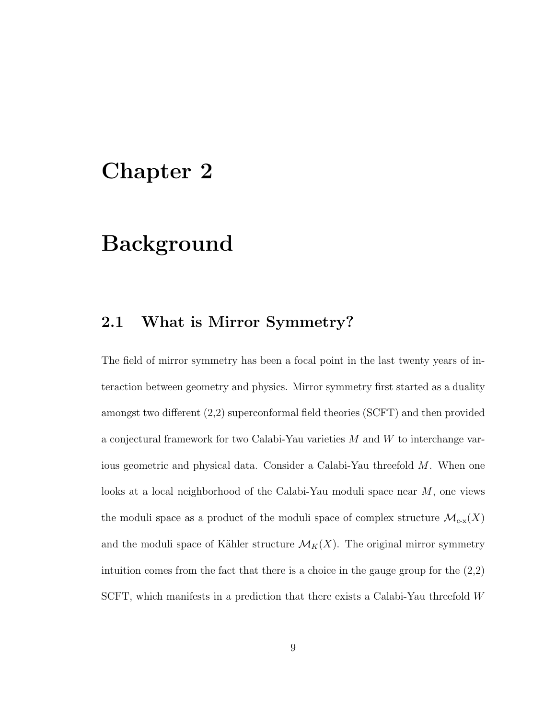## Chapter 2

## Background

### 2.1 What is Mirror Symmetry?

The field of mirror symmetry has been a focal point in the last twenty years of interaction between geometry and physics. Mirror symmetry first started as a duality amongst two different (2,2) superconformal field theories (SCFT) and then provided a conjectural framework for two Calabi-Yau varieties M and W to interchange various geometric and physical data. Consider a Calabi-Yau threefold M. When one looks at a local neighborhood of the Calabi-Yau moduli space near M, one views the moduli space as a product of the moduli space of complex structure  $\mathcal{M}_{\text{c-x}}(X)$ and the moduli space of Kähler structure  $\mathcal{M}_K(X)$ . The original mirror symmetry intuition comes from the fact that there is a choice in the gauge group for the  $(2,2)$ SCFT, which manifests in a prediction that there exists a Calabi-Yau threefold W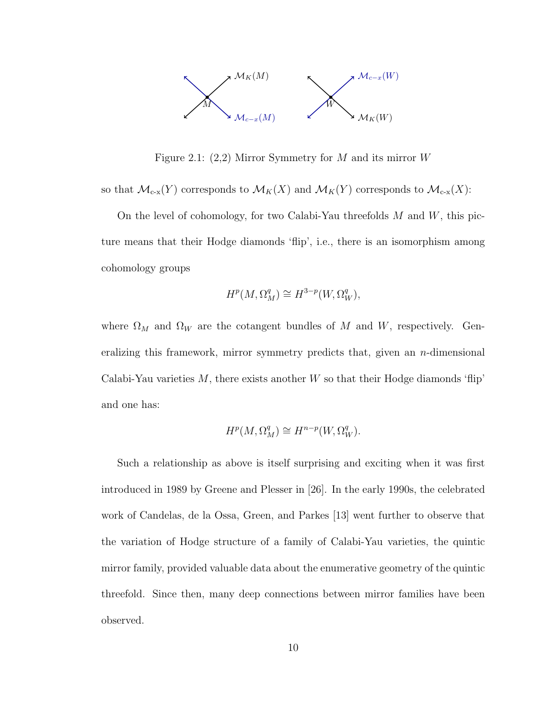

Figure 2.1:  $(2,2)$  Mirror Symmetry for M and its mirror W

so that  $\mathcal{M}_{c-x}(Y)$  corresponds to  $\mathcal{M}_K(X)$  and  $\mathcal{M}_K(Y)$  corresponds to  $\mathcal{M}_{c-x}(X)$ :

On the level of cohomology, for two Calabi-Yau threefolds  $M$  and  $W$ , this picture means that their Hodge diamonds 'flip', i.e., there is an isomorphism among cohomology groups

$$
H^p(M, \Omega_M^q) \cong H^{3-p}(W, \Omega_W^q),
$$

where  $\Omega_M$  and  $\Omega_W$  are the cotangent bundles of M and W, respectively. Generalizing this framework, mirror symmetry predicts that, given an  $n$ -dimensional Calabi-Yau varieties  $M$ , there exists another  $W$  so that their Hodge diamonds 'flip' and one has:

$$
H^p(M, \Omega^q_M) \cong H^{n-p}(W, \Omega^q_W).
$$

Such a relationship as above is itself surprising and exciting when it was first introduced in 1989 by Greene and Plesser in [26]. In the early 1990s, the celebrated work of Candelas, de la Ossa, Green, and Parkes [13] went further to observe that the variation of Hodge structure of a family of Calabi-Yau varieties, the quintic mirror family, provided valuable data about the enumerative geometry of the quintic threefold. Since then, many deep connections between mirror families have been observed.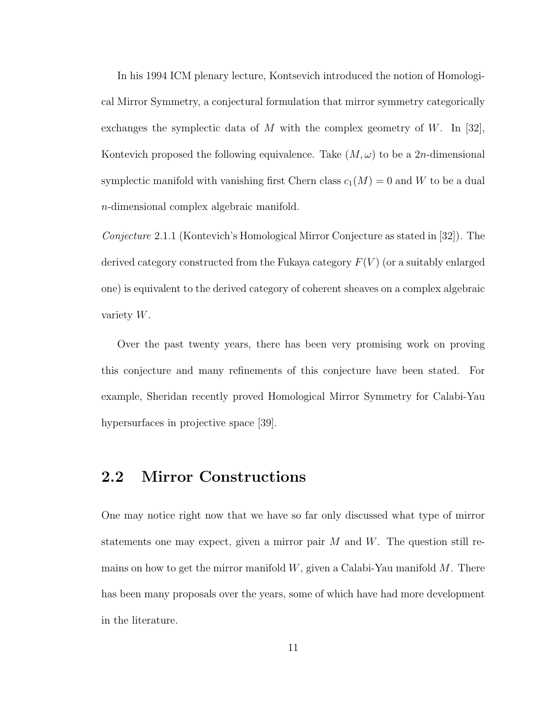In his 1994 ICM plenary lecture, Kontsevich introduced the notion of Homological Mirror Symmetry, a conjectural formulation that mirror symmetry categorically exchanges the symplectic data of M with the complex geometry of W. In [32], Kontevich proposed the following equivalence. Take  $(M, \omega)$  to be a 2n-dimensional symplectic manifold with vanishing first Chern class  $c_1(M) = 0$  and W to be a dual n-dimensional complex algebraic manifold.

Conjecture 2.1.1 (Kontevich's Homological Mirror Conjecture as stated in [32]). The derived category constructed from the Fukaya category  $F(V)$  (or a suitably enlarged one) is equivalent to the derived category of coherent sheaves on a complex algebraic variety W.

Over the past twenty years, there has been very promising work on proving this conjecture and many refinements of this conjecture have been stated. For example, Sheridan recently proved Homological Mirror Symmetry for Calabi-Yau hypersurfaces in projective space [39].

### 2.2 Mirror Constructions

One may notice right now that we have so far only discussed what type of mirror statements one may expect, given a mirror pair  $M$  and  $W$ . The question still remains on how to get the mirror manifold  $W$ , given a Calabi-Yau manifold  $M$ . There has been many proposals over the years, some of which have had more development in the literature.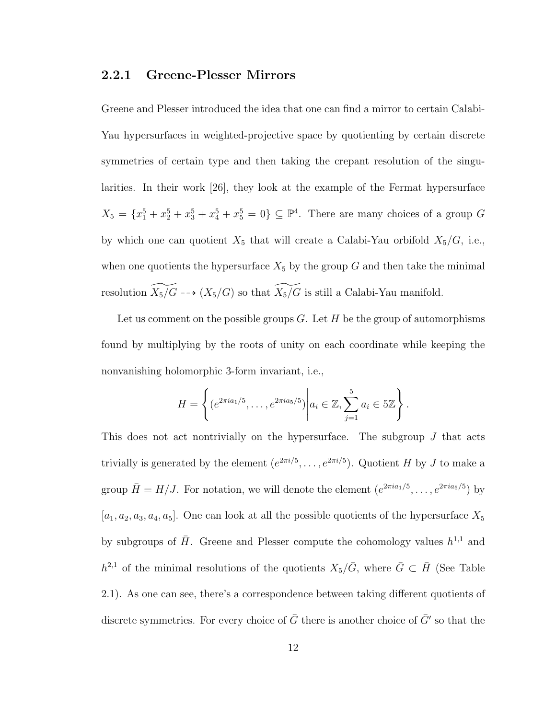#### 2.2.1 Greene-Plesser Mirrors

Greene and Plesser introduced the idea that one can find a mirror to certain Calabi-Yau hypersurfaces in weighted-projective space by quotienting by certain discrete symmetries of certain type and then taking the crepant resolution of the singularities. In their work [26], they look at the example of the Fermat hypersurface  $X_5 = \{x_1^5 + x_2^5 + x_3^5 + x_4^5 + x_5^5 = 0\} \subseteq \mathbb{P}^4$ . There are many choices of a group G by which one can quotient  $X_5$  that will create a Calabi-Yau orbifold  $X_5/G$ , i.e., when one quotients the hypersurface  $X_5$  by the group G and then take the minimal resolution  $\widetilde{X_5/G}$  -- $\rightarrow$   $(X_5/G)$  so that  $\widetilde{X_5/G}$  is still a Calabi-Yau manifold.

Let us comment on the possible groups  $G$ . Let H be the group of automorphisms found by multiplying by the roots of unity on each coordinate while keeping the nonvanishing holomorphic 3-form invariant, i.e.,

$$
H = \left\{ (e^{2\pi i a_1/5}, \dots, e^{2\pi i a_5/5}) \middle| a_i \in \mathbb{Z}, \sum_{j=1}^5 a_i \in 5\mathbb{Z} \right\}.
$$

This does not act nontrivially on the hypersurface. The subgroup  $J$  that acts trivially is generated by the element  $(e^{2\pi i/5}, \ldots, e^{2\pi i/5})$ . Quotient H by J to make a group  $\bar{H} = H/J$ . For notation, we will denote the element  $(e^{2\pi i a_1/5}, \ldots, e^{2\pi i a_5/5})$  by  $[a_1, a_2, a_3, a_4, a_5]$ . One can look at all the possible quotients of the hypersurface  $X_5$ by subgroups of  $\bar{H}$ . Greene and Plesser compute the cohomology values  $h^{1,1}$  and  $h^{2,1}$  of the minimal resolutions of the quotients  $X_5/\bar{G}$ , where  $\bar{G} \subset \bar{H}$  (See Table 2.1). As one can see, there's a correspondence between taking different quotients of discrete symmetries. For every choice of  $\bar{G}$  there is another choice of  $\bar{G}'$  so that the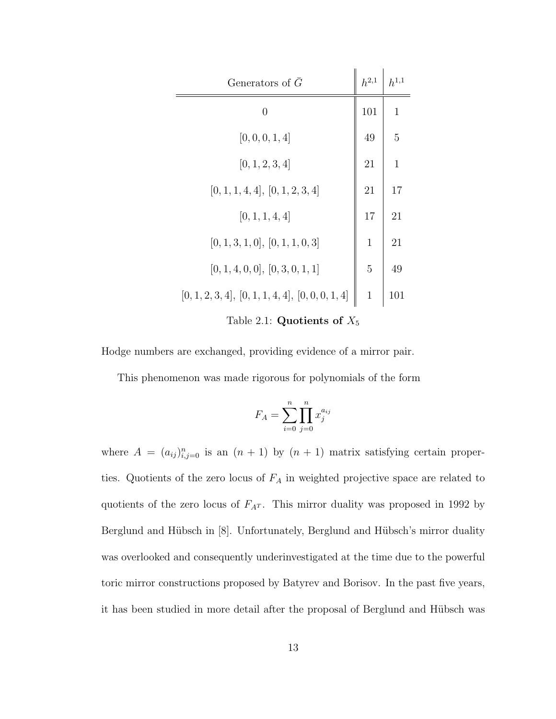| Generators of $\overline{G}$                        |    | $h^{1,1}$       |  |
|-----------------------------------------------------|----|-----------------|--|
| 0                                                   |    | $\mathbf{1}$    |  |
| [0, 0, 0, 1, 4]                                     | 49 | $5\overline{)}$ |  |
| [0, 1, 2, 3, 4]                                     | 21 | $\mathbf{1}$    |  |
| [0, 1, 1, 4, 4], [0, 1, 2, 3, 4]                    | 21 | 17              |  |
| [0, 1, 1, 4, 4]                                     | 17 | 21              |  |
| [0, 1, 3, 1, 0], [0, 1, 1, 0, 3]                    |    | 21              |  |
| [0, 1, 4, 0, 0], [0, 3, 0, 1, 1]                    | 5  | 49              |  |
| $[0, 1, 2, 3, 4], [0, 1, 1, 4, 4], [0, 0, 0, 1, 4]$ |    | 101             |  |
| Table 2.1: Quotients of $X_5$                       |    |                 |  |

Hodge numbers are exchanged, providing evidence of a mirror pair.

This phenomenon was made rigorous for polynomials of the form

$$
F_A = \sum_{i=0}^{n} \prod_{j=0}^{n} x_j^{a_{ij}}
$$

where  $A = (a_{ij})_{i,j=0}^n$  is an  $(n + 1)$  by  $(n + 1)$  matrix satisfying certain properties. Quotients of the zero locus of  $F_A$  in weighted projective space are related to quotients of the zero locus of  $F_{A<sup>T</sup>}$ . This mirror duality was proposed in 1992 by Berglund and Hübsch in [8]. Unfortunately, Berglund and Hübsch's mirror duality was overlooked and consequently underinvestigated at the time due to the powerful toric mirror constructions proposed by Batyrev and Borisov. In the past five years, it has been studied in more detail after the proposal of Berglund and Hübsch was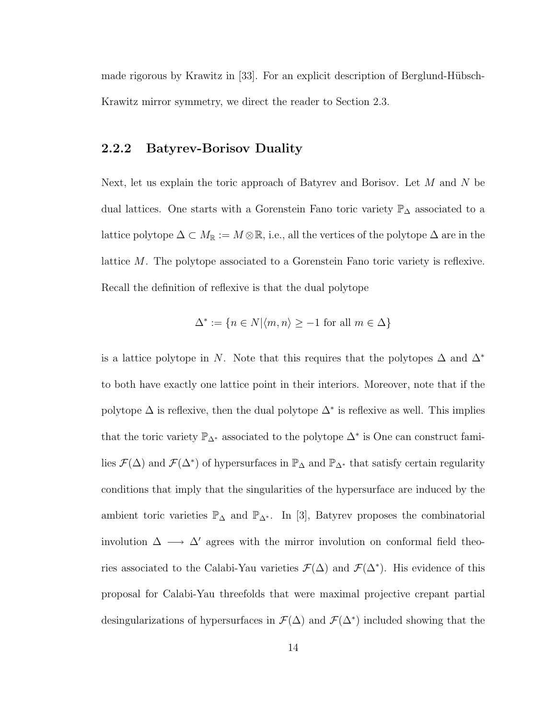made rigorous by Krawitz in  $[33]$ . For an explicit description of Berglund-Hübsch-Krawitz mirror symmetry, we direct the reader to Section 2.3.

### 2.2.2 Batyrev-Borisov Duality

Next, let us explain the toric approach of Batyrev and Borisov. Let  $M$  and  $N$  be dual lattices. One starts with a Gorenstein Fano toric variety P<sup>∆</sup> associated to a lattice polytope  $\Delta \subset M_{\mathbb{R}} := M \otimes \mathbb{R}$ , i.e., all the vertices of the polytope  $\Delta$  are in the lattice M. The polytope associated to a Gorenstein Fano toric variety is reflexive. Recall the definition of reflexive is that the dual polytope

$$
\Delta^* := \{ n \in N | \langle m, n \rangle \ge -1 \text{ for all } m \in \Delta \}
$$

is a lattice polytope in N. Note that this requires that the polytopes  $\Delta$  and  $\Delta^*$ to both have exactly one lattice point in their interiors. Moreover, note that if the polytope  $\Delta$  is reflexive, then the dual polytope  $\Delta^*$  is reflexive as well. This implies that the toric variety  $\mathbb{P}_{\Delta^*}$  associated to the polytope  $\Delta^*$  is One can construct families  $\mathcal{F}(\Delta)$  and  $\mathcal{F}(\Delta^*)$  of hypersurfaces in  $\mathbb{P}_{\Delta}$  and  $\mathbb{P}_{\Delta^*}$  that satisfy certain regularity conditions that imply that the singularities of the hypersurface are induced by the ambient toric varieties  $\mathbb{P}_{\Delta}$  and  $\mathbb{P}_{\Delta^*}$ . In [3], Batyrev proposes the combinatorial involution  $\Delta \longrightarrow \Delta'$  agrees with the mirror involution on conformal field theories associated to the Calabi-Yau varieties  $\mathcal{F}(\Delta)$  and  $\mathcal{F}(\Delta^*)$ . His evidence of this proposal for Calabi-Yau threefolds that were maximal projective crepant partial desingularizations of hypersurfaces in  $\mathcal{F}(\Delta)$  and  $\mathcal{F}(\Delta^*)$  included showing that the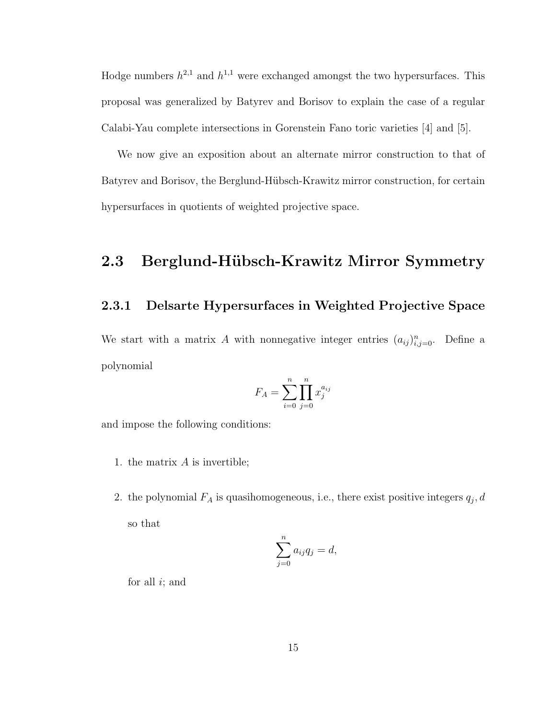Hodge numbers  $h^{2,1}$  and  $h^{1,1}$  were exchanged amongst the two hypersurfaces. This proposal was generalized by Batyrev and Borisov to explain the case of a regular Calabi-Yau complete intersections in Gorenstein Fano toric varieties [4] and [5].

We now give an exposition about an alternate mirror construction to that of Batyrev and Borisov, the Berglund-Hübsch-Krawitz mirror construction, for certain hypersurfaces in quotients of weighted projective space.

### 2.3 Berglund-Hübsch-Krawitz Mirror Symmetry

### 2.3.1 Delsarte Hypersurfaces in Weighted Projective Space

We start with a matrix A with nonnegative integer entries  $(a_{ij})_{i,j=0}^n$ . Define a polynomial

$$
F_A = \sum_{i=0}^{n} \prod_{j=0}^{n} x_j^{a_{ij}}
$$

and impose the following conditions:

- 1. the matrix  $A$  is invertible;
- 2. the polynomial  $F_A$  is quasihomogeneous, i.e., there exist positive integers  $q_j, d$ so that

$$
\sum_{j=0}^{n} a_{ij} q_j = d,
$$

for all  $i$ ; and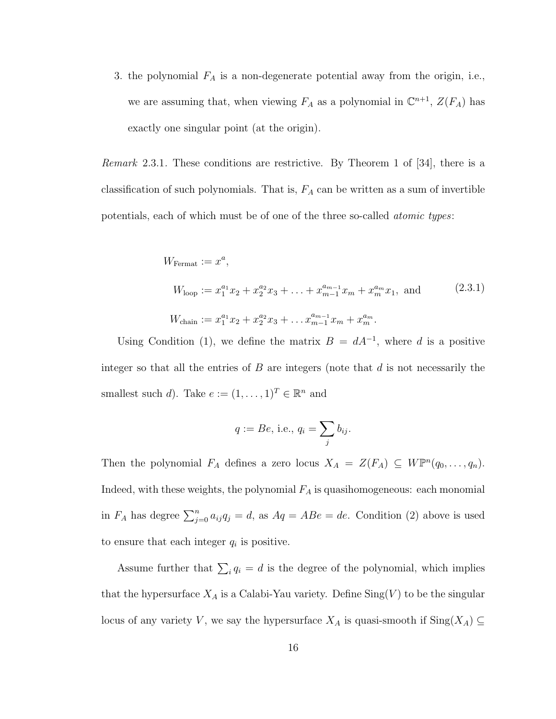3. the polynomial  $F_A$  is a non-degenerate potential away from the origin, i.e., we are assuming that, when viewing  $F_A$  as a polynomial in  $\mathbb{C}^{n+1}$ ,  $Z(F_A)$  has exactly one singular point (at the origin).

Remark 2.3.1. These conditions are restrictive. By Theorem 1 of [34], there is a classification of such polynomials. That is,  $F_A$  can be written as a sum of invertible potentials, each of which must be of one of the three so-called atomic types:

$$
W_{\text{Fermat}} := x^{a},
$$
  
\n
$$
W_{\text{loop}} := x_{1}^{a_{1}} x_{2} + x_{2}^{a_{2}} x_{3} + \dots + x_{m-1}^{a_{m-1}} x_{m} + x_{m}^{a_{m}} x_{1}, \text{ and}
$$
  
\n
$$
W_{\text{chain}} := x_{1}^{a_{1}} x_{2} + x_{2}^{a_{2}} x_{3} + \dots + x_{m-1}^{a_{m-1}} x_{m} + x_{m}^{a_{m}}.
$$
\n(2.3.1)

Using Condition (1), we define the matrix  $B = dA^{-1}$ , where d is a positive integer so that all the entries of  $B$  are integers (note that  $d$  is not necessarily the smallest such d). Take  $e := (1, \ldots, 1)^T \in \mathbb{R}^n$  and

$$
q := Be, \text{ i.e., } q_i = \sum_j b_{ij}.
$$

Then the polynomial  $F_A$  defines a zero locus  $X_A = Z(F_A) \subseteq W\mathbb{P}^n(q_0,\ldots,q_n)$ . Indeed, with these weights, the polynomial  $F_A$  is quasihomogeneous: each monomial in  $F_A$  has degree  $\sum_{j=0}^n a_{ij}q_j = d$ , as  $Aq = ABe = de$ . Condition (2) above is used to ensure that each integer  $q_i$  is positive.

Assume further that  $\sum_i q_i = d$  is the degree of the polynomial, which implies that the hypersurface  $X_A$  is a Calabi-Yau variety. Define  $\text{Sing}(V)$  to be the singular locus of any variety V, we say the hypersurface  $X_A$  is quasi-smooth if  $\text{Sing}(X_A) \subseteq$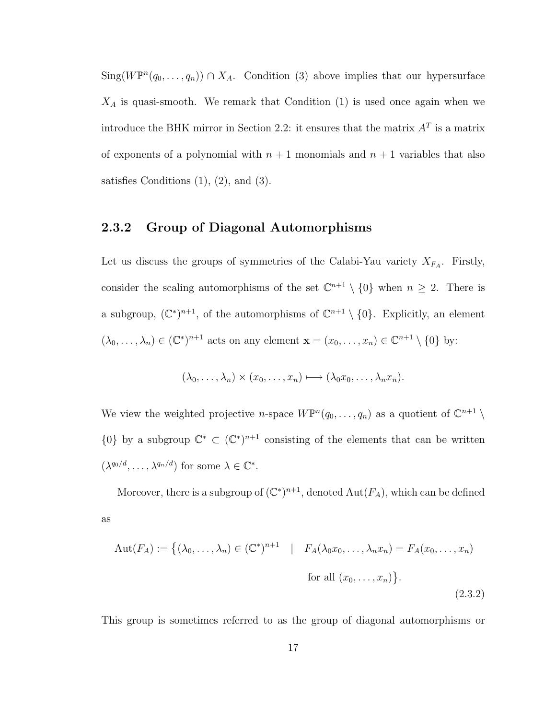Sing( $W\mathbb{P}^n(q_0,\ldots,q_n)$ )  $\cap X_A$ . Condition (3) above implies that our hypersurface  $X_A$  is quasi-smooth. We remark that Condition  $(1)$  is used once again when we introduce the BHK mirror in Section 2.2: it ensures that the matrix  $A<sup>T</sup>$  is a matrix of exponents of a polynomial with  $n + 1$  monomials and  $n + 1$  variables that also satisfies Conditions  $(1)$ ,  $(2)$ , and  $(3)$ .

### 2.3.2 Group of Diagonal Automorphisms

Let us discuss the groups of symmetries of the Calabi-Yau variety  $X_{F_A}$ . Firstly, consider the scaling automorphisms of the set  $\mathbb{C}^{n+1} \setminus \{0\}$  when  $n \geq 2$ . There is a subgroup,  $(\mathbb{C}^*)^{n+1}$ , of the automorphisms of  $\mathbb{C}^{n+1} \setminus \{0\}$ . Explicitly, an element  $(\lambda_0,\ldots,\lambda_n)\in (\mathbb{C}^*)^{n+1}$  acts on any element  $\mathbf{x}=(x_0,\ldots,x_n)\in \mathbb{C}^{n+1}\setminus\{0\}$  by:

$$
(\lambda_0,\ldots,\lambda_n)\times (x_0,\ldots,x_n)\longmapsto (\lambda_0x_0,\ldots,\lambda_nx_n).
$$

We view the weighted projective *n*-space  $W\mathbb{P}^n(q_0,\ldots,q_n)$  as a quotient of  $\mathbb{C}^{n+1}\setminus\mathbb{C}^n$  $\{0\}$  by a subgroup  $\mathbb{C}^* \subset (\mathbb{C}^*)^{n+1}$  consisting of the elements that can be written  $(\lambda^{q_0/d}, \ldots, \lambda^{q_n/d})$  for some  $\lambda \in \mathbb{C}^*$ .

Moreover, there is a subgroup of  $(\mathbb{C}^*)^{n+1}$ , denoted  $\mathrm{Aut}(F_A)$ , which can be defined as

$$
Aut(F_A) := \{ (\lambda_0, \dots, \lambda_n) \in (\mathbb{C}^*)^{n+1} \mid F_A(\lambda_0 x_0, \dots, \lambda_n x_n) = F_A(x_0, \dots, x_n)
$$
  
for all  $(x_0, \dots, x_n)$ .  
(2.3.2)

This group is sometimes referred to as the group of diagonal automorphisms or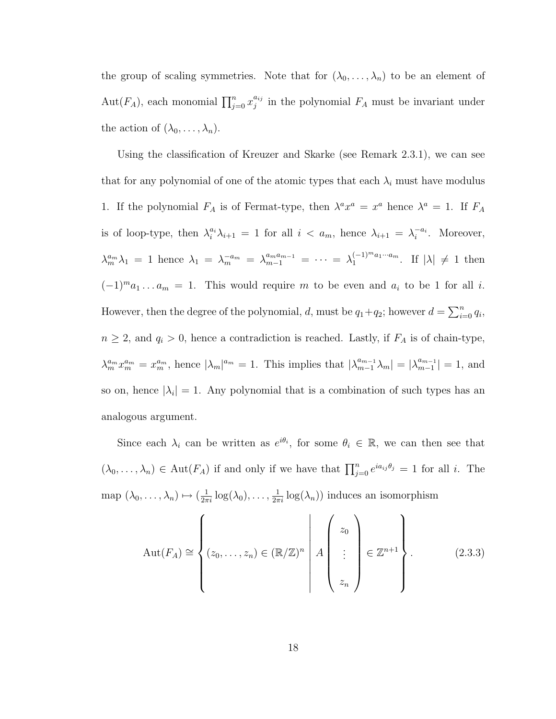the group of scaling symmetries. Note that for  $(\lambda_0, \ldots, \lambda_n)$  to be an element of Aut $(F_A)$ , each monomial  $\prod_{j=0}^n x_j^{a_{ij}}$  $j_j^{a_{ij}}$  in the polynomial  $F_A$  must be invariant under the action of  $(\lambda_0, \ldots, \lambda_n)$ .

Using the classification of Kreuzer and Skarke (see Remark 2.3.1), we can see that for any polynomial of one of the atomic types that each  $\lambda_i$  must have modulus 1. If the polynomial  $F_A$  is of Fermat-type, then  $\lambda^a x^a = x^a$  hence  $\lambda^a = 1$ . If  $F_A$ is of loop-type, then  $\lambda_i^{a_i}\lambda_{i+1} = 1$  for all  $i < a_m$ , hence  $\lambda_{i+1} = \lambda_i^{-a_i}$ . Moreover,  $\lambda_m^{a_m} \lambda_1 = 1$  hence  $\lambda_1 = \lambda_m^{-a_m} = \lambda_{m-1}^{a_m a_{m-1}} = \cdots = \lambda_1^{(-1)^m a_1 \cdots a_m}$  $\begin{array}{ll} (-1)^{m} a_1 \cdots a_m \end{array}$ . If  $|\lambda| \neq 1$  then  $(-1)^{m}a_{1}...a_{m} = 1$ . This would require m to be even and  $a_{i}$  to be 1 for all *i*. However, then the degree of the polynomial, d, must be  $q_1+q_2$ ; however  $d=\sum_{i=0}^n q_i$ ,  $n \geq 2$ , and  $q_i > 0$ , hence a contradiction is reached. Lastly, if  $F_A$  is of chain-type,  $\lambda_m^{a_m} x_m^{a_m} = x_m^{a_m}$ , hence  $|\lambda_m|^{a_m} = 1$ . This implies that  $|\lambda_{m-1}^{a_{m-1}} \lambda_m| = |\lambda_{m-1}^{a_{m-1}} \lambda_m|$  $\binom{a_{m-1}}{m-1} = 1$ , and so on, hence  $|\lambda_i|=1$ . Any polynomial that is a combination of such types has an analogous argument.

Since each  $\lambda_i$  can be written as  $e^{i\theta_i}$ , for some  $\theta_i \in \mathbb{R}$ , we can then see that  $(\lambda_0,\ldots,\lambda_n)\in \text{Aut}(F_A)$  if and only if we have that  $\prod_{j=0}^n e^{ia_{ij}\theta_j}=1$  for all i. The map  $(\lambda_0, \ldots, \lambda_n) \mapsto (\frac{1}{2\pi i} \log(\lambda_0), \ldots, \frac{1}{2\pi i} \log(\lambda_n))$  induces an isomorphism

$$
Aut(F_A) \cong \left\{ (z_0, \ldots, z_n) \in (\mathbb{R}/\mathbb{Z})^n \middle| A \begin{pmatrix} z_0 \\ \vdots \\ z_n \end{pmatrix} \in \mathbb{Z}^{n+1} \right\}.
$$
 (2.3.3)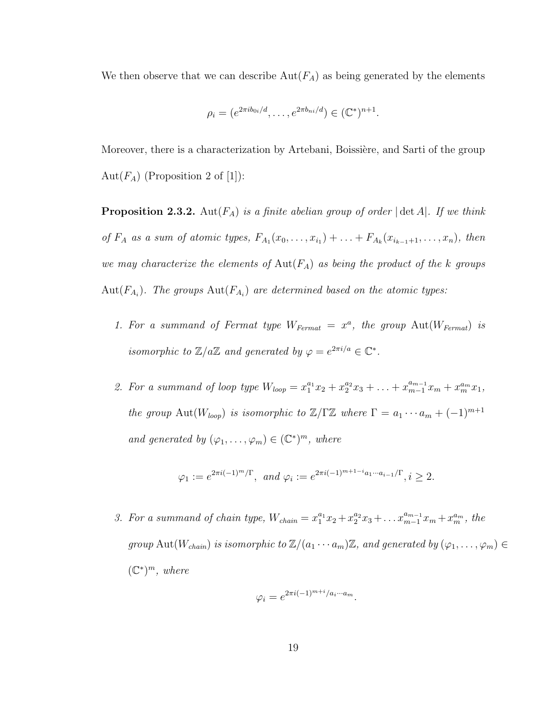We then observe that we can describe  $Aut(F_A)$  as being generated by the elements

$$
\rho_i = (e^{2\pi i b_{0i}/d}, \dots, e^{2\pi b_{ni}/d}) \in (\mathbb{C}^*)^{n+1}.
$$

Moreover, there is a characterization by Artebani, Boissière, and Sarti of the group Aut $(F_A)$  (Proposition 2 of [1]):

**Proposition 2.3.2.** Aut $(F_A)$  is a finite abelian group of order  $|\det A|$ . If we think of  $F_A$  as a sum of atomic types,  $F_{A_1}(x_0,\ldots,x_{i_1}) + \ldots + F_{A_k}(x_{i_{k-1}+1},\ldots,x_n)$ , then we may characterize the elements of  $Aut(F_A)$  as being the product of the k groups  $\mathrm{Aut}(F_{A_i})$ . The groups  $\mathrm{Aut}(F_{A_i})$  are determined based on the atomic types:

- 1. For a summand of Fermat type  $W_{Fermat} = x^a$ , the group  $Aut(W_{Fermat})$  is isomorphic to  $\mathbb{Z}/a\mathbb{Z}$  and generated by  $\varphi = e^{2\pi i/a} \in \mathbb{C}^*$ .
- 2. For a summand of loop type  $W_{loop} = x_1^{a_1}x_2 + x_2^{a_2}x_3 + \ldots + x_{m-1}^{a_{m-1}}x_m + x_m^{a_m}x_1$ , the group Aut( $W_{loop}$ ) is isomorphic to  $\mathbb{Z}/\Gamma\mathbb{Z}$  where  $\Gamma = a_1 \cdots a_m + (-1)^{m+1}$ and generated by  $(\varphi_1, \ldots, \varphi_m) \in (\mathbb{C}^*)^m$ , where

$$
\varphi_1 := e^{2\pi i(-1)^m/\Gamma}, \text{ and } \varphi_i := e^{2\pi i(-1)^{m+1-i}a_1 \cdots a_{i-1}/\Gamma}, i \ge 2.
$$

3. For a summand of chain type,  $W_{chain} = x_1^{a_1}x_2 + x_2^{a_2}x_3 + ... x_{m-1}^{a_{m-1}}x_m + x_m^{a_m}$ , the group Aut $(W_{chain})$  is isomorphic to  $\mathbb{Z}/(a_1 \cdots a_m)\mathbb{Z}$ , and generated by  $(\varphi_1, \ldots, \varphi_m) \in$  $(\mathbb{C}^*)^m$ , where

$$
\varphi_i = e^{2\pi i(-1)^{m+i}/a_i \cdots a_m}.
$$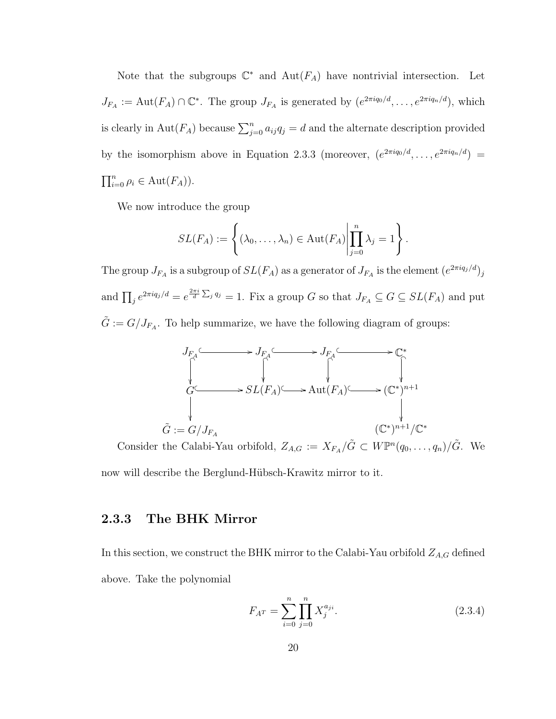Note that the subgroups  $\mathbb{C}^*$  and  $\text{Aut}(F_A)$  have nontrivial intersection. Let  $J_{F_A} := \text{Aut}(F_A) \cap \mathbb{C}^*$ . The group  $J_{F_A}$  is generated by  $(e^{2\pi i q_0/d}, \ldots, e^{2\pi i q_n/d})$ , which is clearly in Aut $(F_A)$  because  $\sum_{j=0}^n a_{ij}q_j = d$  and the alternate description provided by the isomorphism above in Equation 2.3.3 (moreover,  $(e^{2\pi i q_0/d}, \ldots, e^{2\pi i q_n/d}) =$  $\prod_{i=0}^n \rho_i \in \text{Aut}(F_A)).$ 

We now introduce the group

$$
SL(F_A) := \left\{ (\lambda_0, \dots, \lambda_n) \in \mathrm{Aut}(F_A) \middle| \prod_{j=0}^n \lambda_j = 1 \right\}.
$$

The group  $J_{F_A}$  is a subgroup of  $SL(F_A)$  as a generator of  $J_{F_A}$  is the element  $(e^{2\pi i q_j/d})_j$ and  $\prod_j e^{2\pi i q_j/d} = e^{\frac{2\pi i}{d} \sum_j q_j} = 1$ . Fix a group G so that  $J_{F_A} \subseteq G \subseteq SL(F_A)$  and put  $\tilde{G} := G/J_{F_A}$ . To help summarize, we have the following diagram of groups:



Consider the Calabi-Yau orbifold,  $Z_{A,G} := X_{F_A}/\tilde{G} \subset W\mathbb{P}^n(q_0,\ldots,q_n)/\tilde{G}$ . We now will describe the Berglund-Hübsch-Krawitz mirror to it.

### 2.3.3 The BHK Mirror

In this section, we construct the BHK mirror to the Calabi-Yau orbifold  $Z_{A,G}$  defined above. Take the polynomial

$$
F_{A^T} = \sum_{i=0}^{n} \prod_{j=0}^{n} X_j^{a_{ji}}.
$$
 (2.3.4)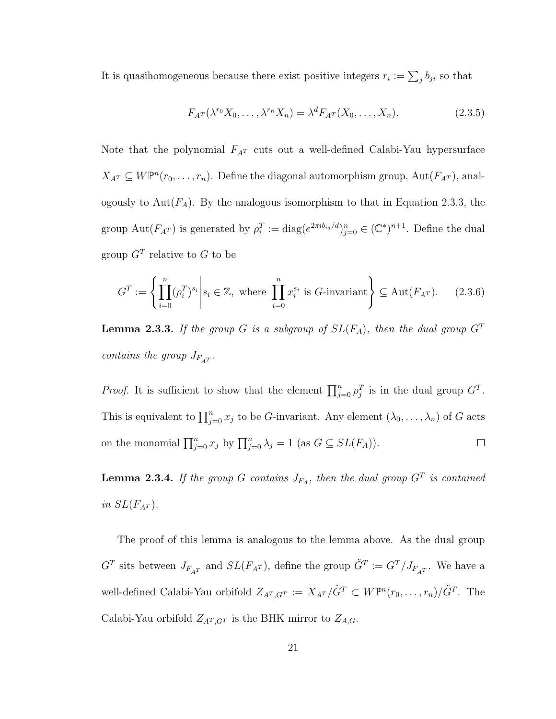It is quasihomogeneous because there exist positive integers  $r_i := \sum_j b_{ji}$  so that

$$
F_{A^T}(\lambda^{r_0}X_0,\ldots,\lambda^{r_n}X_n)=\lambda^d F_{A^T}(X_0,\ldots,X_n). \tag{2.3.5}
$$

Note that the polynomial  $F_{A}$ <sup>T</sup> cuts out a well-defined Calabi-Yau hypersurface  $X_{A^T} \subseteq W\mathbb{P}^n(r_0,\ldots,r_n)$ . Define the diagonal automorphism group,  $Aut(F_{A^T})$ , analogously to  $Aut(F_A)$ . By the analogous isomorphism to that in Equation 2.3.3, the group Aut $(F_{A^T})$  is generated by  $\rho_i^T := \text{diag}(e^{2\pi ib_{ij}/d})_{j=0}^n \in (\mathbb{C}^*)^{n+1}$ . Define the dual group  $G<sup>T</sup>$  relative to G to be

$$
G^{T} := \left\{ \prod_{i=0}^{n} (\rho_i^{T})^{s_i} \middle| s_i \in \mathbb{Z}, \text{ where } \prod_{i=0}^{n} x_i^{s_i} \text{ is } G\text{-invariant} \right\} \subseteq \text{Aut}(F_{A^{T}}). \tag{2.3.6}
$$

**Lemma 2.3.3.** If the group G is a subgroup of  $SL(F_A)$ , then the dual group  $G^T$ contains the group  $J_{F_{A}T}$ .

*Proof.* It is sufficient to show that the element  $\prod_{j=0}^{n} \rho_j^T$  is in the dual group  $G^T$ . This is equivalent to  $\prod_{j=0}^{n} x_j$  to be G-invariant. Any element  $(\lambda_0, \ldots, \lambda_n)$  of G acts on the monomial  $\prod_{j=0}^{n} x_j$  by  $\prod_{j=0}^{n} \lambda_j = 1$  (as  $G \subseteq SL(F_A)$ ).  $\Box$ 

**Lemma 2.3.4.** If the group G contains  $J_{FA}$ , then the dual group  $G<sup>T</sup>$  is contained in  $SL(F_{A^T})$ .

The proof of this lemma is analogous to the lemma above. As the dual group  $G<sup>T</sup>$  sits between  $J_{F_{A}T}$  and  $SL(F_{A}T)$ , define the group  $\tilde{G}^{T} := G<sup>T</sup>/J_{F_{A}T}$ . We have a well-defined Calabi-Yau orbifold  $Z_{A^T,G^T} := X_{A^T}/\tilde{G}^T \subset W\mathbb{P}^n(r_0,\ldots,r_n)/\tilde{G}^T$ . The Calabi-Yau orbifold  $Z_{A^T,G^T}$  is the BHK mirror to  $Z_{A,G}.$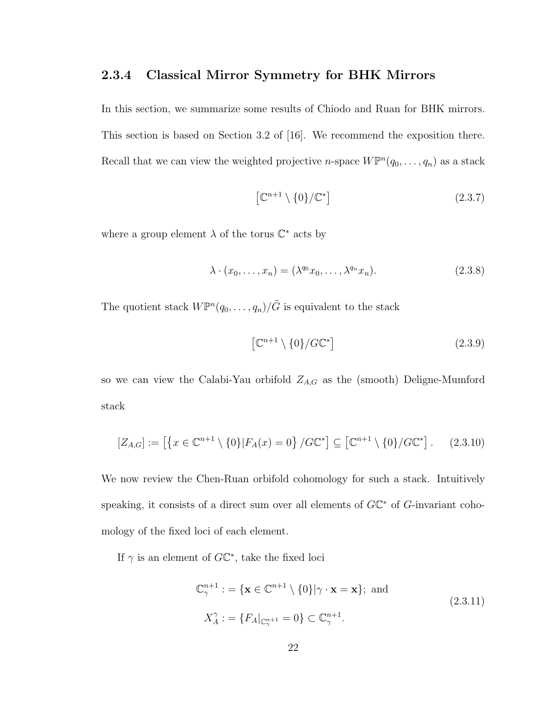### 2.3.4 Classical Mirror Symmetry for BHK Mirrors

In this section, we summarize some results of Chiodo and Ruan for BHK mirrors. This section is based on Section 3.2 of [16]. We recommend the exposition there. Recall that we can view the weighted projective *n*-space  $W\mathbb{P}^n(q_0,\ldots,q_n)$  as a stack

$$
\left[\mathbb{C}^{n+1}\setminus\{0\}/\mathbb{C}^*\right] \tag{2.3.7}
$$

where a group element  $\lambda$  of the torus  $\mathbb{C}^*$  acts by

$$
\lambda \cdot (x_0, \dots, x_n) = (\lambda^{q_0} x_0, \dots, \lambda^{q_n} x_n). \tag{2.3.8}
$$

The quotient stack  $W\mathbb{P}^n(q_0,\ldots,q_n)/\tilde{G}$  is equivalent to the stack

$$
\left[\mathbb{C}^{n+1}\setminus\{0\}/G\mathbb{C}^*\right] \tag{2.3.9}
$$

so we can view the Calabi-Yau orbifold  $Z_{A,G}$  as the (smooth) Deligne-Mumford stack

$$
[Z_{A,G}] := \left[ \left\{ x \in \mathbb{C}^{n+1} \setminus \{0\} | F_A(x) = 0 \right\} / G \mathbb{C}^* \right] \subseteq \left[ \mathbb{C}^{n+1} \setminus \{0\} / G \mathbb{C}^* \right]. \tag{2.3.10}
$$

We now review the Chen-Ruan orbifold cohomology for such a stack. Intuitively speaking, it consists of a direct sum over all elements of  $G\mathbb{C}^*$  of  $G$ -invariant cohomology of the fixed loci of each element.

If  $\gamma$  is an element of  $G\mathbb{C}^*$ , take the fixed loci

$$
\mathbb{C}_{\gamma}^{n+1} : = \{ \mathbf{x} \in \mathbb{C}^{n+1} \setminus \{0\} | \gamma \cdot \mathbf{x} = \mathbf{x} \}; \text{ and}
$$
\n
$$
X_A^{\gamma} : = \{ F_A |_{\mathbb{C}_{\gamma}^{n+1}} = 0 \} \subset \mathbb{C}_{\gamma}^{n+1}.
$$
\n(2.3.11)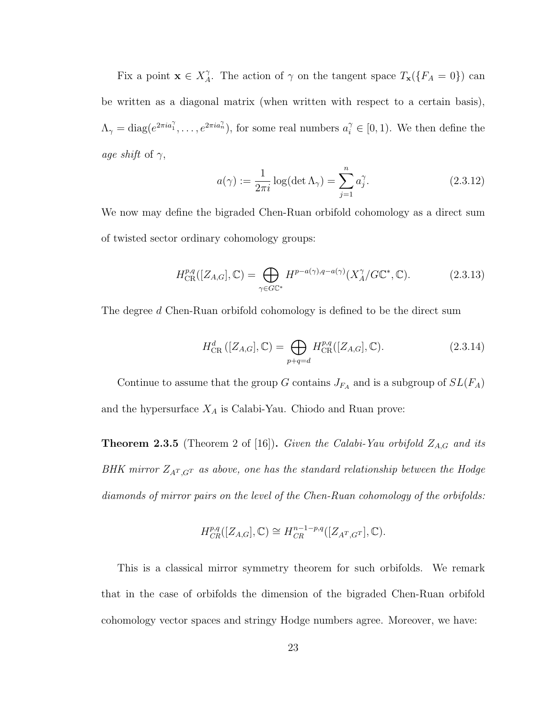Fix a point  $\mathbf{x} \in X_A^{\gamma}$  $\Lambda$ . The action of  $\gamma$  on the tangent space  $T_{\mathbf{x}}(\lbrace F_A = 0 \rbrace)$  can be written as a diagonal matrix (when written with respect to a certain basis),  $\Lambda_{\gamma} = \text{diag}(e^{2\pi i a_1^{\gamma}}, \ldots, e^{2\pi i a_n^{\gamma}}),$  for some real numbers  $a_i^{\gamma} \in [0, 1)$ . We then define the age shift of  $\gamma$ ,

$$
a(\gamma) := \frac{1}{2\pi i} \log(\det \Lambda_{\gamma}) = \sum_{j=1}^{n} a_j^{\gamma}.
$$
 (2.3.12)

We now may define the bigraded Chen-Ruan orbifold cohomology as a direct sum of twisted sector ordinary cohomology groups:

$$
H_{\text{CR}}^{p,q}([Z_{A,G}], \mathbb{C}) = \bigoplus_{\gamma \in G\mathbb{C}^*} H^{p-a(\gamma), q-a(\gamma)}(X_A^{\gamma}/G\mathbb{C}^*, \mathbb{C}).
$$
\n(2.3.13)

The degree d Chen-Ruan orbifold cohomology is defined to be the direct sum

$$
H_{\text{CR}}^d([Z_{A,G}], \mathbb{C}) = \bigoplus_{p+q=d} H_{\text{CR}}^{p,q}([Z_{A,G}], \mathbb{C}).
$$
\n(2.3.14)

Continue to assume that the group G contains  $J_{F_A}$  and is a subgroup of  $SL(F_A)$ and the hypersurface  $X_A$  is Calabi-Yau. Chiodo and Ruan prove:

**Theorem 2.3.5** (Theorem 2 of [16]). Given the Calabi-Yau orbifold  $Z_{A,G}$  and its BHK mirror  $Z_{A<sup>T</sup>,G<sup>T</sup>}$  as above, one has the standard relationship between the Hodge diamonds of mirror pairs on the level of the Chen-Ruan cohomology of the orbifolds:

$$
H^{p,q}_{CR}([Z_{A,G}], \mathbb{C}) \cong H^{n-1-p,q}_{CR}([Z_{A^T,G^T}], \mathbb{C}).
$$

This is a classical mirror symmetry theorem for such orbifolds. We remark that in the case of orbifolds the dimension of the bigraded Chen-Ruan orbifold cohomology vector spaces and stringy Hodge numbers agree. Moreover, we have: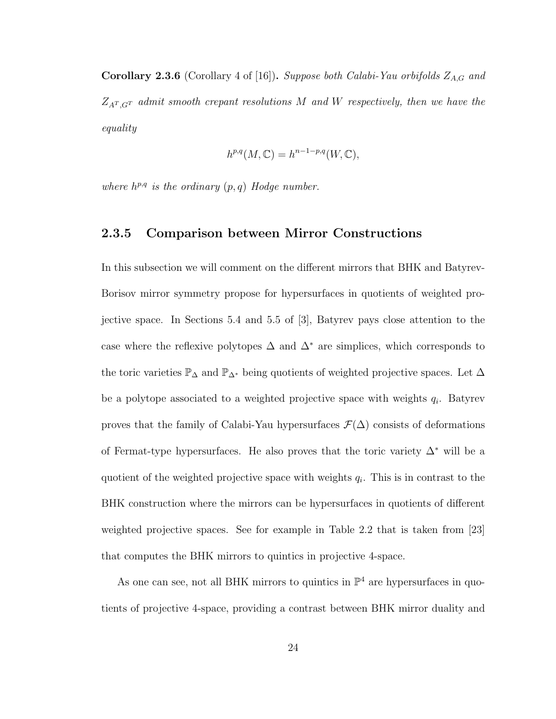Corollary 2.3.6 (Corollary 4 of [16]). Suppose both Calabi-Yau orbifolds  $Z_{A,G}$  and  $Z_{A<sup>T</sup>,G<sup>T</sup>}$  admit smooth crepant resolutions M and W respectively, then we have the equality

$$
h^{p,q}(M,\mathbb{C}) = h^{n-1-p,q}(W,\mathbb{C}),
$$

where  $h^{p,q}$  is the ordinary  $(p,q)$  Hodge number.

#### 2.3.5 Comparison between Mirror Constructions

In this subsection we will comment on the different mirrors that BHK and Batyrev-Borisov mirror symmetry propose for hypersurfaces in quotients of weighted projective space. In Sections 5.4 and 5.5 of [3], Batyrev pays close attention to the case where the reflexive polytopes  $\Delta$  and  $\Delta^*$  are simplices, which corresponds to the toric varieties  $\mathbb{P}_\Delta$  and  $\mathbb{P}_{\Delta^*}$  being quotients of weighted projective spaces. Let  $\Delta$ be a polytope associated to a weighted projective space with weights  $q_i$ . Batyrev proves that the family of Calabi-Yau hypersurfaces  $\mathcal{F}(\Delta)$  consists of deformations of Fermat-type hypersurfaces. He also proves that the toric variety  $\Delta^*$  will be a quotient of the weighted projective space with weights  $q_i$ . This is in contrast to the BHK construction where the mirrors can be hypersurfaces in quotients of different weighted projective spaces. See for example in Table 2.2 that is taken from [23] that computes the BHK mirrors to quintics in projective 4-space.

As one can see, not all BHK mirrors to quintics in  $\mathbb{P}^4$  are hypersurfaces in quotients of projective 4-space, providing a contrast between BHK mirror duality and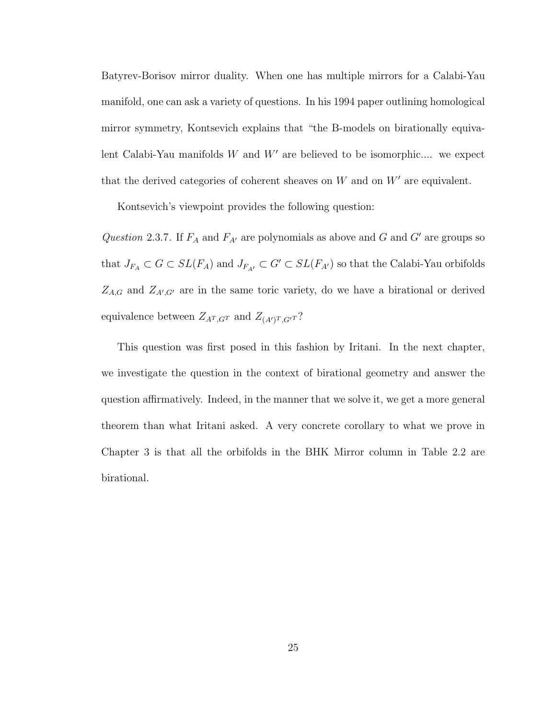Batyrev-Borisov mirror duality. When one has multiple mirrors for a Calabi-Yau manifold, one can ask a variety of questions. In his 1994 paper outlining homological mirror symmetry, Kontsevich explains that "the B-models on birationally equivalent Calabi-Yau manifolds  $W$  and  $W'$  are believed to be isomorphic.... we expect that the derived categories of coherent sheaves on  $W$  and on  $W'$  are equivalent.

Kontsevich's viewpoint provides the following question:

Question 2.3.7. If  $F_A$  and  $F_{A'}$  are polynomials as above and G and G' are groups so that  $J_{F_A}\subset G\subset SL(F_A)$  and  $J_{F_{A'}}\subset G'\subset SL(F_{A'})$  so that the Calabi-Yau orbifolds  $Z_{A,G}$  and  $Z_{A',G'}$  are in the same toric variety, do we have a birational or derived equivalence between  $Z_{A^T,G^T}$  and  $Z_{(A')^T,G'^T}$ ?

This question was first posed in this fashion by Iritani. In the next chapter, we investigate the question in the context of birational geometry and answer the question affirmatively. Indeed, in the manner that we solve it, we get a more general theorem than what Iritani asked. A very concrete corollary to what we prove in Chapter 3 is that all the orbifolds in the BHK Mirror column in Table 2.2 are birational.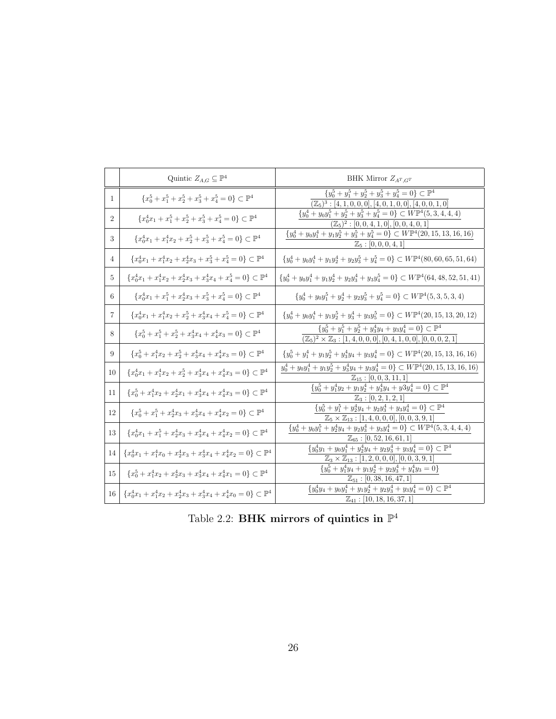|                | Quintic $Z_{A,G} \subseteq \mathbb{P}^4$                                          | BHK Mirror $Z_{A^T,G^T}$                                                                                                                                                 |
|----------------|-----------------------------------------------------------------------------------|--------------------------------------------------------------------------------------------------------------------------------------------------------------------------|
| 1              | ${x_0^5 + x_1^5 + x_2^5 + x_3^5 + x_4^5 = 0} \subset \mathbb{P}^4$                | ${y_0^5 + y_1^5 + y_2^5 + y_3^5 + y_4^5 = 0} \subset \mathbb{P}^4$<br>$(\mathbb{Z}_5)^3 : [4, 1, 0, 0, 0], [4, 0, 1, 0, 0], [4, 0, 0, 1, 0]$                             |
| $\overline{2}$ | ${x_0^4x_1 + x_1^5 + x_2^5 + x_3^5 + x_4^5 = 0} \subset \mathbb{P}^4$             | $\left\{y_0^4+y_0y_1^5+y_2^5+y_3^5+y_4^5=0\right\}\subset W\mathbb{P}^4(5,3,4,4,4)$<br>$(\mathbb{Z}_5)^2 : [0, 0, 4, 1, 0], [0, 0, 4, 0, 1]$                             |
| 3              | $\{x_0^4x_1+x_1^4x_2+x_2^5+x_3^5+x_4^5=0\}\subset\mathbb{P}^4$                    | $\{y_0^4+y_0y_1^4+y_1y_2^5+y_3^5+y_4^5=0\}\subset W\mathbb{P}^4(20,15,13,16,16)$<br>$\mathbb{Z}_5: [0, 0, 0, 4, 1]$                                                      |
| 4              | $\{x_0^4x_1+x_1^4x_2+x_2^4x_3+x_3^5+x_4^5=0\}\subset\mathbb{P}^4$                 | $\{y_0^4 + y_0y_1^4 + y_1y_2^4 + y_2y_3^5 + y_4^5 = 0\} \subset W\mathbb{P}^4(80, 60, 65, 51, 64)$                                                                       |
| 5              | $\{x_0^4x_1+x_1^4x_2+x_2^4x_3+x_3^4x_4+x_4^5=0\}\subset\mathbb{P}^4$              | ${y_0^4 + y_0y_1^4 + y_1y_2^4 + y_2y_3^4 + y_3y_4^5 = 0} \subset W\mathbb{P}^4(64, 48, 52, 51, 41)$                                                                      |
| 6              | $\{x_0^4x_1+x_1^5+x_2^4x_3+x_3^5+x_4^5=0\}\subset\mathbb{P}^4$                    | ${y_0^4 + y_0y_1^5 + y_2^4 + y_2y_3^5 + y_4^5 = 0} \subset W\mathbb{P}^4(5,3,5,3,4)$                                                                                     |
| 7              | $\{x_0^4x_1+x_1^4x_2+x_2^5+x_3^4x_4+x_4^5=0\}\subset\mathbb{P}^4$                 | ${y_0^4 + y_0y_1^4 + y_1y_2^5 + y_3^4 + y_3y_5^5 = 0} \subset W\mathbb{P}^4(20, 15, 13, 20, 12)$                                                                         |
| 8              | $\{x_0^5+x_1^5+x_2^5+x_3^4x_4+x_4^4x_3=0\}\subset\mathbb{P}^4$                    | $\{y_0^5 + y_1^5 + y_2^5 + y_3^4y_4 + y_3y_4^4 = 0\} \subset \mathbb{P}^4$<br>$(\mathbb{Z}_5)^2 \times \mathbb{Z}_3 : [1, 4, 0, 0, 0], [0, 4, 1, 0, 0], [0, 0, 0, 2, 1]$ |
| 9              | $\{x_0^5+x_1^4x_2+x_2^5+x_3^4x_4+x_4^4x_3=0\}\subset\mathbb{P}^4$                 | ${y_0^5 + y_1^4 + y_1y_2^5 + y_3^4y_4 + y_3y_4^4 = 0} \subset W\mathbb{P}^4(20, 15, 13, 16, 16)$                                                                         |
| 10             | $\{x_0^4x_1+x_1^4x_2+x_2^5+x_3^4x_4+x_4^4x_3=0\}\subset\mathbb{P}^4$              | $y_0^4 + y_0y_1^4 + y_1y_2^5 + y_3^4y_4 + y_3y_4^4 = 0$ $\subset W\mathbb{P}^4(20, 15, 13, 16, 16)$<br>$\mathbb{Z}_{15}:[0,0,3,11,1]$                                    |
| 11             | $\{x_0^5+x_1^4x_2+x_2^4x_1+x_3^4x_4+x_4^4x_3=0\}\subset\mathbb{P}^4$              | ${y_0^5 + y_1^4y_2 + y_1y_2^4 + y_3^4y_4 + y_3y_4^4 = 0} \subset \mathbb{P}^4$<br>$\mathbb{Z}_3: [0, 2, 1, 2, 1]$                                                        |
| 12             | $\{x_0^5+x_1^5+x_2^4x_3+x_3^4x_4+x_4^4x_2=0\}\subset\mathbb{P}^4$                 | $\{y_0^5+y_1^5+y_2^4y_4+y_2y_3^4+y_3y_4^4=0\}\subset\mathbb{P}^4$<br>$\mathbb{Z}_5 \times \mathbb{Z}_{13} : [1, 4, 0, 0, 0], [0, 0, 3, 9, 1]$                            |
| 13             | $\{x_0^4x_1+x_1^5+x_2^4x_3+x_3^4x_4+x_4^4x_2=0\}\subset\mathbb{P}^4$              | $\{y_0^4+y_0y_1^5+y_2^4y_4+y_2y_3^4+y_3y_4^4=0\}\subset W\mathbb{P}^4(5,3,4,4,4)$<br>$\mathbb{Z}_{65}$ : [0, 52, 16, 61, 1]                                              |
| 14             | ${x_0^4x_1 + x_1^4x_0 + x_2^4x_3 + x_3^4x_4 + x_4^4x_2 = 0} \subset \mathbb{P}^4$ | $\{y_0^4y_1 + y_0y_1^4 + y_2^4y_4 + y_2y_3^4 + y_3y_4^4 = 0\} \subset \mathbb{P}^4$<br>$\mathbb{Z}_3 \times \mathbb{Z}_{13} : [1, 2, 0, 0, 0], [0, 0, 3, 9, 1]$          |
| 15             | $\{x_0^5+x_1^4x_2+x_2^4x_3+x_3^4x_4+x_4^4x_1=0\}\subset\mathbb{P}^4$              | ${y_0^5 + y_1^4y_4 + y_1y_2^4 + y_2y_3^4 + y_4^4y_3 = 0}$<br>$\mathbb{Z}_{51}$ : [0, 38, 16, 47, 1]                                                                      |
| 16             | ${x_0^4x_1 + x_1^4x_2 + x_2^4x_3 + x_3^4x_4 + x_4^4x_0 = 0} \subset \mathbb{P}^4$ | $\{y_0^4y_4 + y_0y_1^4 + y_1y_2^4 + y_2y_3^4 + y_3y_4^4 = 0\} \subset \mathbb{P}^4$<br>$\mathbb{Z}_{41}$ : [10, 18, 16, 37, 1]                                           |

Table 2.2: **BHK** mirrors of quintics in  $\mathbb{P}^4$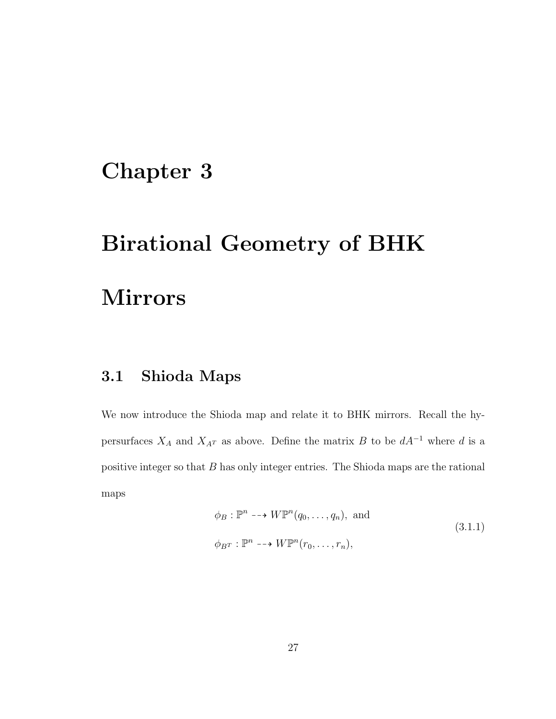# Chapter 3

# Birational Geometry of BHK

# Mirrors

# 3.1 Shioda Maps

We now introduce the Shioda map and relate it to BHK mirrors. Recall the hypersurfaces  $X_A$  and  $X_{A^T}$  as above. Define the matrix B to be  $dA^{-1}$  where d is a positive integer so that B has only integer entries. The Shioda maps are the rational maps

$$
\phi_B : \mathbb{P}^n \dashrightarrow W\mathbb{P}^n(q_0, \dots, q_n), \text{ and}
$$
\n
$$
\phi_{B^T} : \mathbb{P}^n \dashrightarrow W\mathbb{P}^n(r_0, \dots, r_n),
$$
\n(3.1.1)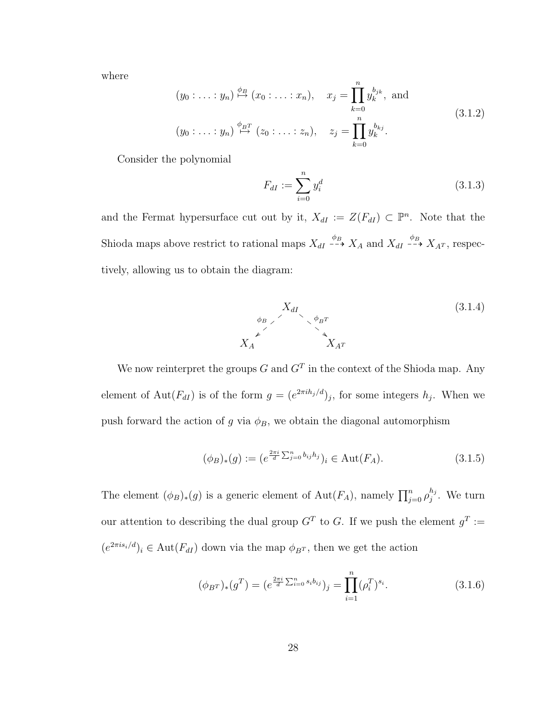where

$$
(y_0: \ldots: y_n) \stackrel{\phi_B}{\mapsto} (x_0: \ldots: x_n), \quad x_j = \prod_{k=0}^n y_k^{b_{jk}}, \text{ and}
$$
  

$$
(y_0: \ldots: y_n) \stackrel{\phi_{BT}}{\mapsto} (z_0: \ldots: z_n), \quad z_j = \prod_{k=0}^n y_k^{b_{kj}}.
$$
 (3.1.2)

Consider the polynomial

$$
F_{dI} := \sum_{i=0}^{n} y_i^d
$$
 (3.1.3)

and the Fermat hypersurface cut out by it,  $X_{dI} := Z(F_{dI}) \subset \mathbb{P}^n$ . Note that the Shioda maps above restrict to rational maps  $X_{dI} \stackrel{\phi_B}{\dashrightarrow} X_A$  and  $X_{dI} \stackrel{\phi_B}{\dashrightarrow} X_{A^T}$ , respectively, allowing us to obtain the diagram:



We now reinterpret the groups G and  $G<sup>T</sup>$  in the context of the Shioda map. Any element of Aut $(F_{dI})$  is of the form  $g = (e^{2\pi i h_j/d})_j$ , for some integers  $h_j$ . When we push forward the action of g via  $\phi_B$ , we obtain the diagonal automorphism

$$
(\phi_B)_*(g) := (e^{\frac{2\pi i}{d} \sum_{j=0}^n b_{ij} h_j})_i \in \text{Aut}(F_A). \tag{3.1.5}
$$

The element  $(\phi_B)_*(g)$  is a generic element of  $\mathrm{Aut}(F_A)$ , namely  $\prod_{j=0}^n \rho_j^{h_j}$  $j^{n_j}$ . We turn our attention to describing the dual group  $G<sup>T</sup>$  to G. If we push the element  $g<sup>T</sup> :=$  $(e^{2\pi i s_i/d})_i \in \text{Aut}(F_{dI})$  down via the map  $\phi_{BT}$ , then we get the action

$$
(\phi_{BT})_*(g^T) = (e^{\frac{2\pi i}{d}\sum_{i=0}^n s_i b_{ij}})_j = \prod_{i=1}^n (\rho_i^T)^{s_i}.
$$
\n(3.1.6)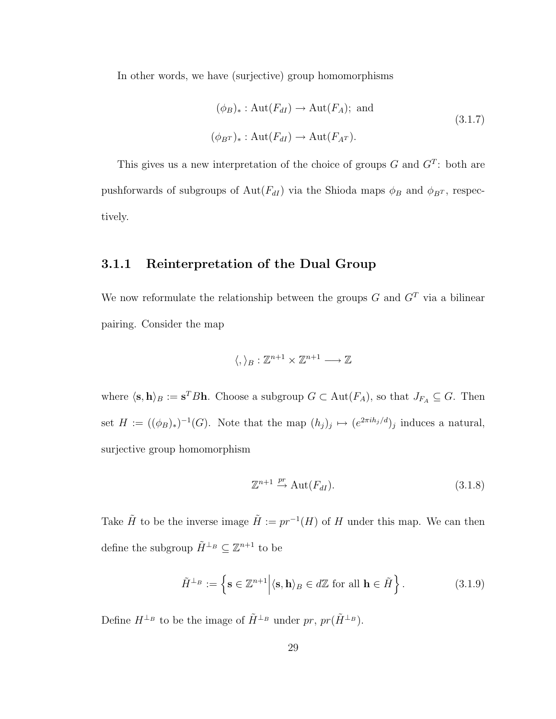In other words, we have (surjective) group homomorphisms

$$
(\phi_B)_* : \text{Aut}(F_{dI}) \to \text{Aut}(F_A); \text{ and}
$$
  
 $(\phi_{BT})_* : \text{Aut}(F_{dI}) \to \text{Aut}(F_{A^T}).$  (3.1.7)

This gives us a new interpretation of the choice of groups  $G$  and  $G<sup>T</sup>$ : both are pushforwards of subgroups of  $Aut(F_{dI})$  via the Shioda maps  $\phi_B$  and  $\phi_{BT}$ , respectively.

### 3.1.1 Reinterpretation of the Dual Group

We now reformulate the relationship between the groups  $G$  and  $G<sup>T</sup>$  via a bilinear pairing. Consider the map

$$
\langle,\rangle_B:\mathbb{Z}^{n+1}\times\mathbb{Z}^{n+1}\longrightarrow\mathbb{Z}
$$

where  $\langle s, h \rangle_B := s^T B h$ . Choose a subgroup  $G \subset Aut(F_A)$ , so that  $J_{F_A} \subseteq G$ . Then set  $H := ((\phi_B)_*)^{-1}(G)$ . Note that the map  $(h_j)_j \mapsto (e^{2\pi i h_j/d})_j$  induces a natural, surjective group homomorphism

$$
\mathbb{Z}^{n+1} \stackrel{pr}{\to} \text{Aut}(F_{dI}).\tag{3.1.8}
$$

Take  $\tilde{H}$  to be the inverse image  $\tilde{H} := pr^{-1}(H)$  of H under this map. We can then define the subgroup  $\tilde{H}^{\perp_B} \subseteq \mathbb{Z}^{n+1}$  to be

$$
\tilde{H}^{\perp_B} := \left\{ \mathbf{s} \in \mathbb{Z}^{n+1} \middle| \langle \mathbf{s}, \mathbf{h} \rangle_B \in d\mathbb{Z} \text{ for all } \mathbf{h} \in \tilde{H} \right\}. \tag{3.1.9}
$$

Define  $H^{\perp_B}$  to be the image of  $\tilde{H}^{\perp_B}$  under  $pr$ ,  $pr(\tilde{H}^{\perp_B})$ .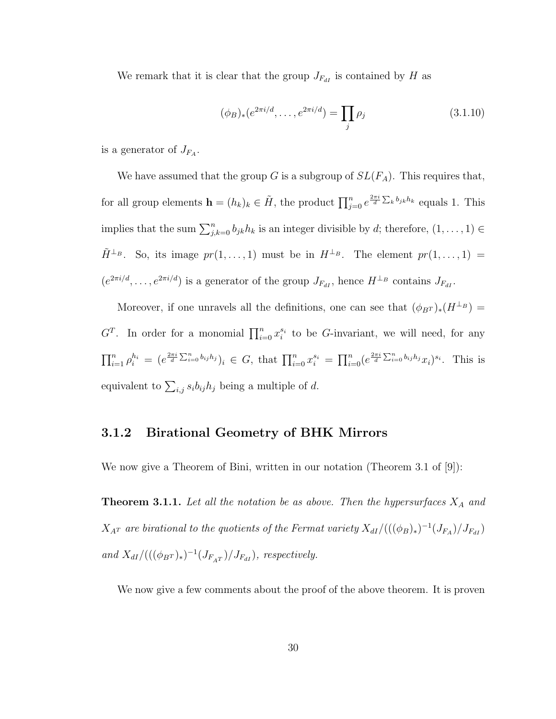We remark that it is clear that the group  $J_{F_{dI}}$  is contained by H as

$$
(\phi_B)_*(e^{2\pi i/d}, \dots, e^{2\pi i/d}) = \prod_j \rho_j \tag{3.1.10}
$$

is a generator of  $J_{F_A}$ .

We have assumed that the group G is a subgroup of  $SL(F_A)$ . This requires that, for all group elements  $\mathbf{h} = (h_k)_k \in \tilde{H}$ , the product  $\prod_{j=0}^n e^{\frac{2\pi i}{d} \sum_k b_{jk} h_k}$  equals 1. This implies that the sum  $\sum_{j,k=0}^{n} b_{jk} h_k$  is an integer divisible by d; therefore,  $(1,\ldots,1) \in$  $\tilde{H}^{\perp_B}$ . So, its image  $pr(1,\ldots,1)$  must be in  $H^{\perp_B}$ . The element  $pr(1,\ldots,1)$  =  $(e^{2\pi i/d}, \ldots, e^{2\pi i/d})$  is a generator of the group  $J_{F_{dI}}$ , hence  $H^{\perp_B}$  contains  $J_{F_{dI}}$ .

Moreover, if one unravels all the definitions, one can see that  $(\phi_{BT})_*(H^{\perp_B}) =$  $G<sup>T</sup>$ . In order for a monomial  $\prod_{i=0}^{n} x_i^{s_i}$  to be G-invariant, we will need, for any  $\prod_{i=1}^n \rho_i^{h_i} = (e^{\frac{2\pi i}{d} \sum_{i=0}^n b_{ij}h_j})_i \in G$ , that  $\prod_{i=0}^n x_i^{s_i} = \prod_{i=0}^n (e^{\frac{2\pi i}{d} \sum_{i=0}^n b_{ij}h_j} x_i)^{s_i}$ . This is equivalent to  $\sum_{i,j} s_i b_{ij} h_j$  being a multiple of d.

#### 3.1.2 Birational Geometry of BHK Mirrors

We now give a Theorem of Bini, written in our notation (Theorem 3.1 of [9]):

**Theorem 3.1.1.** Let all the notation be as above. Then the hypersurfaces  $X_A$  and  $X_{A^T}$  are birational to the quotients of the Fermat variety  $X_{dI}/(((\phi_B)_*)^{-1}(J_{F_A})/J_{F_{dI}})$ and  $X_{dI}/(((\phi_{B^T})_*)^{-1}(J_{F_{AT}})/J_{F_{dI}})$ , respectively.

We now give a few comments about the proof of the above theorem. It is proven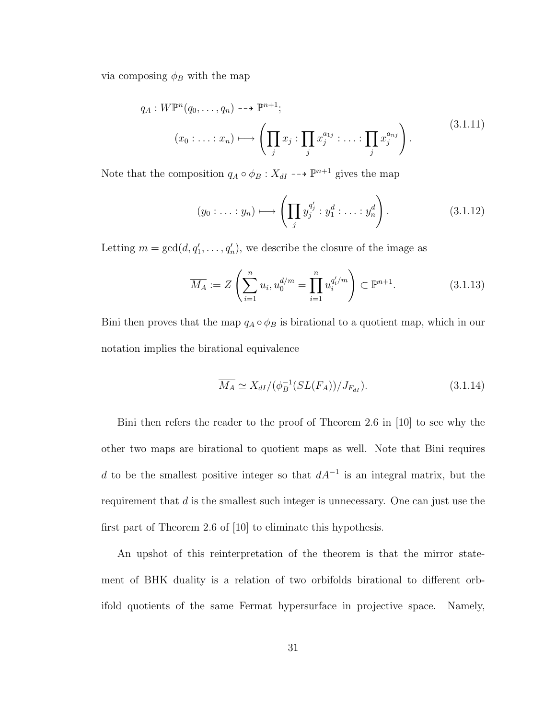via composing  $\phi_B$  with the map

$$
q_A: W\mathbb{P}^n(q_0,\ldots,q_n) \dashrightarrow \mathbb{P}^{n+1};
$$

$$
(x_0:\ldots:x_n)\longmapsto \left(\prod_j x_j:\prod_j x_j^{a_{1j}}:\ldots:\prod_j x_j^{a_{nj}}\right).
$$
(3.1.11)

Note that the composition  $q_A \circ \phi_B : X_{dI} \dashrightarrow \mathbb{P}^{n+1}$  gives the map

$$
(y_0: \ldots: y_n) \longmapsto \left(\prod_j y_j^{q_j'}: y_1^d: \ldots: y_n^d\right). \tag{3.1.12}
$$

Letting  $m = \gcd(d, q'_1, \ldots, q'_n)$ , we describe the closure of the image as

$$
\overline{M_A} := Z\left(\sum_{i=1}^n u_i, u_0^{d/m} = \prod_{i=1}^n u_i^{q'_i/m}\right) \subset \mathbb{P}^{n+1}.
$$
 (3.1.13)

Bini then proves that the map  $q_A \circ \phi_B$  is birational to a quotient map, which in our notation implies the birational equivalence

$$
\overline{M_A} \simeq X_{dI} / (\phi_B^{-1}(SL(F_A))/J_{F_{dI}}). \tag{3.1.14}
$$

Bini then refers the reader to the proof of Theorem 2.6 in [10] to see why the other two maps are birational to quotient maps as well. Note that Bini requires d to be the smallest positive integer so that  $dA^{-1}$  is an integral matrix, but the requirement that  $d$  is the smallest such integer is unnecessary. One can just use the first part of Theorem 2.6 of [10] to eliminate this hypothesis.

An upshot of this reinterpretation of the theorem is that the mirror statement of BHK duality is a relation of two orbifolds birational to different orbifold quotients of the same Fermat hypersurface in projective space. Namely,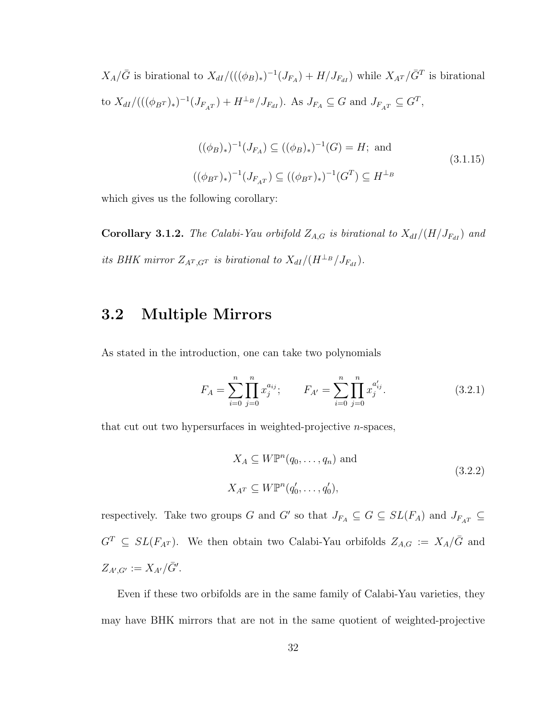$X_A/\bar{G}$  is birational to  $X_{dI}/(((\phi_B)_*)^{-1}(J_{F_A}) + H/J_{F_{dI}})$  while  $X_{A^T}/\bar{G}^T$  is birational to  $X_{dI}/(( (\phi_{B^{T}})_{*})^{-1}(J_{F_{A^{T}}}) + H^{\perp_{B}}/J_{F_{dI}})$ . As  $J_{F_{A}} \subseteq G$  and  $J_{F_{A^{T}}} \subseteq G^{T}$ ,

$$
((\phi_B)_*)^{-1}(J_{F_A}) \subseteq ((\phi_B)_*)^{-1}(G) = H;
$$
 and  
 $((\phi_{B})_*)^{-1}(J_{F_{A}T}) \subseteq ((\phi_{B})_*)^{-1}(G^T) \subseteq H^{\perp_B}$  (3.1.15)

which gives us the following corollary:

Corollary 3.1.2. The Calabi-Yau orbifold  $Z_{A,G}$  is birational to  $X_{dI}/(H/J_{F_{dI}})$  and its BHK mirror  $Z_{A^T,G^T}$  is birational to  $X_{dI}/(H^{\perp_B}/J_{F_{dI}})$ .

# 3.2 Multiple Mirrors

As stated in the introduction, one can take two polynomials

$$
F_A = \sum_{i=0}^{n} \prod_{j=0}^{n} x_j^{a_{ij}}; \qquad F_{A'} = \sum_{i=0}^{n} \prod_{j=0}^{n} x_j^{a'_{ij}}.
$$
 (3.2.1)

that cut out two hypersurfaces in weighted-projective n-spaces,

$$
X_A \subseteq W\mathbb{P}^n(q_0, \dots, q_n) \text{ and}
$$
  

$$
X_{A^T} \subseteq W\mathbb{P}^n(q'_0, \dots, q'_0),
$$
  
(3.2.2)

respectively. Take two groups G and G' so that  $J_{F_A} \subseteq G \subseteq SL(F_A)$  and  $J_{F_{AT}} \subseteq$  $G<sup>T</sup> \subseteq SL(F<sub>A</sub><sup>T</sup>)$ . We then obtain two Calabi-Yau orbifolds  $Z<sub>A,G</sub> := X<sub>A</sub>/\bar{G}$  and  $Z_{A',G'} := X_{A'}/\bar{G}'.$ 

Even if these two orbifolds are in the same family of Calabi-Yau varieties, they may have BHK mirrors that are not in the same quotient of weighted-projective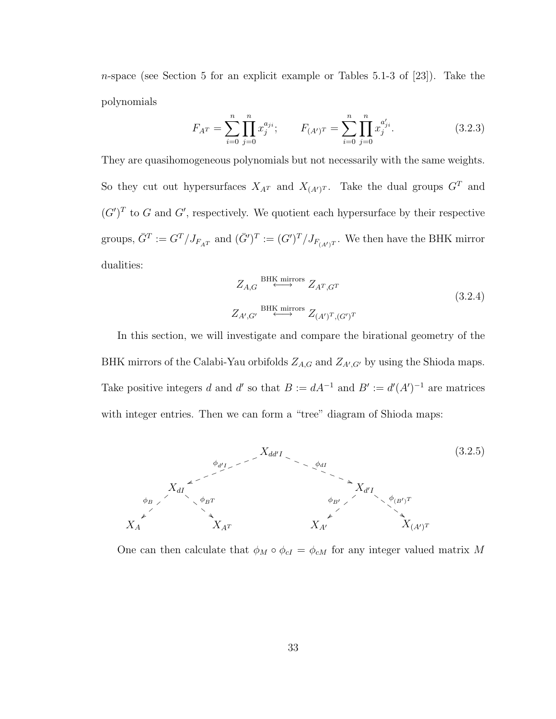n-space (see Section 5 for an explicit example or Tables 5.1-3 of [23]). Take the polynomials

$$
F_{A^T} = \sum_{i=0}^{n} \prod_{j=0}^{n} x_j^{a_{ji}}; \qquad F_{(A')^T} = \sum_{i=0}^{n} \prod_{j=0}^{n} x_j^{a'_{ji}}.
$$
 (3.2.3)

They are quasihomogeneous polynomials but not necessarily with the same weights. So they cut out hypersurfaces  $X_{A^T}$  and  $X_{(A')^T}$ . Take the dual groups  $G^T$  and  $(G')^T$  to G and G', respectively. We quotient each hypersurface by their respective groups,  $\bar{G}^T := G^T / J_{F_{A^T}}$  and  $(\bar{G}')^T := (G')^T / J_{F_{(A')^T}}$ . We then have the BHK mirror dualities:

$$
Z_{A,G} \xleftrightarrow{\text{BHK mirrors}} Z_{A^T,G^T}
$$
  
\n
$$
Z_{A',G'} \xleftrightarrow{\text{BHK mirrors}} Z_{(A')^T,(G')^T}
$$
\n(3.2.4)

In this section, we will investigate and compare the birational geometry of the BHK mirrors of the Calabi-Yau orbifolds  $Z_{A,G}$  and  $Z_{A',G'}$  by using the Shioda maps. Take positive integers d and d' so that  $B := dA^{-1}$  and  $B' := d'(A')^{-1}$  are matrices with integer entries. Then we can form a "tree" diagram of Shioda maps:



One can then calculate that  $\phi_M \circ \phi_{cI} = \phi_{cM}$  for any integer valued matrix M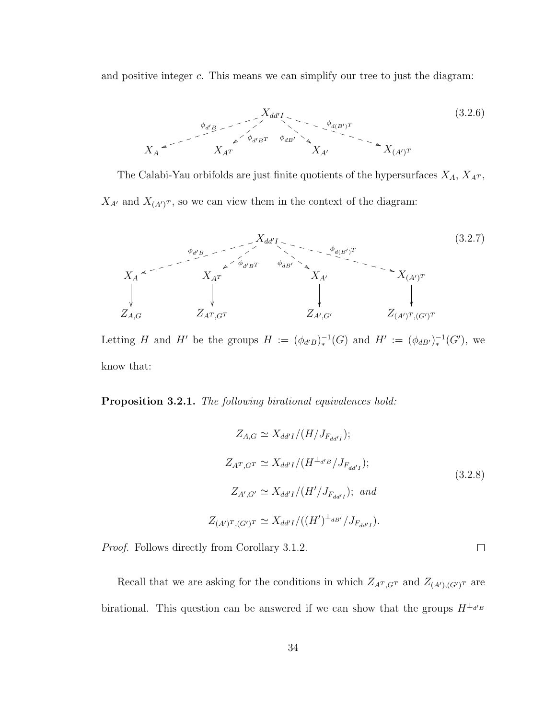and positive integer  $c$ . This means we can simplify our tree to just the diagram:



The Calabi-Yau orbifolds are just finite quotients of the hypersurfaces  $X_A$ ,  $X_{A^T}$ ,  $X_{A'}$  and  $X_{(A')^T}$ , so we can view them in the context of the diagram:



Letting H and H' be the groups  $H := (\phi_{d'B})_*^{-1}(G)$  and  $H' := (\phi_{dB'})_*^{-1}(G')$ , we know that:

Proposition 3.2.1. The following birational equivalences hold:

$$
Z_{A,G} \simeq X_{dd'I}/(H/J_{F_{dd'I}});
$$
  
\n
$$
Z_{A^T,G^T} \simeq X_{dd'I}/(H^{\perp_{d'B}}/J_{F_{dd'I}});
$$
  
\n
$$
Z_{A',G'} \simeq X_{dd'I}/(H'/J_{F_{dd'I}}); \text{ and}
$$
  
\n
$$
Z_{(A')^T,(G')^T} \simeq X_{dd'I}/((H')^{\perp_{dB'}}/J_{F_{dd'I}}).
$$
  
\n(3.2.8)

 $\Box$ 

Proof. Follows directly from Corollary 3.1.2.

Recall that we are asking for the conditions in which  $Z_{A<sup>T</sup>,G<sup>T</sup>}$  and  $Z_{(A<sup>T</sup>),(G<sup>T</sup>)<sup>T</sup>}$  are birational. This question can be answered if we can show that the groups  $H^{\perp_{d'B}}$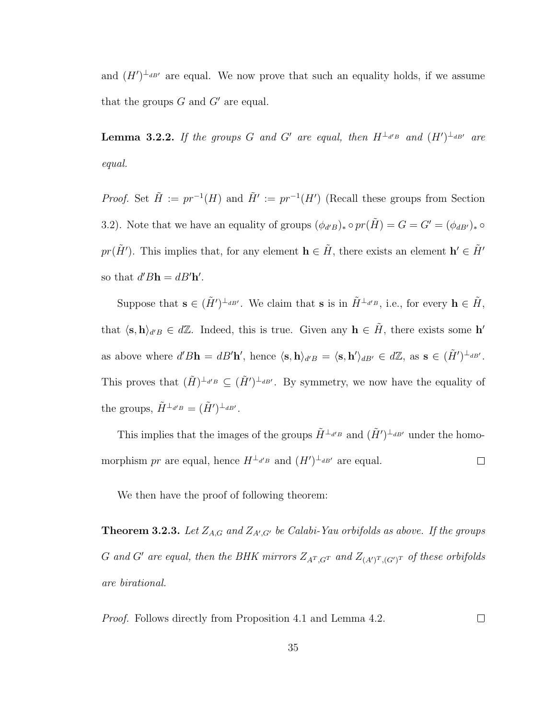and  $(H')^{\perp_{dB'}}$  are equal. We now prove that such an equality holds, if we assume that the groups  $G$  and  $G'$  are equal.

**Lemma 3.2.2.** If the groups G and G' are equal, then  $H^{\perp_{d'B}}$  and  $(H')^{\perp_{dB'}}$  are equal.

*Proof.* Set  $\tilde{H} := pr^{-1}(H)$  and  $\tilde{H}' := pr^{-1}(H')$  (Recall these groups from Section 3.2). Note that we have an equality of groups  $(\phi_{d'B})_* \circ pr(\tilde{H}) = G = G' = (\phi_{dB'})_* \circ$  $pr(\tilde{H}')$ . This implies that, for any element  $\mathbf{h} \in \tilde{H}$ , there exists an element  $\mathbf{h}' \in \tilde{H}'$ so that  $d'B\mathbf{h} = dB'\mathbf{h}'$ .

Suppose that  $\mathbf{s} \in (\tilde{H}')^{\perp_{dB'}}$ . We claim that  $\mathbf{s}$  is in  $\tilde{H}^{\perp_{d'B}}$ , i.e., for every  $\mathbf{h} \in \tilde{H}$ , that  $\langle \mathbf{s}, \mathbf{h} \rangle_{d'B} \in d\mathbb{Z}$ . Indeed, this is true. Given any  $\mathbf{h} \in \tilde{H}$ , there exists some  $\mathbf{h}'$ as above where  $d'B\mathbf{h} = dB'\mathbf{h}'$ , hence  $\langle \mathbf{s}, \mathbf{h} \rangle_{d'B} = \langle \mathbf{s}, \mathbf{h}' \rangle_{dB'} \in d\mathbb{Z}$ , as  $\mathbf{s} \in (\tilde{H}')^{\perp_{dB'}}$ . This proves that  $(\tilde{H})^{\perp_{d'B}} \subseteq (\tilde{H}')^{\perp_{dB'}}$ . By symmetry, we now have the equality of the groups,  $\tilde{H}^{\perp_{d'B}} = (\tilde{H}')^{\perp_{dB'}}$ .

This implies that the images of the groups  $\tilde{H}^{\perp_{d'B}}$  and  $(\tilde{H}')^{\perp_{dB'}}$  under the homomorphism pr are equal, hence  $H^{\perp_{d'B}}$  and  $(H')^{\perp_{dB'}}$  are equal.  $\Box$ 

We then have the proof of following theorem:

**Theorem 3.2.3.** Let  $Z_{A,G}$  and  $Z_{A',G'}$  be Calabi-Yau orbifolds as above. If the groups G and G' are equal, then the BHK mirrors  $Z_{A^T,G^T}$  and  $Z_{(A')^T,(G')^T}$  of these orbifolds are birational.

Proof. Follows directly from Proposition 4.1 and Lemma 4.2.  $\Box$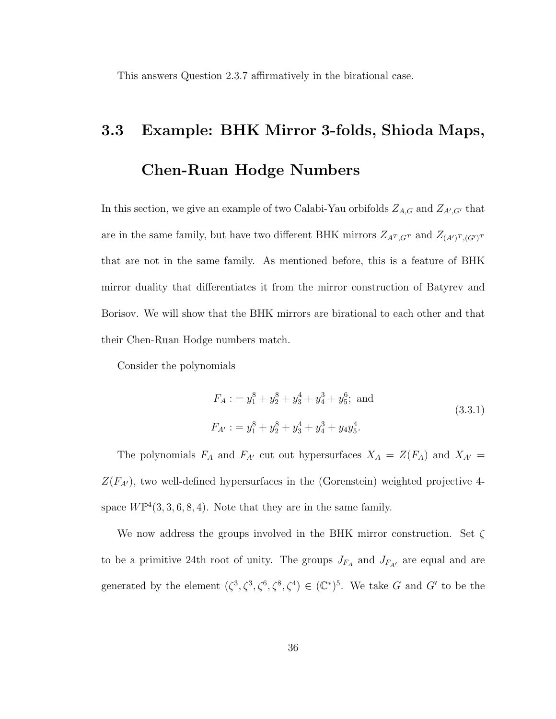This answers Question 2.3.7 affirmatively in the birational case.

# 3.3 Example: BHK Mirror 3-folds, Shioda Maps, Chen-Ruan Hodge Numbers

In this section, we give an example of two Calabi-Yau orbifolds  $Z_{A,G}$  and  $Z_{A',G'}$  that are in the same family, but have two different BHK mirrors  $Z_{A^T,G^T}$  and  $Z_{(A')^T,(G')^T}$ that are not in the same family. As mentioned before, this is a feature of BHK mirror duality that differentiates it from the mirror construction of Batyrev and Borisov. We will show that the BHK mirrors are birational to each other and that their Chen-Ruan Hodge numbers match.

Consider the polynomials

$$
F_A := y_1^8 + y_2^8 + y_3^4 + y_4^3 + y_5^6; \text{ and}
$$
  
\n
$$
F_{A'} := y_1^8 + y_2^8 + y_3^4 + y_4^3 + y_4y_5^4.
$$
\n(3.3.1)

The polynomials  $F_A$  and  $F_{A'}$  cut out hypersurfaces  $X_A = Z(F_A)$  and  $X_{A'} =$  $Z(F_{A'})$ , two well-defined hypersurfaces in the (Gorenstein) weighted projective 4space  $W\mathbb{P}^4(3,3,6,8,4)$ . Note that they are in the same family.

We now address the groups involved in the BHK mirror construction. Set  $\zeta$ to be a primitive 24th root of unity. The groups  $J_{F_A}$  and  $J_{F_{A'}}$  are equal and are generated by the element  $(\zeta^3, \zeta^3, \zeta^6, \zeta^8, \zeta^4) \in (\mathbb{C}^*)^5$ . We take G and G' to be the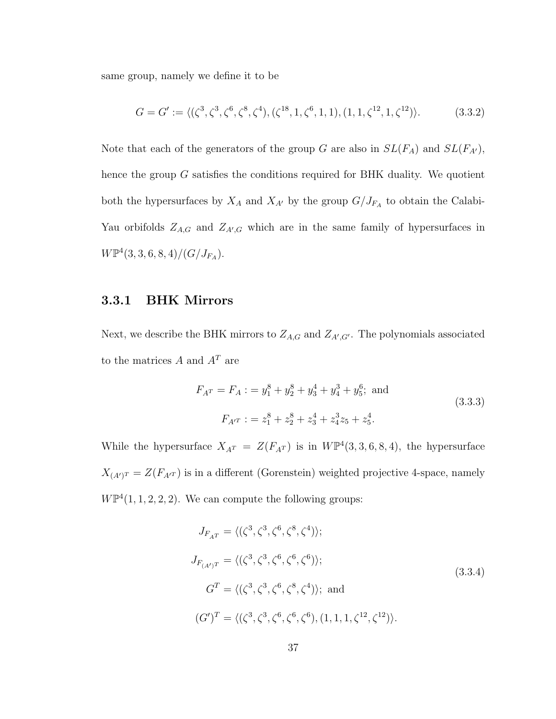same group, namely we define it to be

$$
G = G' := \langle (\zeta^3, \zeta^3, \zeta^6, \zeta^8, \zeta^4), (\zeta^{18}, 1, \zeta^6, 1, 1), (1, 1, \zeta^{12}, 1, \zeta^{12}) \rangle.
$$
 (3.3.2)

Note that each of the generators of the group G are also in  $SL(F_A)$  and  $SL(F_{A'})$ , hence the group G satisfies the conditions required for BHK duality. We quotient both the hypersurfaces by  $X_A$  and  $X_{A'}$  by the group  $G/J_{F_A}$  to obtain the Calabi-Yau orbifolds  $Z_{A,G}$  and  $Z_{A',G}$  which are in the same family of hypersurfaces in  $W\mathbb{P}^4(3,3,6,8,4)/(G/J_{F_A}).$ 

### 3.3.1 BHK Mirrors

Next, we describe the BHK mirrors to  $Z_{A,G}$  and  $Z_{A',G'}$ . The polynomials associated to the matrices  $A$  and  $A<sup>T</sup>$  are

$$
F_{A}r = F_A : = y_1^8 + y_2^8 + y_3^4 + y_4^3 + y_5^6; \text{ and}
$$
  
\n
$$
F_{A'}r : = z_1^8 + z_2^8 + z_3^4 + z_4^3 z_5 + z_5^4.
$$
\n(3.3.3)

While the hypersurface  $X_{A^T} = Z(F_{A^T})$  is in  $W\mathbb{P}^4(3,3,6,8,4)$ , the hypersurface  $X_{(A')^{T}} = Z(F_{A'^{T}})$  is in a different (Gorenstein) weighted projective 4-space, namely  $W\mathbb{P}^4(1,1,2,2,2)$ . We can compute the following groups:

$$
J_{F_{AT}} = \langle (\zeta^3, \zeta^3, \zeta^6, \zeta^8, \zeta^4) \rangle;
$$
  
\n
$$
J_{F_{(A')T}} = \langle (\zeta^3, \zeta^3, \zeta^6, \zeta^6, \zeta^6) \rangle;
$$
  
\n
$$
G^T = \langle (\zeta^3, \zeta^3, \zeta^6, \zeta^8, \zeta^4) \rangle; \text{ and }
$$
  
\n
$$
(G')^T = \langle (\zeta^3, \zeta^3, \zeta^6, \zeta^6, \zeta^6), (1, 1, 1, \zeta^{12}, \zeta^{12}) \rangle.
$$
  
\n(3.3.4)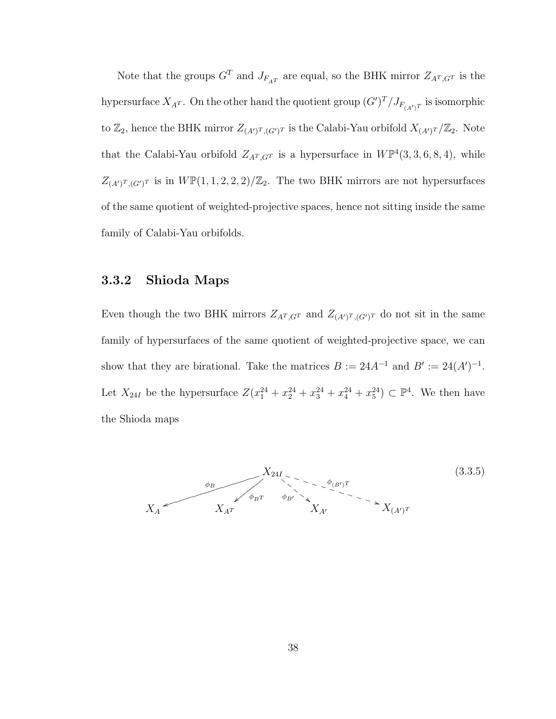Note that the groups  $G^T$  and  $J_{F_{A^T}}$  are equal, so the BHK mirror  $Z_{A^T,G^T}$  is the hypersurface  $X_{A^T}$ . On the other hand the quotient group  $(G')^T/J_{F_{(A')^T}}$  is isomorphic to  $\mathbb{Z}_2$ , hence the BHK mirror  $Z_{(A')^T,(G')^T}$  is the Calabi-Yau orbifold  $X_{(A')^T}/\mathbb{Z}_2$ . Note that the Calabi-Yau orbifold  $Z_{A^T,G^T}$  is a hypersurface in  $W\mathbb{P}^4(3,3,6,8,4)$ , while  $Z_{(A')^T,(G')^T}$  is in  $W\mathbb{P}(1,1,2,2,2)/\mathbb{Z}_2$ . The two BHK mirrors are not hypersurfaces of the same quotient of weighted-projective spaces, hence not sitting inside the same family of Calabi-Yau orbifolds.

### 3.3.2 Shioda Maps

Even though the two BHK mirrors  $Z_{A^T,G^T}$  and  $Z_{(A')^T,(G')^T}$  do not sit in the same family of hypersurfaces of the same quotient of weighted-projective space, we can show that they are birational. Take the matrices  $B := 24A^{-1}$  and  $B' := 24(A')^{-1}$ . Let  $X_{24I}$  be the hypersurface  $Z(x_1^{24} + x_2^{24} + x_3^{24} + x_4^{24} + x_5^{24}) \subset \mathbb{P}^4$ . We then have the Shioda maps

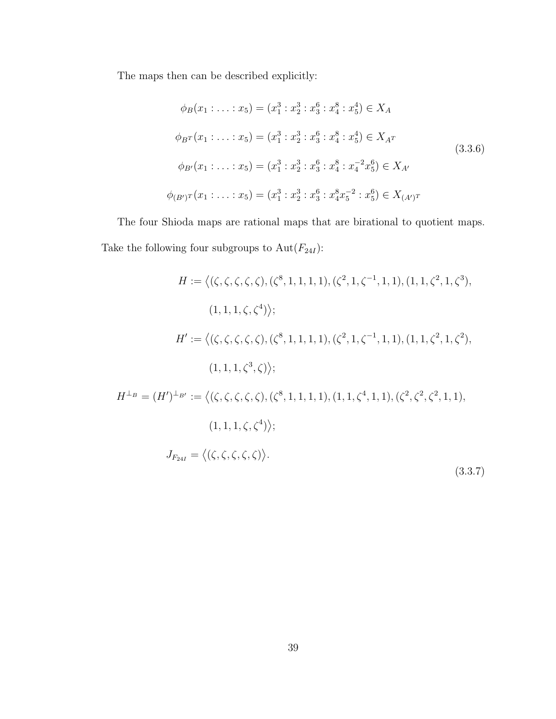The maps then can be described explicitly:

$$
\phi_B(x_1 : \dots : x_5) = (x_1^3 : x_2^3 : x_3^6 : x_4^8 : x_5^4) \in X_A
$$
  

$$
\phi_{BT}(x_1 : \dots : x_5) = (x_1^3 : x_2^3 : x_3^6 : x_4^8 : x_5^4) \in X_{A^T}
$$
  

$$
\phi_{B'}(x_1 : \dots : x_5) = (x_1^3 : x_2^3 : x_3^6 : x_4^8 : x_4^{-2} x_5^6) \in X_{A'}
$$
  

$$
\phi_{(B')^T}(x_1 : \dots : x_5) = (x_1^3 : x_2^3 : x_3^6 : x_4^8 x_5^{-2} : x_5^6) \in X_{(A')^T}
$$
  

$$
(3.3.6)
$$

The four Shioda maps are rational maps that are birational to quotient maps. Take the following four subgroups to  $\mathrm{Aut}(F_{24I})$  :

$$
H := \langle (\zeta, \zeta, \zeta, \zeta, \zeta), (\zeta^8, 1, 1, 1, 1), (\zeta^2, 1, \zeta^{-1}, 1, 1), (1, 1, \zeta^2, 1, \zeta^3),
$$
  
\n
$$
(1, 1, 1, \zeta, \zeta^4) \rangle;
$$
  
\n
$$
H' := \langle (\zeta, \zeta, \zeta, \zeta, \zeta), (\zeta^8, 1, 1, 1, 1), (\zeta^2, 1, \zeta^{-1}, 1, 1), (1, 1, \zeta^2, 1, \zeta^2),
$$
  
\n
$$
(1, 1, 1, \zeta^3, \zeta) \rangle;
$$
  
\n
$$
H^{\perp_B} = (H')^{\perp_{B'}} := \langle (\zeta, \zeta, \zeta, \zeta, \zeta), (\zeta^8, 1, 1, 1, 1), (1, 1, \zeta^4, 1, 1), (\zeta^2, \zeta^2, \zeta^2, 1, 1),
$$
  
\n
$$
(1, 1, 1, \zeta, \zeta^4) \rangle;
$$
  
\n
$$
J_{F_{24I}} = \langle (\zeta, \zeta, \zeta, \zeta, \zeta) \rangle.
$$
  
\n
$$
(3.3.7)
$$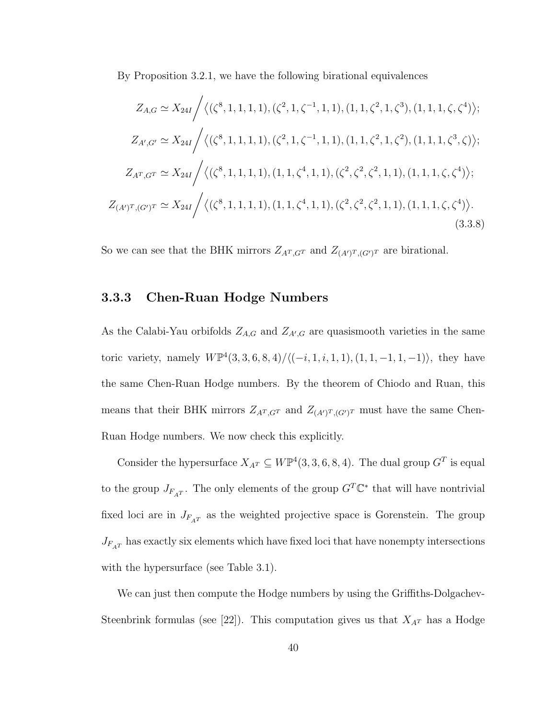By Proposition 3.2.1, we have the following birational equivalences

$$
Z_{A,G} \simeq X_{24I} / \langle (\zeta^8, 1, 1, 1, 1), (\zeta^2, 1, \zeta^{-1}, 1, 1), (1, 1, \zeta^2, 1, \zeta^3), (1, 1, 1, \zeta, \zeta^4) \rangle;
$$
  
\n
$$
Z_{A',G'} \simeq X_{24I} / \langle (\zeta^8, 1, 1, 1, 1), (\zeta^2, 1, \zeta^{-1}, 1, 1), (1, 1, \zeta^2, 1, \zeta^2), (1, 1, 1, \zeta^3, \zeta) \rangle;
$$
  
\n
$$
Z_{A^T,G^T} \simeq X_{24I} / \langle (\zeta^8, 1, 1, 1, 1), (1, 1, \zeta^4, 1, 1), (\zeta^2, \zeta^2, \zeta^2, 1, 1), (1, 1, 1, \zeta, \zeta^4) \rangle;
$$
  
\n
$$
Z_{(A')^T,(G')^T} \simeq X_{24I} / \langle (\zeta^8, 1, 1, 1, 1), (1, 1, \zeta^4, 1, 1), (\zeta^2, \zeta^2, \zeta^2, 1, 1), (1, 1, 1, \zeta, \zeta^4) \rangle.
$$
  
\n(3.3.8)

So we can see that the BHK mirrors  $Z_{A^T,G^T}$  and  $Z_{(A')^T,(G')^T}$  are birational.

### 3.3.3 Chen-Ruan Hodge Numbers

As the Calabi-Yau orbifolds  $Z_{A,G}$  and  $Z_{A',G}$  are quasismooth varieties in the same toric variety, namely  $W\mathbb{P}^4(3,3,6,8,4)/\langle(-i,1,i,1,1),(1,1,-1,1,-1)\rangle$ , they have the same Chen-Ruan Hodge numbers. By the theorem of Chiodo and Ruan, this means that their BHK mirrors  $Z_{A^T,G^T}$  and  $Z_{(A')^T,(G')^T}$  must have the same Chen-Ruan Hodge numbers. We now check this explicitly.

Consider the hypersurface  $X_{A^T} \subseteq W\mathbb{P}^4(3,3,6,8,4)$ . The dual group  $G^T$  is equal to the group  $J_{F_{A}T}$ . The only elements of the group  $G^T \mathbb{C}^*$  that will have nontrivial fixed loci are in  $J_{F_{A}T}$  as the weighted projective space is Gorenstein. The group  $J_{F_{\hspace{-.1em}A\hspace{-.1em}T}}$  has exactly six elements which have fixed loci that have nonempty intersections with the hypersurface (see Table 3.1).

We can just then compute the Hodge numbers by using the Griffiths-Dolgachev-Steenbrink formulas (see [22]). This computation gives us that  $X_{A<sup>T</sup>}$  has a Hodge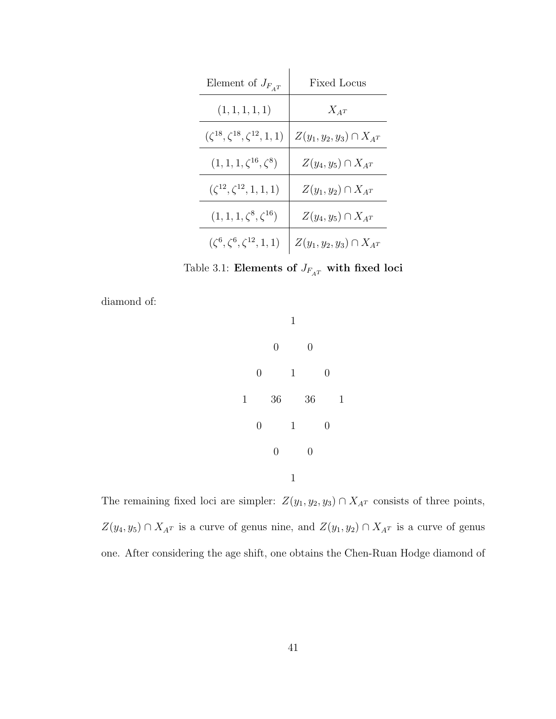| Element of $J_{F_{AT}}$                      | Fixed Locus                     |
|----------------------------------------------|---------------------------------|
| (1, 1, 1, 1, 1)                              | $X_{A^T}$                       |
| $(\zeta^{18}, \zeta^{18}, \zeta^{12}, 1, 1)$ | $Z(y_1, y_2, y_3) \cap X_{A^T}$ |
| $(1, 1, 1, \zeta^{16}, \zeta^8)$             | $Z(y_4, y_5) \cap X_{AT}$       |
| $(\zeta^{12}, \zeta^{12}, 1, 1, 1)$          | $Z(y_1, y_2) \cap X_{AT}$       |
| $(1, 1, 1, \zeta^8, \zeta^{16})$             | $Z(y_4, y_5) \cap X_{AT}$       |
| $(\zeta^6, \zeta^6, \zeta^{12}, 1, 1)$       | $Z(y_1,y_2,y_3)\cap X_{A^T}$    |

Table 3.1: Elements of  $J_{F_{\hspace{-.1em}A\hspace{-.1em}T}}$  with fixed loci

diamond of:



The remaining fixed loci are simpler:  $Z(y_1, y_2, y_3) \cap X_{A^T}$  consists of three points,  $Z(y_4, y_5) \cap X_{A^T}$  is a curve of genus nine, and  $Z(y_1, y_2) \cap X_{A^T}$  is a curve of genus one. After considering the age shift, one obtains the Chen-Ruan Hodge diamond of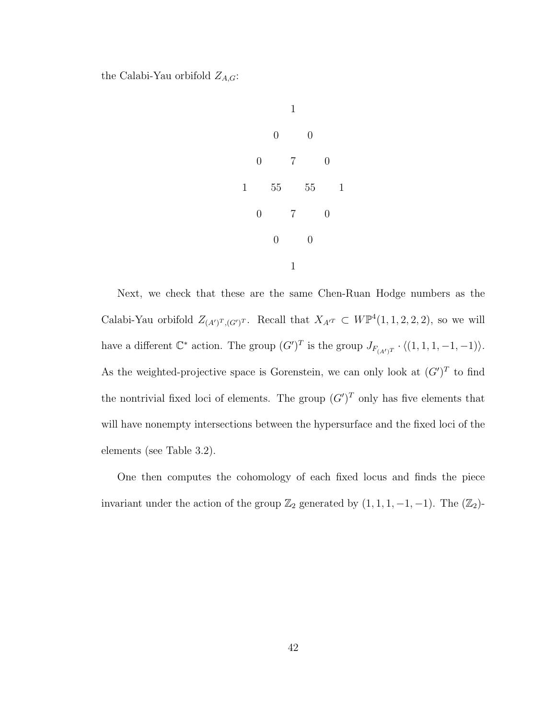the Calabi-Yau orbifold  $Z_{A,G}$ :



Next, we check that these are the same Chen-Ruan Hodge numbers as the Calabi-Yau orbifold  $Z_{(A')^T,(G')^T}$ . Recall that  $X_{A'^T} \subset W\mathbb{P}^4(1,1,2,2,2)$ , so we will have a different  $\mathbb{C}^*$  action. The group  $(G')^T$  is the group  $J_{F_{(A')^T}} \cdot \langle (1,1,1,-1,-1) \rangle$ . As the weighted-projective space is Gorenstein, we can only look at  $(G')^T$  to find the nontrivial fixed loci of elements. The group  $(G')^T$  only has five elements that will have nonempty intersections between the hypersurface and the fixed loci of the elements (see Table 3.2).

One then computes the cohomology of each fixed locus and finds the piece invariant under the action of the group  $\mathbb{Z}_2$  generated by  $(1, 1, 1, -1, -1)$ . The  $(\mathbb{Z}_2)$ -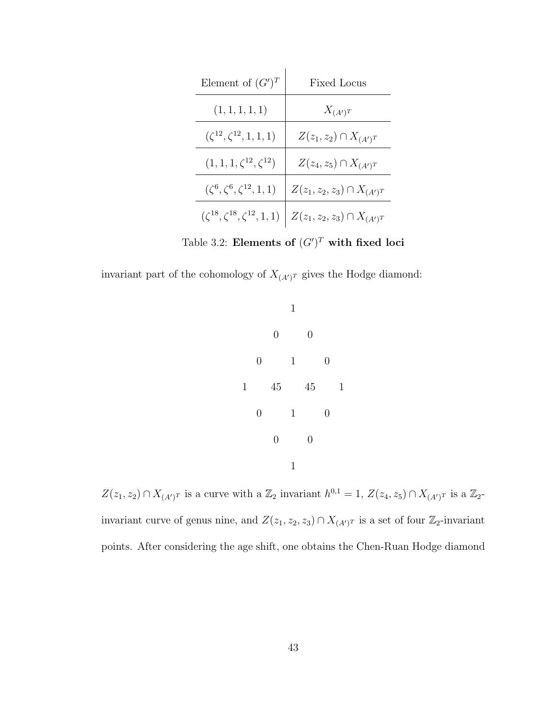| Element of $(G')^T$                          | Fixed Locus                        |
|----------------------------------------------|------------------------------------|
| (1, 1, 1, 1, 1)                              | $X_{(A')^T}$                       |
| $(\zeta^{12}, \zeta^{12}, 1, 1, 1)$          | $Z(z_1, z_2) \cap X_{(A')^T}$      |
| $(1, 1, 1, \zeta^{12}, \zeta^{12})$          | $Z(z_4, z_5) \cap X_{(A')^T}$      |
| $({\zeta}^6, {\zeta}^6, {\zeta}^{12}, 1, 1)$ | $Z(z_1, z_2, z_3) \cap X_{(A')^T}$ |
| $(\zeta^{18}, \zeta^{18}, \zeta^{12}, 1, 1)$ | $Z(z_1,z_2,z_3)\cap X_{(A')^T}$    |

Table 3.2: Elements of  $(G')^T$  with fixed loci

invariant part of the cohomology of  $X_{(A')^T}$  gives the Hodge diamond:



 $Z(z_1, z_2) \cap X_{(A')^T}$  is a curve with a  $\mathbb{Z}_2$  invariant  $h^{0,1} = 1$ ,  $Z(z_4, z_5) \cap X_{(A')^T}$  is a  $\mathbb{Z}_2$ invariant curve of genus nine, and  $Z(z_1, z_2, z_3) \cap X_{(A')^T}$  is a set of four  $\mathbb{Z}_2$ -invariant points. After considering the age shift, one obtains the Chen-Ruan Hodge diamond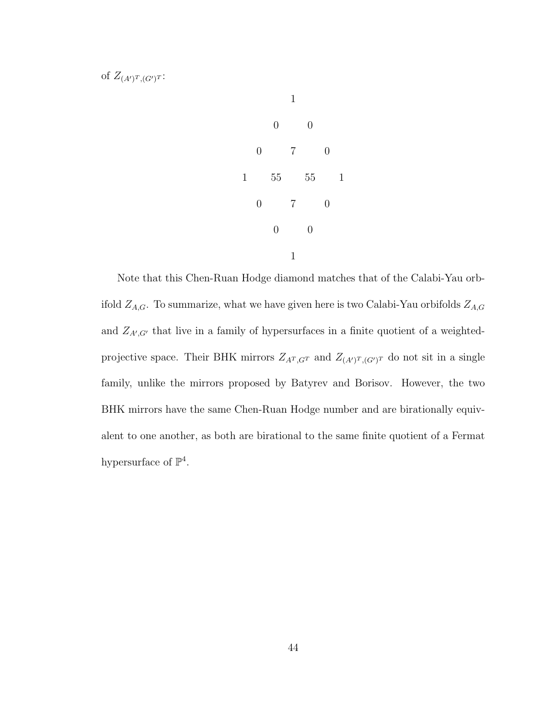

Note that this Chen-Ruan Hodge diamond matches that of the Calabi-Yau orbifold  $Z_{A,G}$ . To summarize, what we have given here is two Calabi-Yau orbifolds  $Z_{A,G}$ and  $Z_{A',G'}$  that live in a family of hypersurfaces in a finite quotient of a weightedprojective space. Their BHK mirrors  $Z_{A^T,G^T}$  and  $Z_{(A')^T,(G')^T}$  do not sit in a single family, unlike the mirrors proposed by Batyrev and Borisov. However, the two BHK mirrors have the same Chen-Ruan Hodge number and are birationally equivalent to one another, as both are birational to the same finite quotient of a Fermat hypersurface of  $\mathbb{P}^4$ .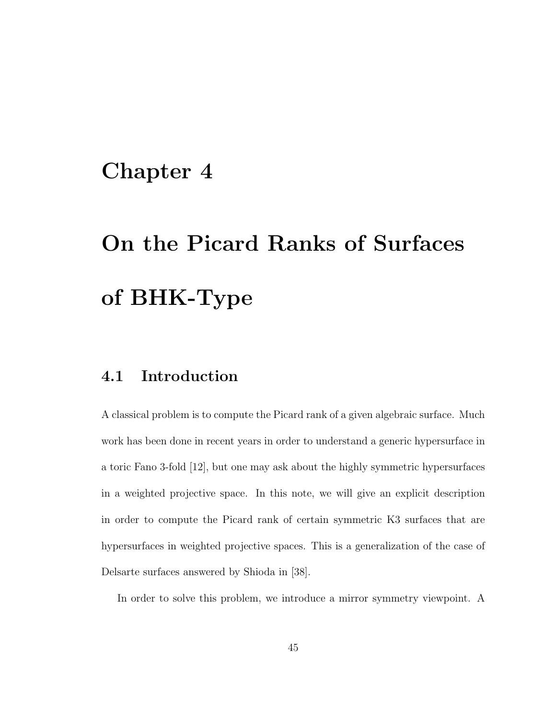# Chapter 4

# On the Picard Ranks of Surfaces of BHK-Type

# 4.1 Introduction

A classical problem is to compute the Picard rank of a given algebraic surface. Much work has been done in recent years in order to understand a generic hypersurface in a toric Fano 3-fold [12], but one may ask about the highly symmetric hypersurfaces in a weighted projective space. In this note, we will give an explicit description in order to compute the Picard rank of certain symmetric K3 surfaces that are hypersurfaces in weighted projective spaces. This is a generalization of the case of Delsarte surfaces answered by Shioda in [38].

In order to solve this problem, we introduce a mirror symmetry viewpoint. A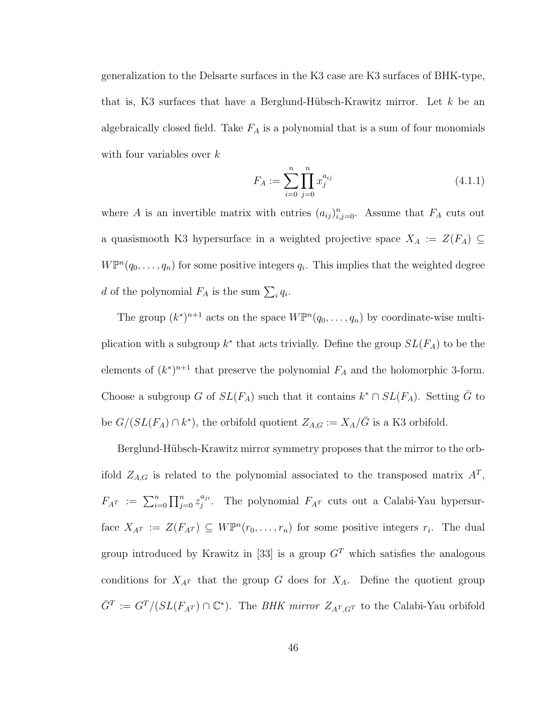generalization to the Delsarte surfaces in the K3 case are K3 surfaces of BHK-type, that is, K3 surfaces that have a Berglund-Hübsch-Krawitz mirror. Let  $k$  be an algebraically closed field. Take  $F_A$  is a polynomial that is a sum of four monomials with four variables over  $k$ 

$$
F_A := \sum_{i=0}^{n} \prod_{j=0}^{n} x_j^{a_{ij}} \tag{4.1.1}
$$

where A is an invertible matrix with entries  $(a_{ij})_{i,j=0}^n$ . Assume that  $F_A$  cuts out a quasismooth K3 hypersurface in a weighted projective space  $X_A := Z(F_A) \subseteq$  $W\mathbb{P}^n(q_0,\ldots,q_n)$  for some positive integers  $q_i$ . This implies that the weighted degree d of the polynomial  $F_A$  is the sum  $\sum_i q_i$ .

The group  $(k^*)^{n+1}$  acts on the space  $W\mathbb{P}^n(q_0,\ldots,q_n)$  by coordinate-wise multiplication with a subgroup  $k^*$  that acts trivially. Define the group  $SL(F_A)$  to be the elements of  $(k^*)^{n+1}$  that preserve the polynomial  $F_A$  and the holomorphic 3-form. Choose a subgroup G of  $SL(F_A)$  such that it contains  $k^* \cap SL(F_A)$ . Setting  $\overline{G}$  to be  $G/(SL(F_A) \cap k^*)$ , the orbifold quotient  $Z_{A,G} := X_A/\bar{G}$  is a K3 orbifold.

Berglund-Hübsch-Krawitz mirror symmetry proposes that the mirror to the orbifold  $Z_{A,G}$  is related to the polynomial associated to the transposed matrix  $A<sup>T</sup>$ ,  $F_{A^T} := \sum_{i=0}^n \prod_{j=0}^n z_j^{a_{ji}}$  $j^{a_{ji}}$ . The polynomial  $F_{A^T}$  cuts out a Calabi-Yau hypersurface  $X_{A^T} := Z(F_{A^T}) \subseteq W\mathbb{P}^n(r_0,\ldots,r_n)$  for some positive integers  $r_i$ . The dual group introduced by Krawitz in [33] is a group  $G<sup>T</sup>$  which satisfies the analogous conditions for  $X_{A^T}$  that the group G does for  $X_A$ . Define the quotient group  $\bar{G}^T := G^T / (SL(F_{A^T}) \cap \mathbb{C}^*)$ . The *BHK mirror*  $Z_{A^T,G^T}$  to the Calabi-Yau orbifold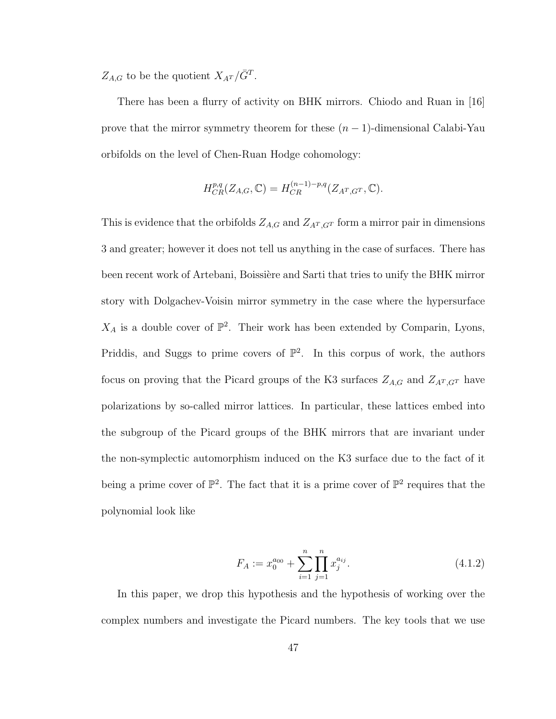$Z_{A,G}$  to be the quotient  $X_{A^T}/\bar{G}^T$ .

There has been a flurry of activity on BHK mirrors. Chiodo and Ruan in [16] prove that the mirror symmetry theorem for these  $(n-1)$ -dimensional Calabi-Yau orbifolds on the level of Chen-Ruan Hodge cohomology:

$$
H_{CR}^{p,q}(Z_{A,G},\mathbb{C})=H_{CR}^{(n-1)-p,q}(Z_{A^T,G^T},\mathbb{C}).
$$

This is evidence that the orbifolds  $Z_{A,G}$  and  $Z_{A<sup>T</sup>,G<sup>T</sup>}$  form a mirror pair in dimensions 3 and greater; however it does not tell us anything in the case of surfaces. There has been recent work of Artebani, Boissière and Sarti that tries to unify the BHK mirror story with Dolgachev-Voisin mirror symmetry in the case where the hypersurface  $X_A$  is a double cover of  $\mathbb{P}^2$ . Their work has been extended by Comparin, Lyons, Priddis, and Suggs to prime covers of  $\mathbb{P}^2$ . In this corpus of work, the authors focus on proving that the Picard groups of the K3 surfaces  $Z_{A,G}$  and  $Z_{A<sup>T</sup>,G<sup>T</sup>}$  have polarizations by so-called mirror lattices. In particular, these lattices embed into the subgroup of the Picard groups of the BHK mirrors that are invariant under the non-symplectic automorphism induced on the K3 surface due to the fact of it being a prime cover of  $\mathbb{P}^2$ . The fact that it is a prime cover of  $\mathbb{P}^2$  requires that the polynomial look like

$$
F_A := x_0^{a_{00}} + \sum_{i=1}^n \prod_{j=1}^n x_j^{a_{ij}}.
$$
\n(4.1.2)

In this paper, we drop this hypothesis and the hypothesis of working over the complex numbers and investigate the Picard numbers. The key tools that we use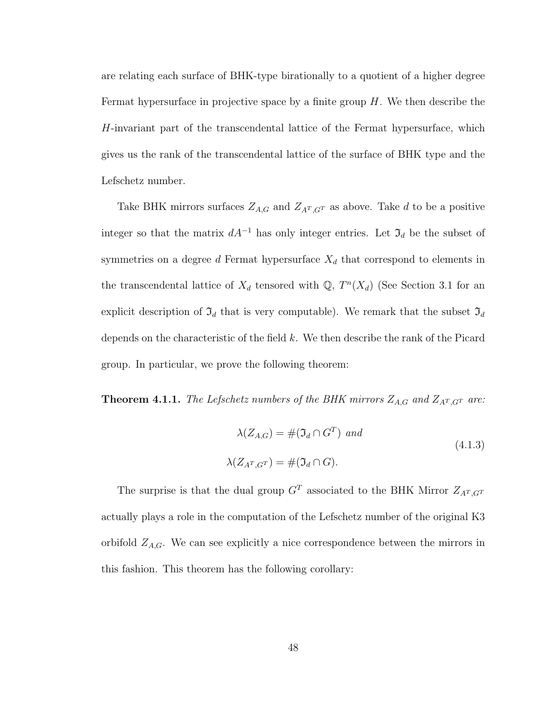are relating each surface of BHK-type birationally to a quotient of a higher degree Fermat hypersurface in projective space by a finite group  $H$ . We then describe the H-invariant part of the transcendental lattice of the Fermat hypersurface, which gives us the rank of the transcendental lattice of the surface of BHK type and the Lefschetz number.

Take BHK mirrors surfaces  $Z_{A,G}$  and  $Z_{A^T,G^T}$  as above. Take d to be a positive integer so that the matrix  $dA^{-1}$  has only integer entries. Let  $\mathfrak{I}_d$  be the subset of symmetries on a degree d Fermat hypersurface  $X_d$  that correspond to elements in the transcendental lattice of  $X_d$  tensored with  $\mathbb{Q}, T^n(X_d)$  (See Section 3.1 for an explicit description of  $\mathfrak{I}_d$  that is very computable). We remark that the subset  $\mathfrak{I}_d$ depends on the characteristic of the field  $k$ . We then describe the rank of the Picard group. In particular, we prove the following theorem:

**Theorem 4.1.1.** The Lefschetz numbers of the BHK mirrors  $Z_{A,G}$  and  $Z_{A<sup>T</sup>,G<sup>T</sup>}$  are:

$$
\lambda(Z_{A,G}) = \#(\mathfrak{I}_d \cap G^T) \text{ and}
$$
  

$$
\lambda(Z_{A^T,G^T}) = \#(\mathfrak{I}_d \cap G).
$$
 (4.1.3)

The surprise is that the dual group  $G^T$  associated to the BHK Mirror  $Z_{A^T,G^T}$ actually plays a role in the computation of the Lefschetz number of the original K3 orbifold  $Z_{A,G}$ . We can see explicitly a nice correspondence between the mirrors in this fashion. This theorem has the following corollary: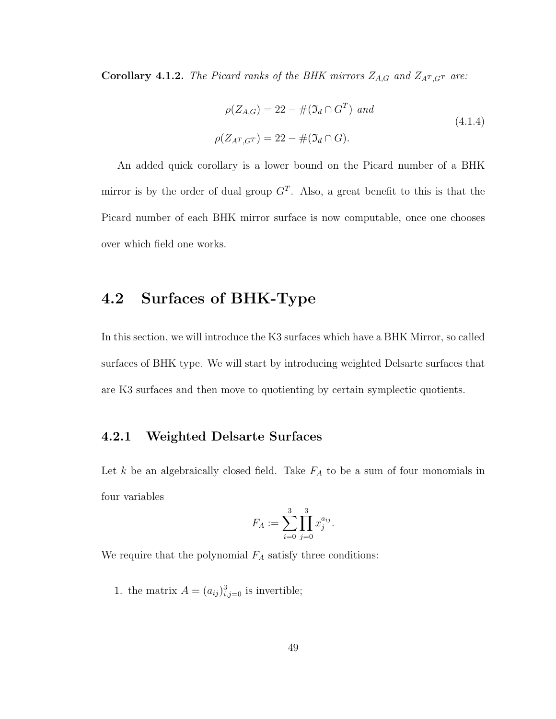**Corollary 4.1.2.** The Picard ranks of the BHK mirrors  $Z_{A,G}$  and  $Z_{A<sup>T</sup>,G<sup>T</sup>}$  are:

$$
\rho(Z_{A,G}) = 22 - #(\Im_d \cap G^T) \text{ and}
$$
\n
$$
\rho(Z_{A^T,G^T}) = 22 - #(\Im_d \cap G).
$$
\n(4.1.4)

An added quick corollary is a lower bound on the Picard number of a BHK mirror is by the order of dual group  $G<sup>T</sup>$ . Also, a great benefit to this is that the Picard number of each BHK mirror surface is now computable, once one chooses over which field one works.

# 4.2 Surfaces of BHK-Type

In this section, we will introduce the K3 surfaces which have a BHK Mirror, so called surfaces of BHK type. We will start by introducing weighted Delsarte surfaces that are K3 surfaces and then move to quotienting by certain symplectic quotients.

### 4.2.1 Weighted Delsarte Surfaces

Let  $k$  be an algebraically closed field. Take  $F_A$  to be a sum of four monomials in four variables

$$
F_A := \sum_{i=0}^3 \prod_{j=0}^3 x_j^{a_{ij}}.
$$

We require that the polynomial  $F_A$  satisfy three conditions:

1. the matrix  $A = (a_{ij})_{i,j=0}^3$  is invertible;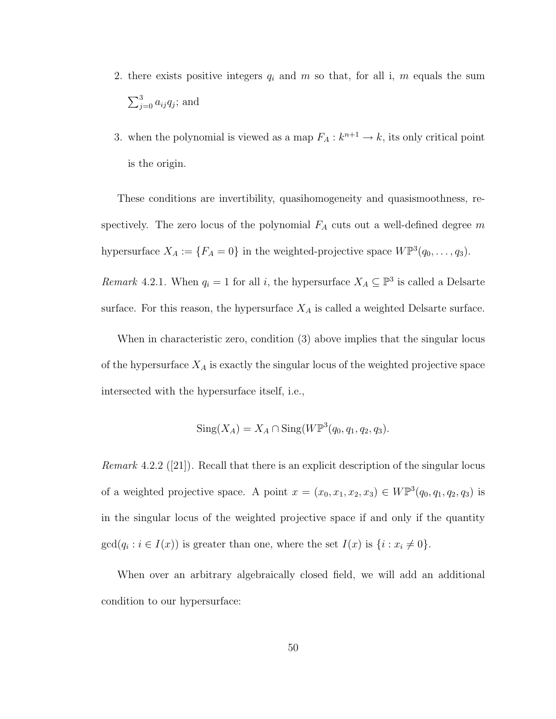- 2. there exists positive integers  $q_i$  and  $m$  so that, for all i,  $m$  equals the sum  $\sum_{j=0}^{3} a_{ij} q_j$ ; and
- 3. when the polynomial is viewed as a map  $F_A: k^{n+1} \to k$ , its only critical point is the origin.

These conditions are invertibility, quasihomogeneity and quasismoothness, respectively. The zero locus of the polynomial  $F_A$  cuts out a well-defined degree m hypersurface  $X_A := \{F_A = 0\}$  in the weighted-projective space  $W\mathbb{P}^3(q_0,\ldots,q_3)$ .

Remark 4.2.1. When  $q_i = 1$  for all i, the hypersurface  $X_A \subseteq \mathbb{P}^3$  is called a Delsarte surface. For this reason, the hypersurface  $X_A$  is called a weighted Delsarte surface.

When in characteristic zero, condition (3) above implies that the singular locus of the hypersurface  $X_A$  is exactly the singular locus of the weighted projective space intersected with the hypersurface itself, i.e.,

$$
Sing(X_A) = X_A \cap Sing(W\mathbb{P}^3(q_0, q_1, q_2, q_3).
$$

*Remark* 4.2.2 ([21]). Recall that there is an explicit description of the singular locus of a weighted projective space. A point  $x = (x_0, x_1, x_2, x_3) \in W\mathbb{P}^3(q_0, q_1, q_2, q_3)$  is in the singular locus of the weighted projective space if and only if the quantity  $gcd(q_i : i \in I(x))$  is greater than one, where the set  $I(x)$  is  $\{i : x_i \neq 0\}.$ 

When over an arbitrary algebraically closed field, we will add an additional condition to our hypersurface: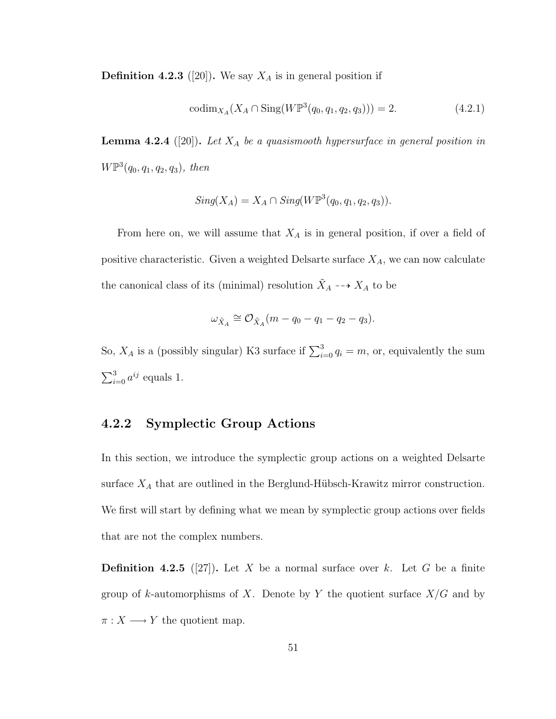**Definition 4.2.3** ([20]). We say  $X_A$  is in general position if

$$
\text{codim}_{X_A}(X_A \cap \text{Sing}(W\mathbb{P}^3(q_0, q_1, q_2, q_3))) = 2. \tag{4.2.1}
$$

**Lemma 4.2.4** ([20]). Let  $X_A$  be a quasismooth hypersurface in general position in  $W\mathbb{P}^3(q_0,q_1,q_2,q_3)$ , then

$$
Sing(X_A) = X_A \cap Sing(W\mathbb{P}^3(q_0, q_1, q_2, q_3)).
$$

From here on, we will assume that  $X_A$  is in general position, if over a field of positive characteristic. Given a weighted Delsarte surface  $X_A$ , we can now calculate the canonical class of its (minimal) resolution  $\tilde{X}_A \dashrightarrow X_A$  to be

$$
\omega_{\tilde{X}_A} \cong \mathcal{O}_{\tilde{X}_A}(m - q_0 - q_1 - q_2 - q_3).
$$

So,  $X_A$  is a (possibly singular) K3 surface if  $\sum_{i=0}^{3} q_i = m$ , or, equivalently the sum  $\sum_{i=0}^{3} a^{ij}$  equals 1.

### 4.2.2 Symplectic Group Actions

In this section, we introduce the symplectic group actions on a weighted Delsarte surface  $X_A$  that are outlined in the Berglund-Hübsch-Krawitz mirror construction. We first will start by defining what we mean by symplectic group actions over fields that are not the complex numbers.

**Definition 4.2.5** ([27]). Let X be a normal surface over k. Let G be a finite group of k-automorphisms of X. Denote by Y the quotient surface  $X/G$  and by  $\pi: X \longrightarrow Y$  the quotient map.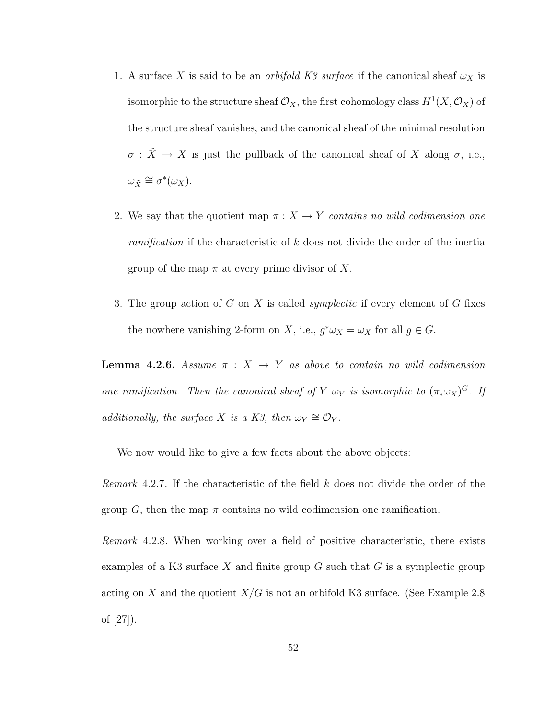- 1. A surface X is said to be an *orbifold K3 surface* if the canonical sheaf  $\omega_X$  is isomorphic to the structure sheaf  $\mathcal{O}_X$ , the first cohomology class  $H^1(X, \mathcal{O}_X)$  of the structure sheaf vanishes, and the canonical sheaf of the minimal resolution  $\sigma$  :  $\tilde{X} \rightarrow X$  is just the pullback of the canonical sheaf of X along  $\sigma$ , i.e.,  $\omega_{\tilde{X}} \cong \sigma^*(\omega_X).$
- 2. We say that the quotient map  $\pi : X \to Y$  contains no wild codimension one ramification if the characteristic of k does not divide the order of the inertia group of the map  $\pi$  at every prime divisor of X.
- 3. The group action of  $G$  on  $X$  is called *symplectic* if every element of  $G$  fixes the nowhere vanishing 2-form on X, i.e.,  $g^*\omega_X = \omega_X$  for all  $g \in G$ .

**Lemma 4.2.6.** Assume  $\pi$  :  $X \rightarrow Y$  as above to contain no wild codimension one ramification. Then the canonical sheaf of Y  $\omega_Y$  is isomorphic to  $(\pi_* \omega_X)^G$ . If additionally, the surface X is a K3, then  $\omega_Y \cong \mathcal{O}_Y$ .

We now would like to give a few facts about the above objects:

Remark 4.2.7. If the characteristic of the field  $k$  does not divide the order of the group G, then the map  $\pi$  contains no wild codimension one ramification.

Remark 4.2.8. When working over a field of positive characteristic, there exists examples of a K3 surface X and finite group  $G$  such that  $G$  is a symplectic group acting on X and the quotient  $X/G$  is not an orbifold K3 surface. (See Example 2.8) of [27]).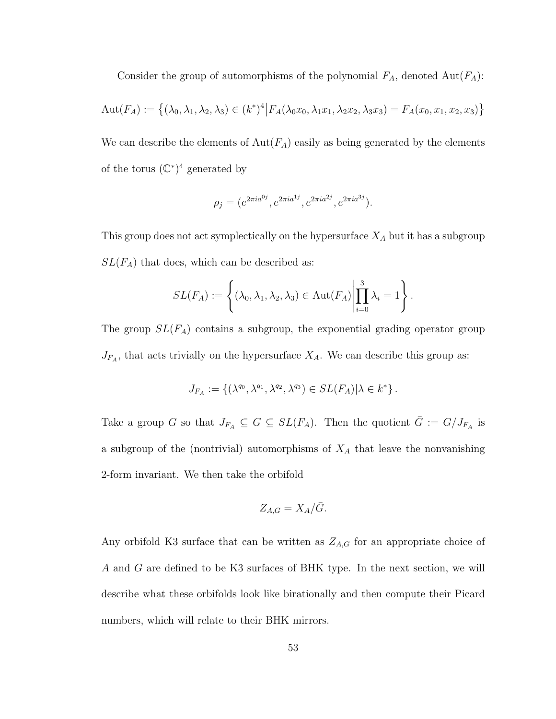Consider the group of automorphisms of the polynomial  $F_A$ , denoted  $Aut(F_A)$ :

$$
Aut(F_A) := \left\{ (\lambda_0, \lambda_1, \lambda_2, \lambda_3) \in (k^*)^4 \middle| F_A(\lambda_0 x_0, \lambda_1 x_1, \lambda_2 x_2, \lambda_3 x_3) = F_A(x_0, x_1, x_2, x_3) \right\}
$$

We can describe the elements of  $Aut(F_A)$  easily as being generated by the elements of the torus  $(\mathbb{C}^*)^4$  generated by

$$
\rho_j = (e^{2\pi i a^{0j}}, e^{2\pi i a^{1j}}, e^{2\pi i a^{2j}}, e^{2\pi i a^{3j}}).
$$

This group does not act symplectically on the hypersurface  $X_A$  but it has a subgroup  $SL(F_A)$  that does, which can be described as:

$$
SL(F_A) := \left\{ (\lambda_0, \lambda_1, \lambda_2, \lambda_3) \in \mathrm{Aut}(F_A) \middle| \prod_{i=0}^3 \lambda_i = 1 \right\}.
$$

The group  $SL(F_A)$  contains a subgroup, the exponential grading operator group  $J_{F_A}$ , that acts trivially on the hypersurface  $X_A$ . We can describe this group as:

$$
J_{F_A}:=\left\{(\lambda^{q_0},\lambda^{q_1},\lambda^{q_2},\lambda^{q_3})\in SL(F_A)|\lambda\in k^*\right\}.
$$

Take a group G so that  $J_{F_A} \subseteq G \subseteq SL(F_A)$ . Then the quotient  $\overline{G} := G/J_{F_A}$  is a subgroup of the (nontrivial) automorphisms of  $X_A$  that leave the nonvanishing 2-form invariant. We then take the orbifold

$$
Z_{A,G} = X_A / \bar{G}.
$$

Any orbifold K3 surface that can be written as  $Z_{A,G}$  for an appropriate choice of A and G are defined to be K3 surfaces of BHK type. In the next section, we will describe what these orbifolds look like birationally and then compute their Picard numbers, which will relate to their BHK mirrors.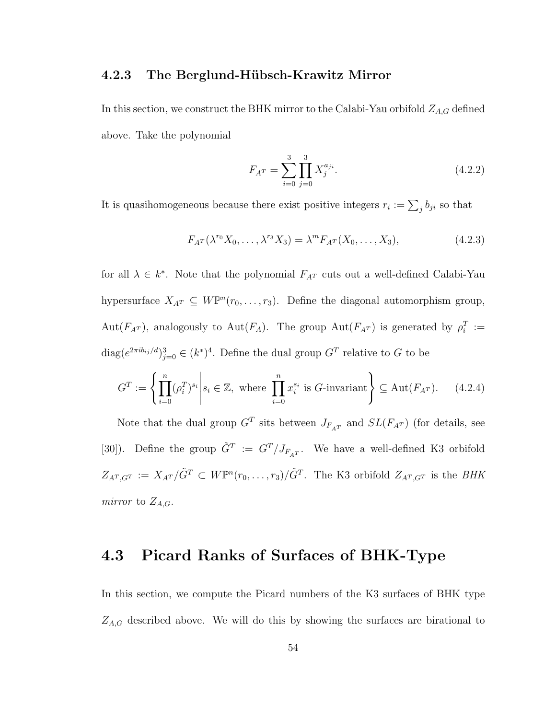#### 4.2.3 The Berglund-Hübsch-Krawitz Mirror

In this section, we construct the BHK mirror to the Calabi-Yau orbifold  $Z_{A,G}$  defined above. Take the polynomial

$$
F_{A^T} = \sum_{i=0}^{3} \prod_{j=0}^{3} X_j^{a_{ji}}.
$$
\n(4.2.2)

It is quasihomogeneous because there exist positive integers  $r_i := \sum_j b_{ji}$  so that

$$
F_{A^T}(\lambda^{r_0}X_0,\ldots,\lambda^{r_3}X_3)=\lambda^m F_{A^T}(X_0,\ldots,X_3),\qquad(4.2.3)
$$

for all  $\lambda \in k^*$ . Note that the polynomial  $F_{A^T}$  cuts out a well-defined Calabi-Yau hypersurface  $X_{A^T} \subseteq W\mathbb{P}^n(r_0,\ldots,r_3)$ . Define the diagonal automorphism group,  $Aut(F_{A^T})$ , analogously to  $Aut(F_A)$ . The group  $Aut(F_{A^T})$  is generated by  $\rho_i^T :=$  $\text{diag}(e^{2\pi ib_{ij}/d})_{j=0}^3 \in (k^*)^4$ . Define the dual group  $G^T$  relative to G to be

$$
G^{T} := \left\{ \prod_{i=0}^{n} (\rho_i^{T})^{s_i} \middle| s_i \in \mathbb{Z}, \text{ where } \prod_{i=0}^{n} x_i^{s_i} \text{ is } G\text{-invariant} \right\} \subseteq \text{Aut}(F_{A^{T}}). \tag{4.2.4}
$$

Note that the dual group  $G<sup>T</sup>$  sits between  $J_{F_AT}$  and  $SL(F_{A^T})$  (for details, see [30]). Define the group  $\tilde{G}^T := G^T/J_{F_AT}$ . We have a well-defined K3 orbifold  $Z_{A^T,G^T} := X_{A^T}/\tilde{G}^T \subset W\mathbb{P}^n(r_0,\ldots,r_3)/\tilde{G}^T$ . The K3 orbifold  $Z_{A^T,G^T}$  is the BHK mirror to  $Z_{A,G}$ .

# 4.3 Picard Ranks of Surfaces of BHK-Type

In this section, we compute the Picard numbers of the K3 surfaces of BHK type  $Z_{A,G}$  described above. We will do this by showing the surfaces are birational to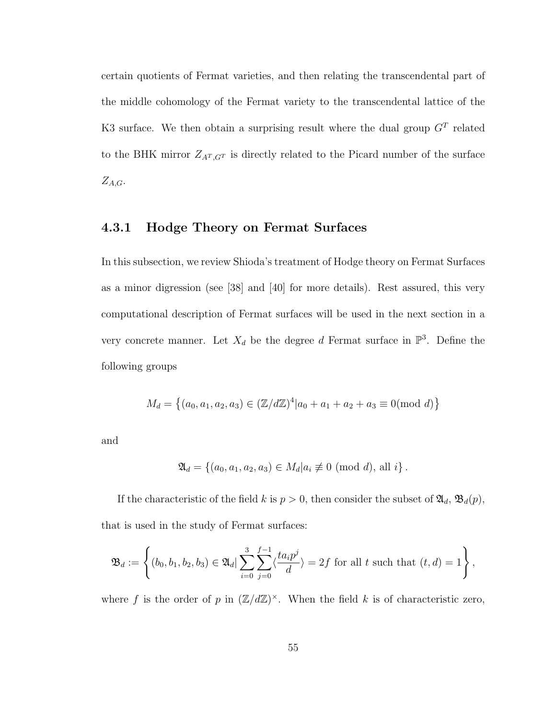certain quotients of Fermat varieties, and then relating the transcendental part of the middle cohomology of the Fermat variety to the transcendental lattice of the K3 surface. We then obtain a surprising result where the dual group  $G<sup>T</sup>$  related to the BHK mirror  $Z_{A^T,G^T}$  is directly related to the Picard number of the surface  $Z_{A,G}.$ 

#### 4.3.1 Hodge Theory on Fermat Surfaces

In this subsection, we review Shioda's treatment of Hodge theory on Fermat Surfaces as a minor digression (see [38] and [40] for more details). Rest assured, this very computational description of Fermat surfaces will be used in the next section in a very concrete manner. Let  $X_d$  be the degree d Fermat surface in  $\mathbb{P}^3$ . Define the following groups

$$
M_d = \left\{ (a_0, a_1, a_2, a_3) \in (\mathbb{Z}/d\mathbb{Z})^4 | a_0 + a_1 + a_2 + a_3 \equiv 0 \pmod{d} \right\}
$$

and

$$
\mathfrak{A}_d = \{(a_0, a_1, a_2, a_3) \in M_d | a_i \not\equiv 0 \pmod{d}, \text{ all } i\}.
$$

If the characteristic of the field k is  $p > 0$ , then consider the subset of  $\mathfrak{A}_d$ ,  $\mathfrak{B}_d(p)$ , that is used in the study of Fermat surfaces:

$$
\mathfrak{B}_d := \left\{ (b_0, b_1, b_2, b_3) \in \mathfrak{A}_d \mid \sum_{i=0}^3 \sum_{j=0}^{f-1} \langle \frac{ta_i p^j}{d} \rangle = 2f \text{ for all } t \text{ such that } (t, d) = 1 \right\},\
$$

where f is the order of p in  $(\mathbb{Z}/d\mathbb{Z})^{\times}$ . When the field k is of characteristic zero,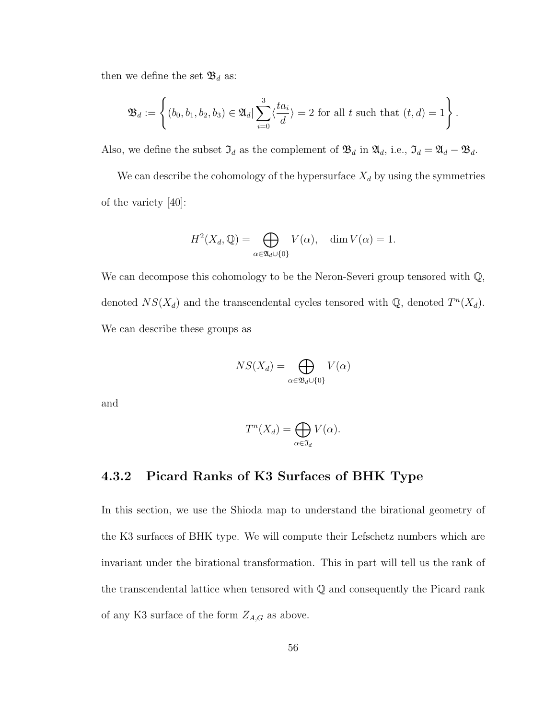then we define the set  $\mathfrak{B}_d$  as:

$$
\mathfrak{B}_d := \left\{ (b_0, b_1, b_2, b_3) \in \mathfrak{A}_d \mid \sum_{i=0}^3 \langle \frac{ta_i}{d} \rangle = 2 \text{ for all } t \text{ such that } (t, d) = 1 \right\}.
$$

Also, we define the subset  $\mathfrak{I}_d$  as the complement of  $\mathfrak{B}_d$  in  $\mathfrak{A}_d$ , i.e.,  $\mathfrak{I}_d = \mathfrak{A}_d - \mathfrak{B}_d$ .

We can describe the cohomology of the hypersurface  $X_d$  by using the symmetries of the variety [40]:

$$
H^{2}(X_{d}, \mathbb{Q}) = \bigoplus_{\alpha \in \mathfrak{A}_{d} \cup \{0\}} V(\alpha), \quad \dim V(\alpha) = 1.
$$

We can decompose this cohomology to be the Neron-Severi group tensored with  $\mathbb{Q}$ , denoted  $NS(X_d)$  and the transcendental cycles tensored with  $\mathbb{Q}$ , denoted  $T^n(X_d)$ . We can describe these groups as

$$
NS(X_d) = \bigoplus_{\alpha \in \mathfrak{B}_d \cup \{0\}} V(\alpha)
$$

and

$$
T^n(X_d) = \bigoplus_{\alpha \in \mathfrak{I}_d} V(\alpha).
$$

## 4.3.2 Picard Ranks of K3 Surfaces of BHK Type

In this section, we use the Shioda map to understand the birational geometry of the K3 surfaces of BHK type. We will compute their Lefschetz numbers which are invariant under the birational transformation. This in part will tell us the rank of the transcendental lattice when tensored with Q and consequently the Picard rank of any K3 surface of the form  $Z_{A,G}$  as above.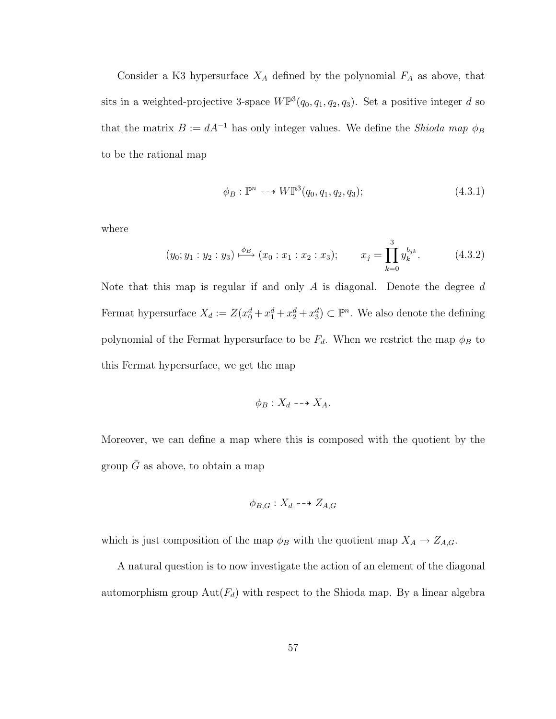Consider a K3 hypersurface  $X_A$  defined by the polynomial  $F_A$  as above, that sits in a weighted-projective 3-space  $W\mathbb{P}^3(q_0, q_1, q_2, q_3)$ . Set a positive integer d so that the matrix  $B := dA^{-1}$  has only integer values. We define the *Shioda map*  $\phi_B$ to be the rational map

$$
\phi_B: \mathbb{P}^n \dashrightarrow W\mathbb{P}^3(q_0, q_1, q_2, q_3); \tag{4.3.1}
$$

where

$$
(y_0; y_1 : y_2 : y_3) \xrightarrow{\phi_B} (x_0 : x_1 : x_2 : x_3); \qquad x_j = \prod_{k=0}^3 y_k^{b_{jk}}.
$$
 (4.3.2)

Note that this map is regular if and only A is diagonal. Denote the degree  $d$ Fermat hypersurface  $X_d := Z(x_0^d + x_1^d + x_2^d + x_3^d) \subset \mathbb{P}^n$ . We also denote the defining polynomial of the Fermat hypersurface to be  $F_d$ . When we restrict the map  $\phi_B$  to this Fermat hypersurface, we get the map

$$
\phi_B: X_d \dashrightarrow X_A.
$$

Moreover, we can define a map where this is composed with the quotient by the group  $\bar{G}$  as above, to obtain a map

$$
\phi_{B,G}: X_d \dashrightarrow Z_{A,G}
$$

which is just composition of the map  $\phi_B$  with the quotient map  $X_A \to Z_{A,G}$ .

A natural question is to now investigate the action of an element of the diagonal automorphism group  $Aut(F_d)$  with respect to the Shioda map. By a linear algebra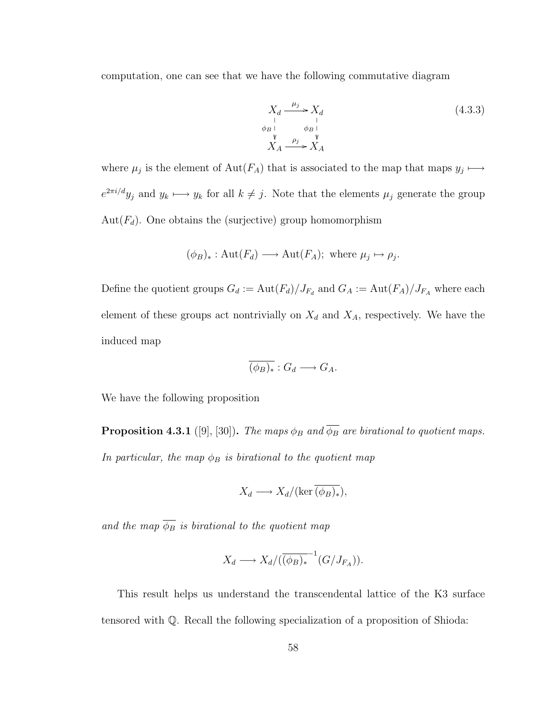computation, one can see that we have the following commutative diagram

$$
X_d \xrightarrow[\qquad \qquad \downarrow \qquad \qquad}_{B}]{X_d} \tag{4.3.3}
$$
  
\n
$$
\overrightarrow{Y} \qquad \qquad \downarrow \qquad}_{B} \qquad \qquad \downarrow \qquad \qquad (4.3.3)
$$
  
\n
$$
X_A \xrightarrow{\rho_j} X_A
$$

where  $\mu_j$  is the element of Aut( $F_A$ ) that is associated to the map that maps  $y_j \mapsto$  $e^{2\pi i/d}y_j$  and  $y_k \longmapsto y_k$  for all  $k \neq j$ . Note that the elements  $\mu_j$  generate the group Aut $(F_d)$ . One obtains the (surjective) group homomorphism

$$
(\phi_B)_* : \text{Aut}(F_d) \longrightarrow \text{Aut}(F_A); \text{ where } \mu_j \mapsto \rho_j.
$$

Define the quotient groups  $G_d := \text{Aut}(F_d)/J_{F_d}$  and  $G_A := \text{Aut}(F_A)/J_{F_A}$  where each element of these groups act nontrivially on  $X_d$  and  $X_A$ , respectively. We have the induced map

$$
\overline{(\phi_B)_*}: G_d \longrightarrow G_A.
$$

We have the following proposition

**Proposition 4.3.1** ([9], [30]). The maps  $\phi_B$  and  $\overline{\phi_B}$  are birational to quotient maps. In particular, the map  $\phi_B$  is birational to the quotient map

$$
X_d \longrightarrow X_d/(\ker \overline{(\phi_B)_*}),
$$

and the map  $\overline{\phi_B}$  is birational to the quotient map

$$
X_d \longrightarrow X_d/(\overline{(\phi_B)_*}^{-1}(G/J_{F_A})).
$$

This result helps us understand the transcendental lattice of the K3 surface tensored with Q. Recall the following specialization of a proposition of Shioda: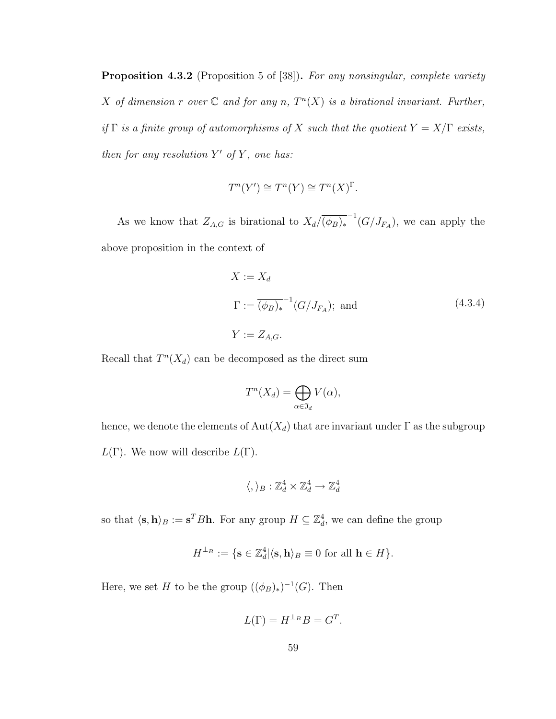Proposition 4.3.2 (Proposition 5 of [38]). For any nonsingular, complete variety X of dimension r over  $\mathbb C$  and for any n,  $T^n(X)$  is a birational invariant. Further, if  $\Gamma$  is a finite group of automorphisms of X such that the quotient  $Y = X/\Gamma$  exists, then for any resolution  $Y'$  of  $Y$ , one has:

$$
T^{n}(Y') \cong T^{n}(Y) \cong T^{n}(X)^{\Gamma}.
$$

As we know that  $Z_{A,G}$  is birational to  $X_d/(\overline{\phi_B)_*}^{-1}(G/J_{F_A})$ , we can apply the above proposition in the context of

$$
X := X_d
$$
  
\n
$$
\Gamma := \overline{(\phi_B)_*}^{-1} (G/J_{F_A});
$$
 and  
\n
$$
Y := Z_{A,G}.
$$
\n(4.3.4)

Recall that  $T^n(X_d)$  can be decomposed as the direct sum

$$
T^n(X_d) = \bigoplus_{\alpha \in \mathfrak{I}_d} V(\alpha),
$$

hence, we denote the elements of  $Aut(X_d)$  that are invariant under  $\Gamma$  as the subgroup  $L(\Gamma)$ . We now will describe  $L(\Gamma)$ .

$$
\langle,\rangle_B:\mathbb{Z}_d^4\times\mathbb{Z}_d^4\to\mathbb{Z}_d^4
$$

so that  $\langle \mathbf{s}, \mathbf{h} \rangle_B := \mathbf{s}^T B \mathbf{h}$ . For any group  $H \subseteq \mathbb{Z}_d^4$ , we can define the group

$$
H^{\perp_B} := \{ \mathbf{s} \in \mathbb{Z}_d^4 | \langle \mathbf{s}, \mathbf{h} \rangle_B \equiv 0 \text{ for all } \mathbf{h} \in H \}.
$$

Here, we set H to be the group  $((\phi_B)_*)^{-1}(G)$ . Then

$$
L(\Gamma) = H^{\perp_B} B = G^T.
$$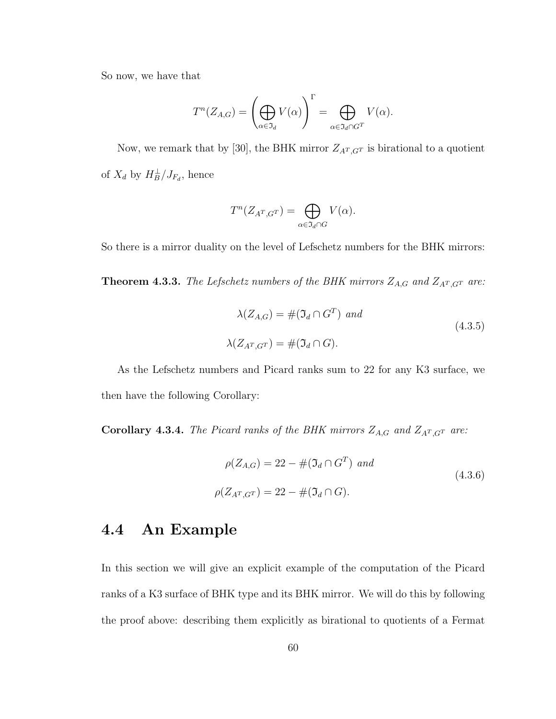So now, we have that

$$
T^n(Z_{A,G}) = \left(\bigoplus_{\alpha \in \mathfrak{I}_d} V(\alpha)\right)^{\Gamma} = \bigoplus_{\alpha \in \mathfrak{I}_d \cap G^T} V(\alpha).
$$

Now, we remark that by [30], the BHK mirror  $Z_{A^T,G^T}$  is birational to a quotient of  $X_d$  by  $H_B^{\perp}/J_{F_d}$ , hence

$$
T^n(Z_{A^T,G^T}) = \bigoplus_{\alpha \in \mathfrak{I}_d \cap G} V(\alpha).
$$

So there is a mirror duality on the level of Lefschetz numbers for the BHK mirrors:

**Theorem 4.3.3.** The Lefschetz numbers of the BHK mirrors  $Z_{A,G}$  and  $Z_{A<sup>T</sup>,G<sup>T</sup>}$  are:

$$
\lambda(Z_{A,G}) = #(\mathfrak{I}_d \cap G^T) \text{ and}
$$
  

$$
\lambda(Z_{A^T,G^T}) = #(\mathfrak{I}_d \cap G).
$$
 (4.3.5)

As the Lefschetz numbers and Picard ranks sum to 22 for any K3 surface, we then have the following Corollary:

**Corollary 4.3.4.** The Picard ranks of the BHK mirrors  $Z_{A,G}$  and  $Z_{A<sup>T</sup>,G<sup>T</sup>}$  are:

$$
\rho(Z_{A,G}) = 22 - #(\Im_d \cap G^T) \text{ and}
$$
\n
$$
\rho(Z_{A^T,G^T}) = 22 - #(\Im_d \cap G).
$$
\n(4.3.6)

# 4.4 An Example

In this section we will give an explicit example of the computation of the Picard ranks of a K3 surface of BHK type and its BHK mirror. We will do this by following the proof above: describing them explicitly as birational to quotients of a Fermat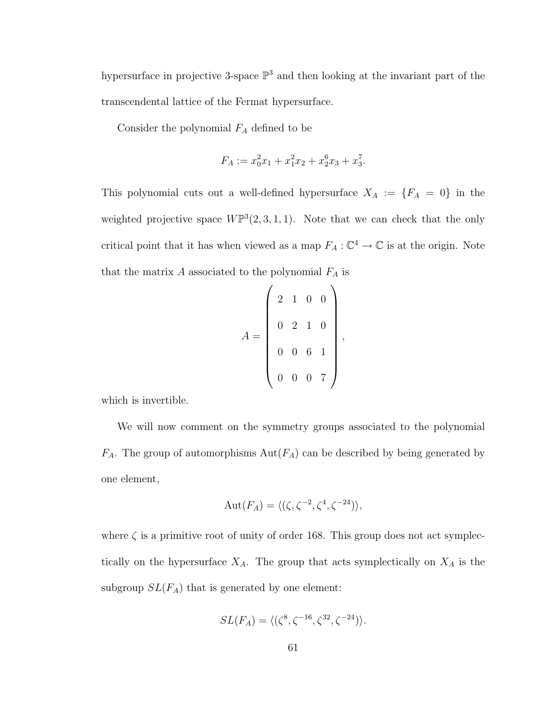hypersurface in projective 3-space  $\mathbb{P}^3$  and then looking at the invariant part of the transcendental lattice of the Fermat hypersurface.

Consider the polynomial  $F_A$  defined to be

$$
F_A := x_0^2 x_1 + x_1^2 x_2 + x_2^6 x_3 + x_3^7.
$$

This polynomial cuts out a well-defined hypersurface  $X_A := \{F_A = 0\}$  in the weighted projective space  $W\mathbb{P}^3(2,3,1,1)$ . Note that we can check that the only critical point that it has when viewed as a map  $F_A: \mathbb{C}^4 \to \mathbb{C}$  is at the origin. Note that the matrix  $A$  associated to the polynomial  $F_A$  is

$$
A = \left(\begin{array}{rrrr} 2 & 1 & 0 & 0 \\ 0 & 2 & 1 & 0 \\ 0 & 0 & 6 & 1 \\ 0 & 0 & 0 & 7 \end{array}\right),
$$

which is invertible.

We will now comment on the symmetry groups associated to the polynomial  $F_A$ . The group of automorphisms  $Aut(F_A)$  can be described by being generated by one element,

$$
Aut(F_A) = \langle (\zeta, \zeta^{-2}, \zeta^4, \zeta^{-24}) \rangle,
$$

where  $\zeta$  is a primitive root of unity of order 168. This group does not act symplectically on the hypersurface  $X_A$ . The group that acts symplectically on  $X_A$  is the subgroup  $SL(F_A)$  that is generated by one element:

$$
SL(F_A) = \langle (\zeta^8, \zeta^{-16}, \zeta^{32}, \zeta^{-24}) \rangle.
$$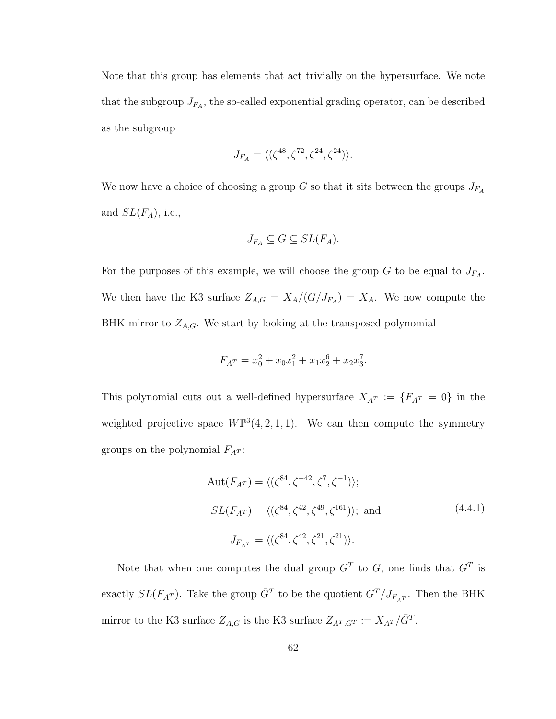Note that this group has elements that act trivially on the hypersurface. We note that the subgroup  $J_{F_A}$ , the so-called exponential grading operator, can be described as the subgroup

$$
J_{F_A} = \langle (\zeta^{48}, \zeta^{72}, \zeta^{24}, \zeta^{24}) \rangle.
$$

We now have a choice of choosing a group  $G$  so that it sits between the groups  $J_{F_A}$ and  $SL(F_A)$ , i.e.,

$$
J_{F_A} \subseteq G \subseteq SL(F_A).
$$

For the purposes of this example, we will choose the group G to be equal to  $J_{F_A}$ . We then have the K3 surface  $Z_{A,G} = X_A/(G/J_{F_A}) = X_A$ . We now compute the BHK mirror to  $Z_{A,G}$ . We start by looking at the transposed polynomial

$$
F_{A}r = x_0^2 + x_0x_1^2 + x_1x_2^6 + x_2x_3^7.
$$

This polynomial cuts out a well-defined hypersurface  $X_{A}$  :=  $\{F_{A}$ <sup>T</sup> = 0} in the weighted projective space  $W\mathbb{P}^3(4,2,1,1)$ . We can then compute the symmetry groups on the polynomial  $F_{A}r$ :

$$
Aut(F_{A^T}) = \langle (\zeta^{84}, \zeta^{-42}, \zeta^7, \zeta^{-1}) \rangle;
$$
  
\n
$$
SL(F_{A^T}) = \langle (\zeta^{84}, \zeta^{42}, \zeta^{49}, \zeta^{161}) \rangle; \text{ and}
$$
  
\n
$$
J_{F_{A^T}} = \langle (\zeta^{84}, \zeta^{42}, \zeta^{21}, \zeta^{21}) \rangle.
$$
  
\n(4.4.1)

Note that when one computes the dual group  $G<sup>T</sup>$  to G, one finds that  $G<sup>T</sup>$  is exactly  $SL(F_{A^T})$ . Take the group  $\bar{G}^T$  to be the quotient  $G^T/J_{F_{A^T}}$ . Then the BHK mirror to the K3 surface  $Z_{A,G}$  is the K3 surface  $Z_{A^T,G^T} := X_{A^T}/\overline{G}^T$ .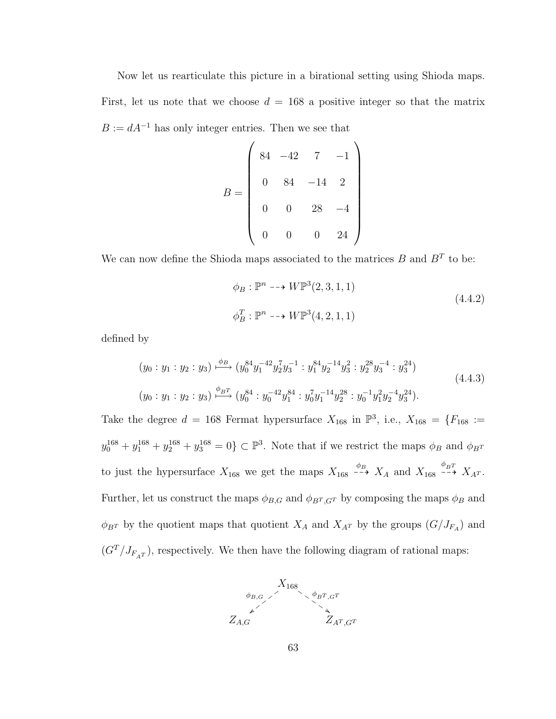Now let us rearticulate this picture in a birational setting using Shioda maps.

First, let us note that we choose  $d = 168$  a positive integer so that the matrix  $B := dA^{-1}$  has only integer entries. Then we see that

$$
B = \begin{pmatrix} 84 & -42 & 7 & -1 \\ 0 & 84 & -14 & 2 \\ 0 & 0 & 28 & -4 \\ 0 & 0 & 0 & 24 \end{pmatrix}
$$

We can now define the Shioda maps associated to the matrices  $B$  and  $B<sup>T</sup>$  to be:

$$
\phi_B : \mathbb{P}^n \dashrightarrow W \mathbb{P}^3(2,3,1,1)
$$
\n
$$
\phi_B^T : \mathbb{P}^n \dashrightarrow W \mathbb{P}^3(4,2,1,1)
$$
\n(4.4.2)

defined by

$$
(y_0:y_1:y_2:y_3) \xrightarrow{\phi_B} (y_0^{84}y_1^{-42}y_2^7y_3^{-1} : y_1^{84}y_2^{-14}y_3^2 : y_2^{28}y_3^{-4} : y_3^{24})
$$
  

$$
(y_0:y_1:y_2:y_3) \xrightarrow{\phi_BT} (y_0^{84} : y_0^{-42}y_1^{84} : y_0^7y_1^{-14}y_2^{28} : y_0^{-1}y_1^2y_2^{-4}y_3^{24}).
$$
\n(4.4.3)

Take the degree  $d = 168$  Fermat hypersurface  $X_{168}$  in  $\mathbb{P}^3$ , i.e.,  $X_{168} = \{F_{168} :=$  $y_0^{168} + y_1^{168} + y_2^{168} + y_3^{168} = 0$   $\subset \mathbb{P}^3$ . Note that if we restrict the maps  $\phi_B$  and  $\phi_{B}$ to just the hypersurface  $X_{168}$  we get the maps  $X_{168} \stackrel{\phi_B}{\dashrightarrow} X_A$  and  $X_{168} \stackrel{\phi_{BT}}{\dashrightarrow} X_{A^T}$ . Further, let us construct the maps  $\phi_{B,G}$  and  $\phi_{B^T,G^T}$  by composing the maps  $\phi_B$  and  $\phi_{B}$ <sup>T</sup> by the quotient maps that quotient  $X_A$  and  $X_{A}$ <sup>T</sup> by the groups  $(G/J_{F_A})$  and  $(G<sup>T</sup>/J<sub>F<sub>AT</sub></sub>)$ , respectively. We then have the following diagram of rational maps:

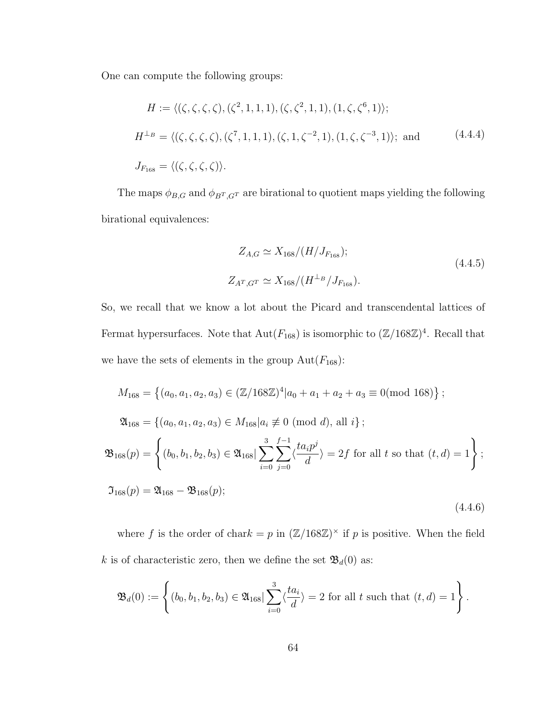One can compute the following groups:

$$
H := \langle (\zeta, \zeta, \zeta, \zeta), (\zeta^2, 1, 1, 1), (\zeta, \zeta^2, 1, 1), (1, \zeta, \zeta^6, 1) \rangle;
$$
  
\n
$$
H^{\perp_B} = \langle (\zeta, \zeta, \zeta, \zeta), (\zeta^7, 1, 1, 1), (\zeta, 1, \zeta^{-2}, 1), (1, \zeta, \zeta^{-3}, 1) \rangle; \text{ and }
$$
(4.4.4)  
\n
$$
J_{F_{168}} = \langle (\zeta, \zeta, \zeta, \zeta) \rangle.
$$

The maps  $\phi_{B,G}$  and  $\phi_{B^T,G^T}$  are birational to quotient maps yielding the following birational equivalences:

$$
Z_{A,G} \simeq X_{168} / (H/J_{F_{168}});
$$
\n
$$
Z_{A^T,G^T} \simeq X_{168} / (H^{\perp_B} / J_{F_{168}}).
$$
\n(4.4.5)

So, we recall that we know a lot about the Picard and transcendental lattices of Fermat hypersurfaces. Note that  $Aut(F_{168})$  is isomorphic to  $(\mathbb{Z}/168\mathbb{Z})^4$ . Recall that we have the sets of elements in the group  $\text{Aut}(F_{168})$ :

$$
M_{168} = \{(a_0, a_1, a_2, a_3) \in (\mathbb{Z}/168\mathbb{Z})^4 | a_0 + a_1 + a_2 + a_3 \equiv 0 \pmod{168} \};
$$
  
\n
$$
\mathfrak{A}_{168} = \{(a_0, a_1, a_2, a_3) \in M_{168} | a_i \not\equiv 0 \pmod{d}, \text{ all } i\};
$$
  
\n
$$
\mathfrak{B}_{168}(p) = \left\{(b_0, b_1, b_2, b_3) \in \mathfrak{A}_{168} | \sum_{i=0}^3 \sum_{j=0}^{f-1} \langle \frac{ta_i p^j}{d} \rangle = 2f \text{ for all } t \text{ so that } (t, d) = 1\right\};
$$
  
\n
$$
\mathfrak{I}_{168}(p) = \mathfrak{A}_{168} - \mathfrak{B}_{168}(p);
$$
  
\n
$$
(4.4.6)
$$

where f is the order of chark = p in  $(\mathbb{Z}/168\mathbb{Z})^{\times}$  if p is positive. When the field  $k$  is of characteristic zero, then we define the set  $\mathfrak{B}_d(0)$  as:

$$
\mathfrak{B}_{d}(0) := \left\{ (b_0, b_1, b_2, b_3) \in \mathfrak{A}_{168} | \sum_{i=0}^{3} \langle \frac{ta_i}{d} \rangle = 2 \text{ for all } t \text{ such that } (t, d) = 1 \right\}.
$$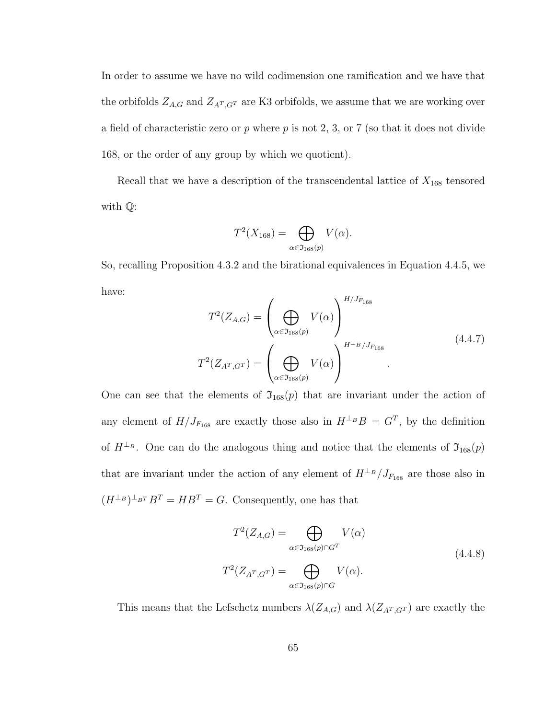In order to assume we have no wild codimension one ramification and we have that the orbifolds  $Z_{A,G}$  and  $Z_{A^T,G^T}$  are K3 orbifolds, we assume that we are working over a field of characteristic zero or  $p$  where  $p$  is not 2, 3, or 7 (so that it does not divide 168, or the order of any group by which we quotient).

Recall that we have a description of the transcendental lattice of  $X_{168}$  tensored with Q:

$$
T^2(X_{168}) = \bigoplus_{\alpha \in \mathfrak{I}_{168}(p)} V(\alpha).
$$

So, recalling Proposition 4.3.2 and the birational equivalences in Equation 4.4.5, we have:  $H/I$ 

$$
T^{2}(Z_{A,G}) = \left(\bigoplus_{\alpha \in \mathfrak{I}_{168}(p)} V(\alpha)\right)^{H/J_{F_{168}}}
$$

$$
T^{2}(Z_{A^{T},G^{T}}) = \left(\bigoplus_{\alpha \in \mathfrak{I}_{168}(p)} V(\alpha)\right)^{H^{\perp_{B}/J_{F_{168}}}}
$$
\n(4.4.7)

One can see that the elements of  $\mathfrak{I}_{168}(p)$  that are invariant under the action of any element of  $H/J_{F_{168}}$  are exactly those also in  $H^{\perp_B}B = G^T$ , by the definition of  $H^{\perp_B}$ . One can do the analogous thing and notice that the elements of  $\mathfrak{I}_{168}(p)$ that are invariant under the action of any element of  $H^{\perp_B}/J_{F_{168}}$  are those also in  $(H^{\perp_B})^{\perp_{B}T}B^T = HB^T = G.$  Consequently, one has that

$$
T^{2}(Z_{A,G}) = \bigoplus_{\alpha \in \mathfrak{I}_{168}(p) \cap G^{T}} V(\alpha)
$$
  

$$
T^{2}(Z_{A^{T},G^{T}}) = \bigoplus_{\alpha \in \mathfrak{I}_{168}(p) \cap G} V(\alpha).
$$
 (4.4.8)

This means that the Lefschetz numbers  $\lambda(Z_{A,G})$  and  $\lambda(Z_{A^T,G^T})$  are exactly the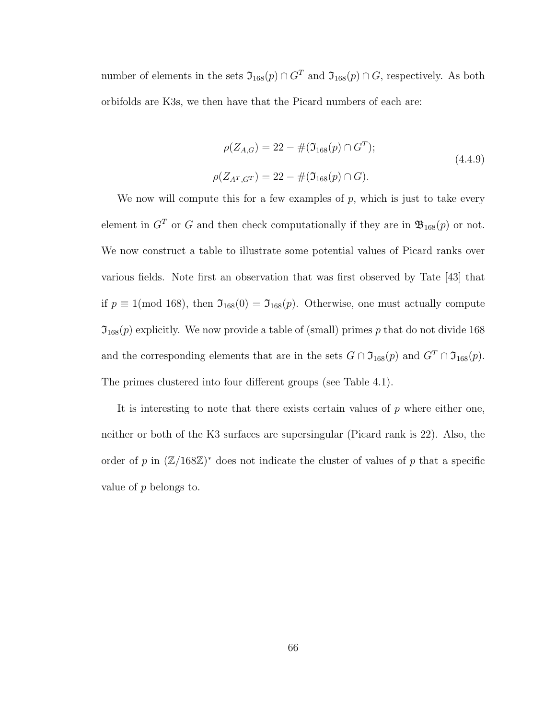number of elements in the sets  $\mathfrak{I}_{168}(p) \cap G^T$  and  $\mathfrak{I}_{168}(p) \cap G$ , respectively. As both orbifolds are K3s, we then have that the Picard numbers of each are:

$$
\rho(Z_{A,G}) = 22 - #(\mathfrak{I}_{168}(p) \cap G^T);
$$
\n
$$
\rho(Z_{A^T,G^T}) = 22 - #(\mathfrak{I}_{168}(p) \cap G).
$$
\n(4.4.9)

We now will compute this for a few examples of  $p$ , which is just to take every element in  $G<sup>T</sup>$  or G and then check computationally if they are in  $\mathfrak{B}_{168}(p)$  or not. We now construct a table to illustrate some potential values of Picard ranks over various fields. Note first an observation that was first observed by Tate [43] that if  $p \equiv 1 \pmod{168}$ , then  $\mathfrak{I}_{168}(0) = \mathfrak{I}_{168}(p)$ . Otherwise, one must actually compute  $\mathfrak{I}_{168}(p)$  explicitly. We now provide a table of (small) primes p that do not divide 168 and the corresponding elements that are in the sets  $G \cap \mathfrak{I}_{168}(p)$  and  $G^T \cap \mathfrak{I}_{168}(p)$ . The primes clustered into four different groups (see Table 4.1).

It is interesting to note that there exists certain values of  $p$  where either one, neither or both of the K3 surfaces are supersingular (Picard rank is 22). Also, the order of p in  $(\mathbb{Z}/168\mathbb{Z})^*$  does not indicate the cluster of values of p that a specific value of  $p$  belongs to.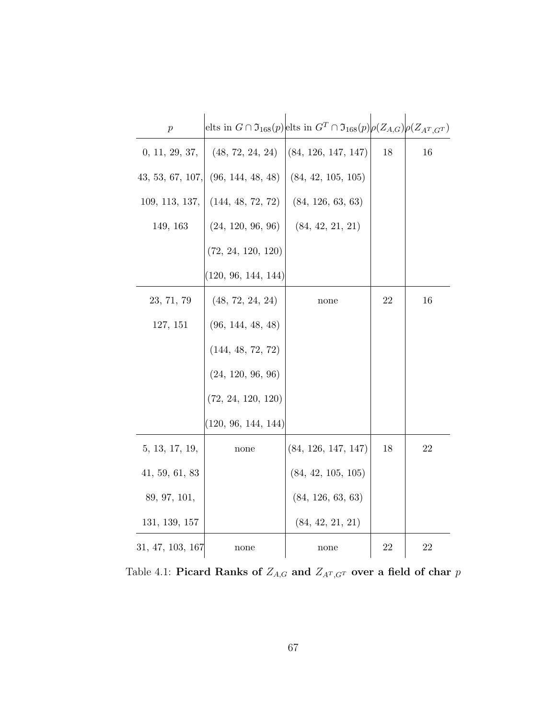| $\boldsymbol{p}$ |                         | elts in $G \cap \mathfrak{I}_{168}(p)$ elts in $G^T \cap \mathfrak{I}_{168}(p)$ $\rho(Z_{A,G})$ $\rho(Z_{A^T,G^T})$ |    |    |
|------------------|-------------------------|---------------------------------------------------------------------------------------------------------------------|----|----|
| 0, 11, 29, 37,   | (48, 72, 24, 24)        | (84, 126, 147, 147)                                                                                                 | 18 | 16 |
| 43, 53, 67, 107, | (96, 144, 48, 48)       | (84, 42, 105, 105)                                                                                                  |    |    |
| 109, 113, 137,   | (144, 48, 72, 72)       | (84, 126, 63, 63)                                                                                                   |    |    |
| 149, 163         | (24, 120, 96, 96)       | (84, 42, 21, 21)                                                                                                    |    |    |
|                  | $(72,\,24,\,120,\,120)$ |                                                                                                                     |    |    |
|                  | (120, 96, 144, 144)     |                                                                                                                     |    |    |
| 23, 71, 79       | (48, 72, 24, 24)        | none                                                                                                                | 22 | 16 |
| 127, 151         | (96, 144, 48, 48)       |                                                                                                                     |    |    |
|                  | (144, 48, 72, 72)       |                                                                                                                     |    |    |
|                  | (24, 120, 96, 96)       |                                                                                                                     |    |    |
|                  | $(72,\,24,\,120,\,120)$ |                                                                                                                     |    |    |
|                  | (120, 96, 144, 144)     |                                                                                                                     |    |    |
| 5, 13, 17, 19,   | none                    | (84, 126, 147, 147)                                                                                                 | 18 | 22 |
| 41, 59, 61, 83   |                         | (84, 42, 105, 105)                                                                                                  |    |    |
| 89, 97, 101,     |                         | (84, 126, 63, 63)                                                                                                   |    |    |
| 131, 139, 157    |                         | (84, 42, 21, 21)                                                                                                    |    |    |
| 31, 47, 103, 167 | none                    | none                                                                                                                | 22 | 22 |

Table 4.1: Picard Ranks of  $Z_{A,G}$  and  $Z_{A^T,G^T}$  over a field of char  $p$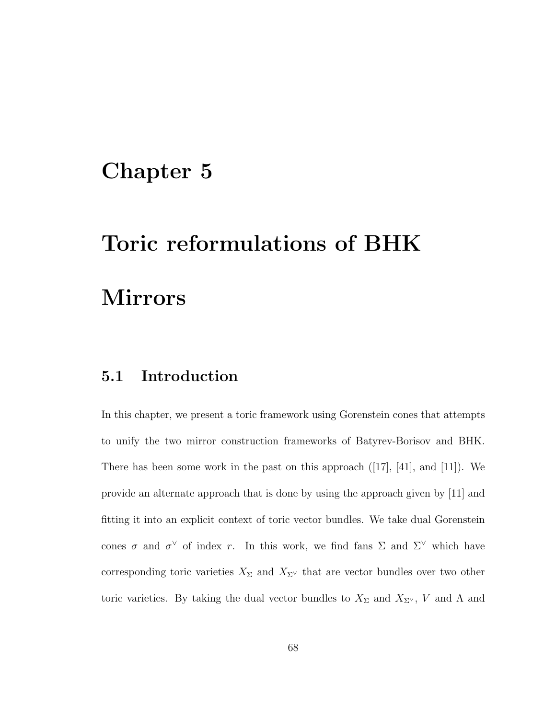### Chapter 5

# Toric reformulations of BHK Mirrors

#### 5.1 Introduction

In this chapter, we present a toric framework using Gorenstein cones that attempts to unify the two mirror construction frameworks of Batyrev-Borisov and BHK. There has been some work in the past on this approach  $(17, 41, 41)$ , and  $(11)$ . We provide an alternate approach that is done by using the approach given by [11] and fitting it into an explicit context of toric vector bundles. We take dual Gorenstein cones  $\sigma$  and  $\sigma^{\vee}$  of index r. In this work, we find fans  $\Sigma$  and  $\Sigma^{\vee}$  which have corresponding toric varieties  $X_{\Sigma}$  and  $X_{\Sigma}$ <sup>V</sup> that are vector bundles over two other toric varieties. By taking the dual vector bundles to  $X_{\Sigma}$  and  $X_{\Sigma^{\vee}}$ ,  $V$  and  $\Lambda$  and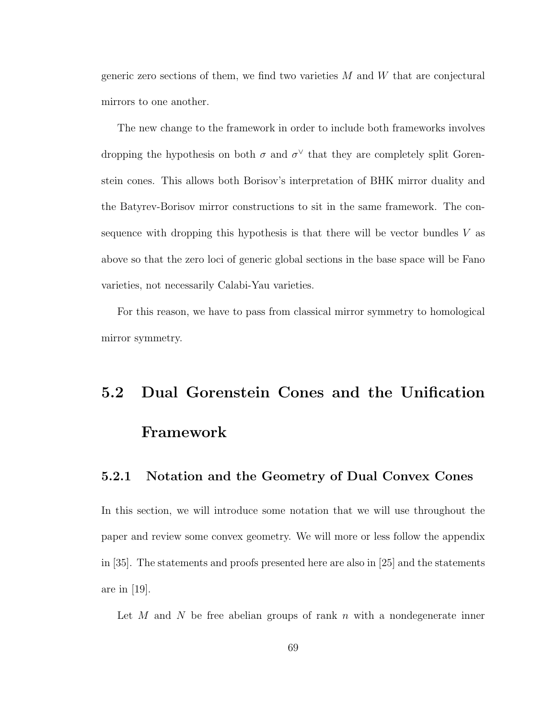generic zero sections of them, we find two varieties  $M$  and  $W$  that are conjectural mirrors to one another.

The new change to the framework in order to include both frameworks involves dropping the hypothesis on both  $\sigma$  and  $\sigma^{\vee}$  that they are completely split Gorenstein cones. This allows both Borisov's interpretation of BHK mirror duality and the Batyrev-Borisov mirror constructions to sit in the same framework. The consequence with dropping this hypothesis is that there will be vector bundles  $V$  as above so that the zero loci of generic global sections in the base space will be Fano varieties, not necessarily Calabi-Yau varieties.

For this reason, we have to pass from classical mirror symmetry to homological mirror symmetry.

## 5.2 Dual Gorenstein Cones and the Unification Framework

#### 5.2.1 Notation and the Geometry of Dual Convex Cones

In this section, we will introduce some notation that we will use throughout the paper and review some convex geometry. We will more or less follow the appendix in [35]. The statements and proofs presented here are also in [25] and the statements are in [19].

Let  $M$  and  $N$  be free abelian groups of rank  $n$  with a nondegenerate inner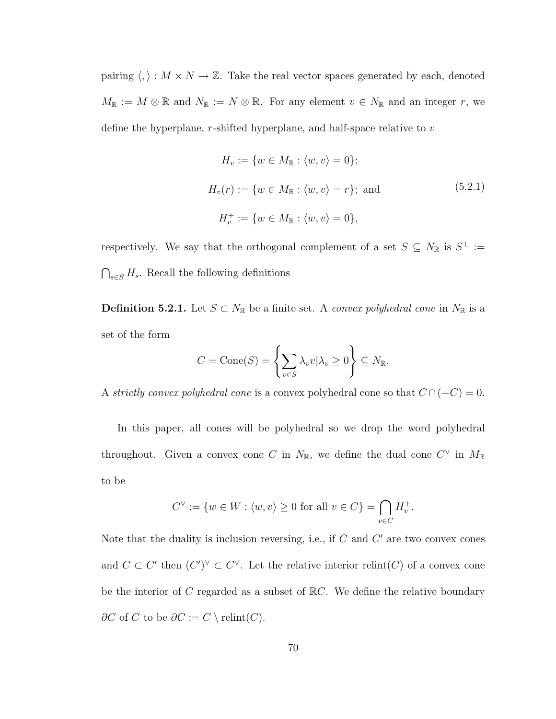pairing  $\langle , \rangle : M \times N \to \mathbb{Z}$ . Take the real vector spaces generated by each, denoted  $M_{\mathbb{R}} := M \otimes \mathbb{R}$  and  $N_{\mathbb{R}} := N \otimes \mathbb{R}$ . For any element  $v \in N_{\mathbb{R}}$  and an integer r, we define the hyperplane,  $r$ -shifted hyperplane, and half-space relative to  $v$ 

$$
H_v := \{ w \in M_{\mathbb{R}} : \langle w, v \rangle = 0 \};
$$
  

$$
H_v(r) := \{ w \in M_{\mathbb{R}} : \langle w, v \rangle = r \}; \text{ and } (5.2.1)
$$
  

$$
H_v^+ := \{ w \in M_{\mathbb{R}} : \langle w, v \rangle = 0 \},
$$

respectively. We say that the orthogonal complement of a set  $S \subseteq N_{\mathbb{R}}$  is  $S^{\perp} :=$  $\bigcap_{s\in S} H_s$ . Recall the following definitions

**Definition 5.2.1.** Let  $S \subset N_{\mathbb{R}}$  be a finite set. A convex polyhedral cone in  $N_{\mathbb{R}}$  is a set of the form

$$
C = \text{Cone}(S) = \left\{ \sum_{v \in S} \lambda_v v | \lambda_v \ge 0 \right\} \subseteq N_{\mathbb{R}}.
$$

A strictly convex polyhedral cone is a convex polyhedral cone so that  $C \cap (-C) = 0$ .

In this paper, all cones will be polyhedral so we drop the word polyhedral throughout. Given a convex cone C in  $N_{\mathbb{R}}$ , we define the dual cone  $C^{\vee}$  in  $M_{\mathbb{R}}$ to be

$$
C^{\vee} := \{ w \in W : \langle w, v \rangle \ge 0 \text{ for all } v \in C \} = \bigcap_{v \in C} H_v^+.
$$

Note that the duality is inclusion reversing, i.e., if  $C$  and  $C'$  are two convex cones and  $C \subset C'$  then  $(C')^{\vee} \subset C^{\vee}$ . Let the relative interior relint(C) of a convex cone be the interior of C regarded as a subset of  $\mathbb{R}C$ . We define the relative boundary  $\partial C$  of C to be  $\partial C := C \setminus \text{relint}(C)$ .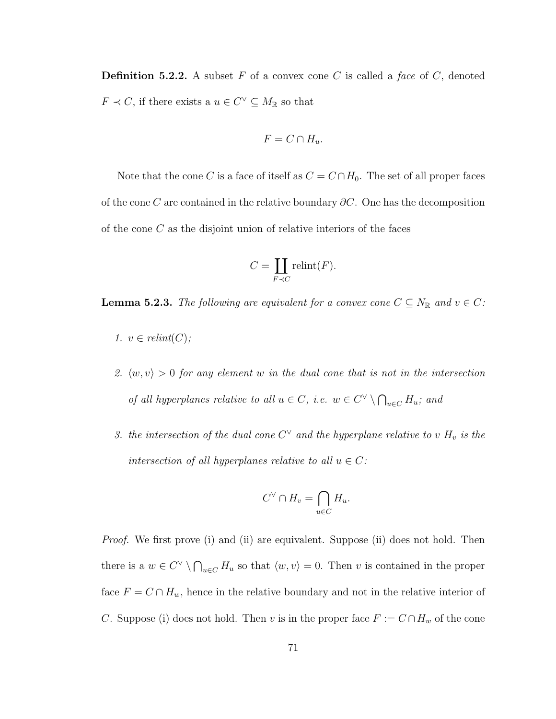**Definition 5.2.2.** A subset F of a convex cone C is called a face of C, denoted  $F \prec C$ , if there exists a  $u \in C^{\vee} \subseteq M_{\mathbb{R}}$  so that

$$
F = C \cap H_u.
$$

Note that the cone C is a face of itself as  $C = C \cap H_0$ . The set of all proper faces of the cone C are contained in the relative boundary  $\partial C$ . One has the decomposition of the cone  $C$  as the disjoint union of relative interiors of the faces

$$
C = \coprod_{F \prec C} \text{relint}(F).
$$

**Lemma 5.2.3.** The following are equivalent for a convex cone  $C \subseteq N_{\mathbb{R}}$  and  $v \in C$ :

- 1.  $v \in relint(C);$
- 2.  $\langle w, v \rangle > 0$  for any element w in the dual cone that is not in the intersection of all hyperplanes relative to all  $u \in C$ , i.e.  $w \in C^{\vee} \setminus \bigcap_{u \in C} H_u$ ; and
- 3. the intersection of the dual cone  $C^{\vee}$  and the hyperplane relative to v  $H_v$  is the intersection of all hyperplanes relative to all  $u \in C$ :

$$
C^{\vee} \cap H_{v} = \bigcap_{u \in C} H_{u}.
$$

*Proof.* We first prove (i) and (ii) are equivalent. Suppose (ii) does not hold. Then there is a  $w \in C^{\vee} \setminus \bigcap_{u \in C} H_u$  so that  $\langle w, v \rangle = 0$ . Then v is contained in the proper face  $F = C \cap H_w$ , hence in the relative boundary and not in the relative interior of C. Suppose (i) does not hold. Then v is in the proper face  $F := C \cap H_w$  of the cone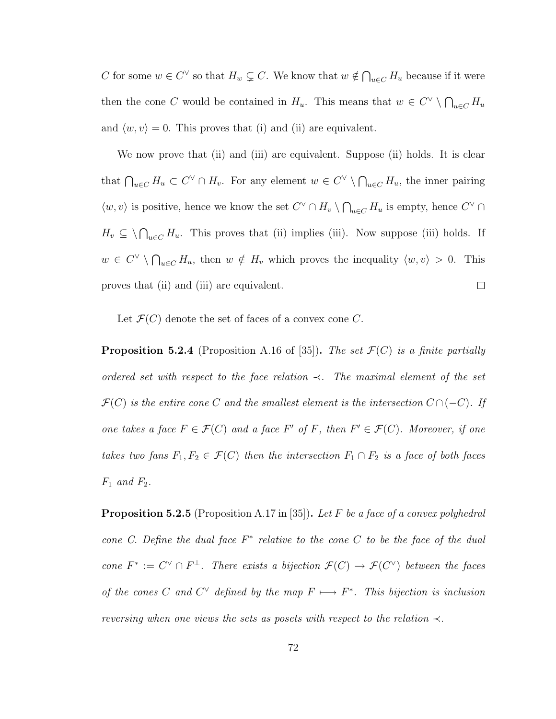C for some  $w \in C^{\vee}$  so that  $H_w \subsetneq C$ . We know that  $w \notin \bigcap_{u \in C} H_u$  because if it were then the cone C would be contained in  $H_u$ . This means that  $w \in C^{\vee} \setminus \bigcap_{u \in C} H_u$ and  $\langle w, v \rangle = 0$ . This proves that (i) and (ii) are equivalent.

We now prove that (ii) and (iii) are equivalent. Suppose (ii) holds. It is clear that  $\bigcap_{u\in C} H_u \subset C^{\vee} \cap H_v$ . For any element  $w \in C^{\vee} \setminus \bigcap_{u\in C} H_u$ , the inner pairing  $\langle w, v \rangle$  is positive, hence we know the set  $C^{\vee} \cap H_v \setminus \bigcap_{u \in C} H_u$  is empty, hence  $C^{\vee} \cap$  $H_v \subseteq \bigwedge_{u \in C} H_u$ . This proves that (ii) implies (iii). Now suppose (iii) holds. If  $w \in C^{\vee} \setminus \bigcap_{u \in C} H_u$ , then  $w \notin H_v$  which proves the inequality  $\langle w, v \rangle > 0$ . This proves that (ii) and (iii) are equivalent.  $\Box$ 

Let  $\mathcal{F}(C)$  denote the set of faces of a convex cone C.

**Proposition 5.2.4** (Proposition A.16 of [35]). The set  $\mathcal{F}(C)$  is a finite partially ordered set with respect to the face relation  $\prec$ . The maximal element of the set  $\mathcal{F}(C)$  is the entire cone C and the smallest element is the intersection  $C \cap (-C)$ . If one takes a face  $F \in \mathcal{F}(C)$  and a face  $F'$  of F, then  $F' \in \mathcal{F}(C)$ . Moreover, if one takes two fans  $F_1, F_2 \in \mathcal{F}(C)$  then the intersection  $F_1 \cap F_2$  is a face of both faces  $F_1$  and  $F_2$ .

**Proposition 5.2.5** (Proposition A.17 in [35]). Let F be a face of a convex polyhedral cone C. Define the dual face  $F^*$  relative to the cone C to be the face of the dual cone  $F^* := C^{\vee} \cap F^{\perp}$ . There exists a bijection  $\mathcal{F}(C) \to \mathcal{F}(C^{\vee})$  between the faces of the cones C and  $C^{\vee}$  defined by the map  $F \longmapsto F^*$ . This bijection is inclusion reversing when one views the sets as posets with respect to the relation  $\prec$ .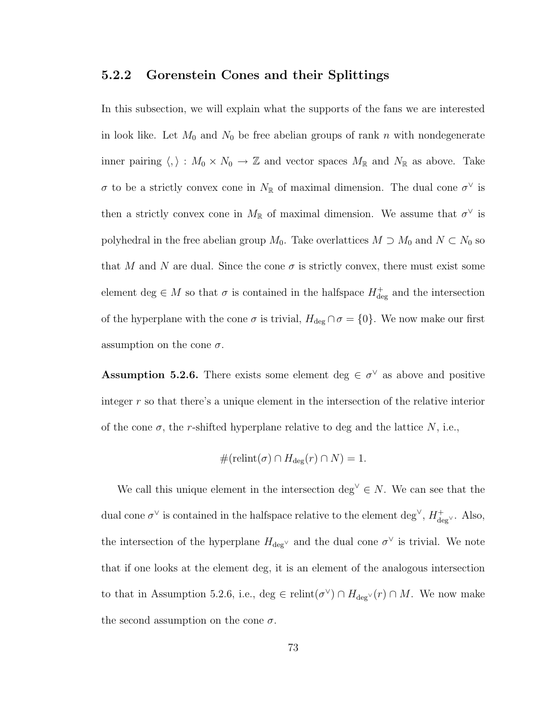#### 5.2.2 Gorenstein Cones and their Splittings

In this subsection, we will explain what the supports of the fans we are interested in look like. Let  $M_0$  and  $N_0$  be free abelian groups of rank n with nondegenerate inner pairing  $\langle , \rangle : M_0 \times N_0 \to \mathbb{Z}$  and vector spaces  $M_{\mathbb{R}}$  and  $N_{\mathbb{R}}$  as above. Take σ to be a strictly convex cone in  $N_{\mathbb{R}}$  of maximal dimension. The dual cone  $\sigma^{\vee}$  is then a strictly convex cone in  $M_{\mathbb{R}}$  of maximal dimension. We assume that  $\sigma^{\vee}$  is polyhedral in the free abelian group  $M_0$ . Take overlattices  $M \supset M_0$  and  $N \subset N_0$  so that M and N are dual. Since the cone  $\sigma$  is strictly convex, there must exist some element deg  $\in M$  so that  $\sigma$  is contained in the halfspace  $H^+_{\text{deg}}$  and the intersection of the hyperplane with the cone  $\sigma$  is trivial,  $H_{\text{deg}} \cap \sigma = \{0\}$ . We now make our first assumption on the cone  $\sigma$ .

**Assumption 5.2.6.** There exists some element deg  $\in \sigma^{\vee}$  as above and positive integer r so that there's a unique element in the intersection of the relative interior of the cone  $\sigma$ , the r-shifted hyperplane relative to deg and the lattice N, i.e.,

$$
#(\text{relint}(\sigma) \cap H_{\text{deg}}(r) \cap N) = 1.
$$

We call this unique element in the intersection deg<sup> $\vee \in N$ </sup>. We can see that the dual cone  $\sigma^{\vee}$  is contained in the halfspace relative to the element deg<sup> $\vee$ </sup>,  $H_{\text{deg}}^{+}$ . Also, the intersection of the hyperplane  $H_{\text{deg}}^{\vee}$  and the dual cone  $\sigma^{\vee}$  is trivial. We note that if one looks at the element deg, it is an element of the analogous intersection to that in Assumption 5.2.6, i.e., deg  $\in$  relint $(\sigma^{\vee}) \cap H_{\text{deg}}(r) \cap M$ . We now make the second assumption on the cone  $\sigma$ .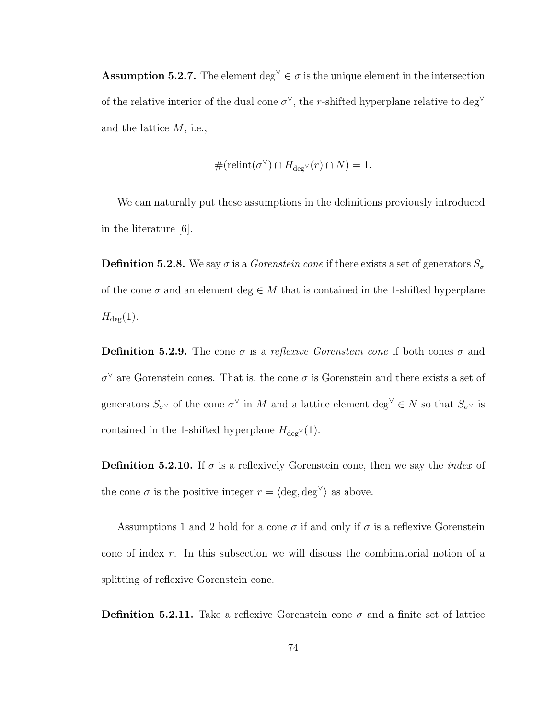Assumption 5.2.7. The element deg<sup> $\vee \in \sigma$ </sup> is the unique element in the intersection of the relative interior of the dual cone  $\sigma^{\vee}$ , the r-shifted hyperplane relative to deg<sup> $\vee$ </sup> and the lattice  $M$ , i.e.,

$$
#(\text{relint}(\sigma^{\vee}) \cap H_{\text{deg}^{\vee}}(r) \cap N) = 1.
$$

We can naturally put these assumptions in the definitions previously introduced in the literature [6].

**Definition 5.2.8.** We say  $\sigma$  is a *Gorenstein cone* if there exists a set of generators  $S_{\sigma}$ of the cone  $\sigma$  and an element deg  $\in M$  that is contained in the 1-shifted hyperplane  $H_{\text{deg}}(1).$ 

**Definition 5.2.9.** The cone  $\sigma$  is a reflexive Gorenstein cone if both cones  $\sigma$  and  $\sigma^{\vee}$  are Gorenstein cones. That is, the cone  $\sigma$  is Gorenstein and there exists a set of generators  $S_{\sigma^{\vee}}$  of the cone  $\sigma^{\vee}$  in M and a lattice element  $\deg^{\vee} \in N$  so that  $S_{\sigma^{\vee}}$  is contained in the 1-shifted hyperplane  $H_{\text{deg}}(1)$ .

**Definition 5.2.10.** If  $\sigma$  is a reflexively Gorenstein cone, then we say the *index* of the cone  $\sigma$  is the positive integer  $r = \langle \text{deg}, \text{deg}^{\vee} \rangle$  as above.

Assumptions 1 and 2 hold for a cone  $\sigma$  if and only if  $\sigma$  is a reflexive Gorenstein cone of index r. In this subsection we will discuss the combinatorial notion of a splitting of reflexive Gorenstein cone.

**Definition 5.2.11.** Take a reflexive Gorenstein cone  $\sigma$  and a finite set of lattice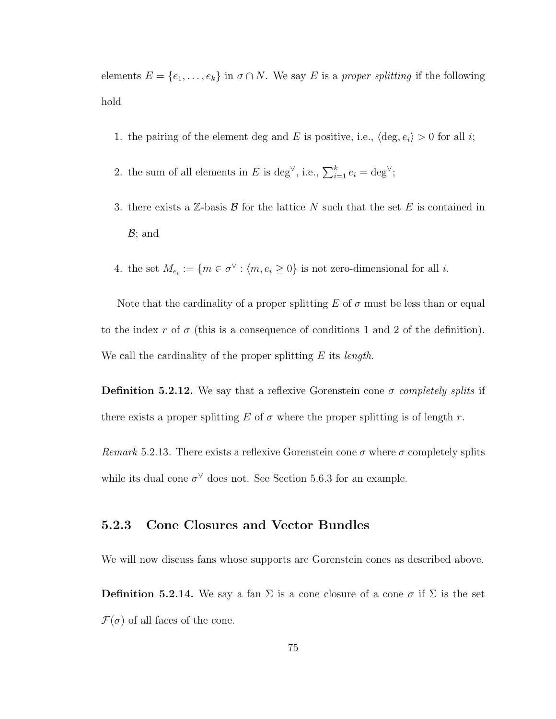elements  $E = \{e_1, \ldots, e_k\}$  in  $\sigma \cap N$ . We say E is a proper splitting if the following hold

- 1. the pairing of the element deg and E is positive, i.e.,  $\langle \text{deg}, e_i \rangle > 0$  for all i;
- 2. the sum of all elements in E is deg<sup> $\vee$ </sup>, i.e.,  $\sum_{i=1}^{k} e_i = \text{deg}^{\vee}$ ;
- 3. there exists a  $\mathbb{Z}$ -basis  $\mathcal{B}$  for the lattice N such that the set E is contained in  $\mathcal{B}$ ; and
- 4. the set  $M_{e_i} := \{m \in \sigma^\vee : \langle m, e_i \geq 0\}$  is not zero-dimensional for all *i*.

Note that the cardinality of a proper splitting E of  $\sigma$  must be less than or equal to the index r of  $\sigma$  (this is a consequence of conditions 1 and 2 of the definition). We call the cardinality of the proper splitting  $E$  its *length*.

**Definition 5.2.12.** We say that a reflexive Gorenstein cone  $\sigma$  completely splits if there exists a proper splitting E of  $\sigma$  where the proper splitting is of length r.

Remark 5.2.13. There exists a reflexive Gorenstein cone  $\sigma$  where  $\sigma$  completely splits while its dual cone  $\sigma^{\vee}$  does not. See Section 5.6.3 for an example.

#### 5.2.3 Cone Closures and Vector Bundles

We will now discuss fans whose supports are Gorenstein cones as described above.

**Definition 5.2.14.** We say a fan  $\Sigma$  is a cone closure of a cone  $\sigma$  if  $\Sigma$  is the set  $\mathcal{F}(\sigma)$  of all faces of the cone.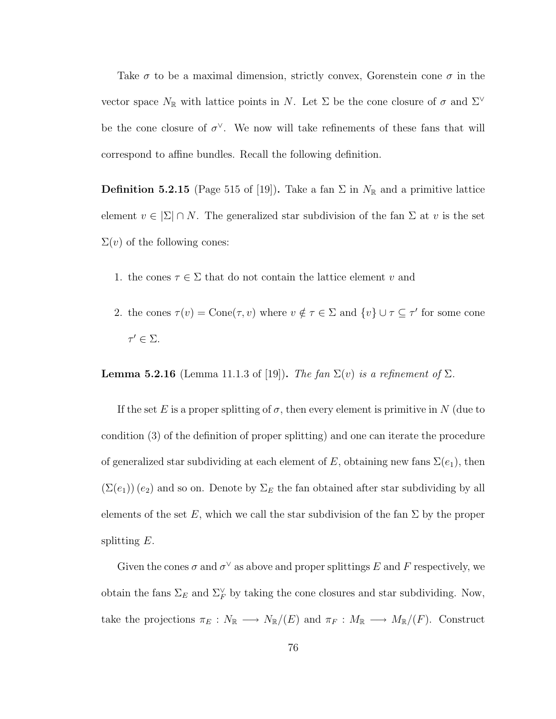Take  $\sigma$  to be a maximal dimension, strictly convex, Gorenstein cone  $\sigma$  in the vector space  $N_{\mathbb{R}}$  with lattice points in N. Let  $\Sigma$  be the cone closure of  $\sigma$  and  $\Sigma^{\vee}$ be the cone closure of  $\sigma^{\vee}$ . We now will take refinements of these fans that will correspond to affine bundles. Recall the following definition.

**Definition 5.2.15** (Page 515 of [19]). Take a fan  $\Sigma$  in  $N_{\mathbb{R}}$  and a primitive lattice element  $v \in \Sigma \cap N$ . The generalized star subdivision of the fan  $\Sigma$  at v is the set  $\Sigma(v)$  of the following cones:

- 1. the cones  $\tau \in \Sigma$  that do not contain the lattice element v and
- 2. the cones  $\tau(v) = \text{Cone}(\tau, v)$  where  $v \notin \tau \in \Sigma$  and  $\{v\} \cup \tau \subseteq \tau'$  for some cone  $\tau' \in \Sigma$ .

**Lemma 5.2.16** (Lemma 11.1.3 of [19]). The fan  $\Sigma(v)$  is a refinement of  $\Sigma$ .

If the set E is a proper splitting of  $\sigma$ , then every element is primitive in N (due to condition (3) of the definition of proper splitting) and one can iterate the procedure of generalized star subdividing at each element of E, obtaining new fans  $\Sigma(e_1)$ , then  $(\Sigma(e_1))$   $(e_2)$  and so on. Denote by  $\Sigma_E$  the fan obtained after star subdividing by all elements of the set E, which we call the star subdivision of the fan  $\Sigma$  by the proper splitting E.

Given the cones  $\sigma$  and  $\sigma^{\vee}$  as above and proper splittings E and F respectively, we obtain the fans  $\Sigma_E$  and  $\Sigma_F^{\vee}$  by taking the cone closures and star subdividing. Now, take the projections  $\pi_E : N_{\mathbb{R}} \longrightarrow N_{\mathbb{R}}/(E)$  and  $\pi_F : M_{\mathbb{R}} \longrightarrow M_{\mathbb{R}}/(F)$ . Construct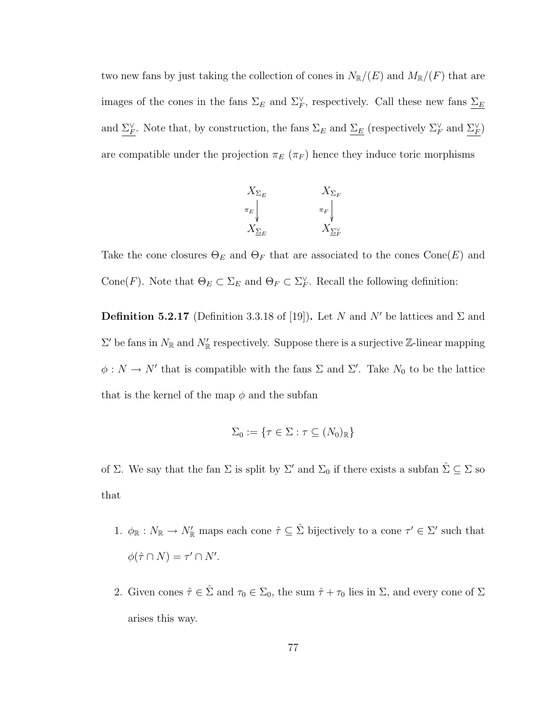two new fans by just taking the collection of cones in  $N_{\mathbb{R}}/(E)$  and  $M_{\mathbb{R}}/(F)$  that are images of the cones in the fans  $\Sigma_E$  and  $\Sigma_F^{\vee}$ , respectively. Call these new fans  $\Sigma_E$ and  $\Sigma_F^{\vee}$ . Note that, by construction, the fans  $\Sigma_E$  and  $\Sigma_E$  (respectively  $\Sigma_F^{\vee}$  and  $\Sigma_F^{\vee}$ ) are compatible under the projection  $\pi_E(\pi_F)$  hence they induce toric morphisms



Take the cone closures  $\Theta_E$  and  $\Theta_F$  that are associated to the cones  $Cone(E)$  and Cone(F). Note that  $\Theta_E \subset \Sigma_E$  and  $\Theta_F \subset \Sigma_F^{\vee}$ . Recall the following definition:

**Definition 5.2.17** (Definition 3.3.18 of [19]). Let N and N' be lattices and  $\Sigma$  and  $\Sigma'$  be fans in  $N_{\mathbb{R}}$  and  $N'_{\mathbb{R}}$  respectively. Suppose there is a surjective  $\mathbb{Z}$ -linear mapping  $\phi: N \to N'$  that is compatible with the fans  $\Sigma$  and  $\Sigma'$ . Take  $N_0$  to be the lattice that is the kernel of the map  $\phi$  and the subfan

$$
\Sigma_0 := \{ \tau \in \Sigma : \tau \subseteq (N_0)_{\mathbb{R}} \}
$$

of Σ. We say that the fan Σ is split by  $\Sigma'$  and  $\Sigma_0$  if there exists a subfan  $\hat{\Sigma} \subseteq \Sigma$  so that

- 1.  $\phi_{\mathbb{R}} : N_{\mathbb{R}} \to N'_{\mathbb{R}}$  maps each cone  $\hat{\tau} \subseteq \hat{\Sigma}$  bijectively to a cone  $\tau' \in \Sigma'$  such that  $\phi(\hat{\tau} \cap N) = \tau' \cap N'.$
- 2. Given cones  $\hat{\tau} \in \hat{\Sigma}$  and  $\tau_0 \in \Sigma_0$ , the sum  $\hat{\tau} + \tau_0$  lies in  $\Sigma$ , and every cone of  $\Sigma$ arises this way.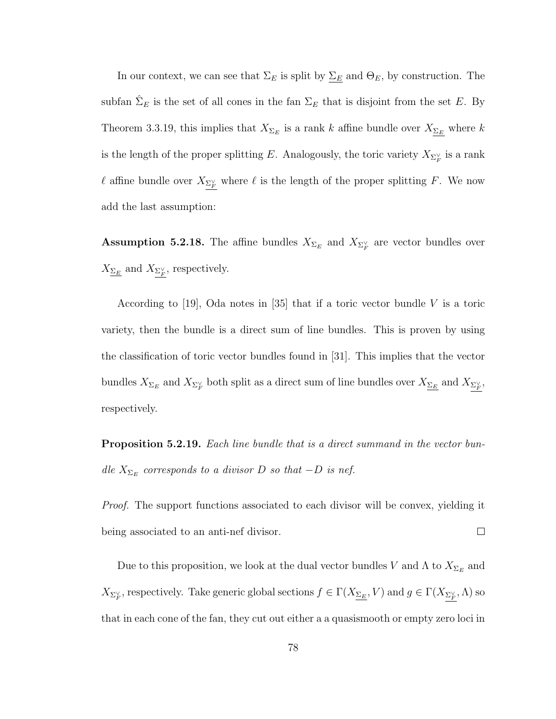In our context, we can see that  $\Sigma_E$  is split by  $\Sigma_E$  and  $\Theta_E$ , by construction. The subfan  $\hat{\Sigma}_E$  is the set of all cones in the fan  $\Sigma_E$  that is disjoint from the set E. By Theorem 3.3.19, this implies that  $X_{\Sigma_E}$  is a rank k affine bundle over  $X_{\Sigma_E}$  where k is the length of the proper splitting E. Analogously, the toric variety  $X_{\Sigma_F^{\vee}}$  is a rank  $\ell$  affine bundle over  $X_{\Sigma_F^{\vee}}$  where  $\ell$  is the length of the proper splitting F. We now add the last assumption:

**Assumption 5.2.18.** The affine bundles  $X_{\Sigma_E}$  and  $X_{\Sigma_F^{\vee}}$  are vector bundles over  $X_{\underline{\Sigma_E}}$  and  $X_{\Sigma_F^{\vee}}$ , respectively.

According to [19], Oda notes in [35] that if a toric vector bundle V is a toric variety, then the bundle is a direct sum of line bundles. This is proven by using the classification of toric vector bundles found in [31]. This implies that the vector bundles  $X_{\Sigma_E}$  and  $X_{\Sigma_F^{\vee}}$  both split as a direct sum of line bundles over  $X_{\Sigma_E}$  and  $X_{\Sigma_F^{\vee}}$ , respectively.

**Proposition 5.2.19.** Each line bundle that is a direct summand in the vector bundle  $X_{\Sigma_E}$  corresponds to a divisor D so that  $-D$  is nef.

Proof. The support functions associated to each divisor will be convex, yielding it  $\Box$ being associated to an anti-nef divisor.

Due to this proposition, we look at the dual vector bundles V and  $\Lambda$  to  $X_{\Sigma_E}$  and  $X_{\Sigma_F^{\vee}}$ , respectively. Take generic global sections  $f \in \Gamma(X_{\Sigma_E}, V)$  and  $g \in \Gamma(X_{\Sigma_F^{\vee}}, \Lambda)$  so that in each cone of the fan, they cut out either a a quasismooth or empty zero loci in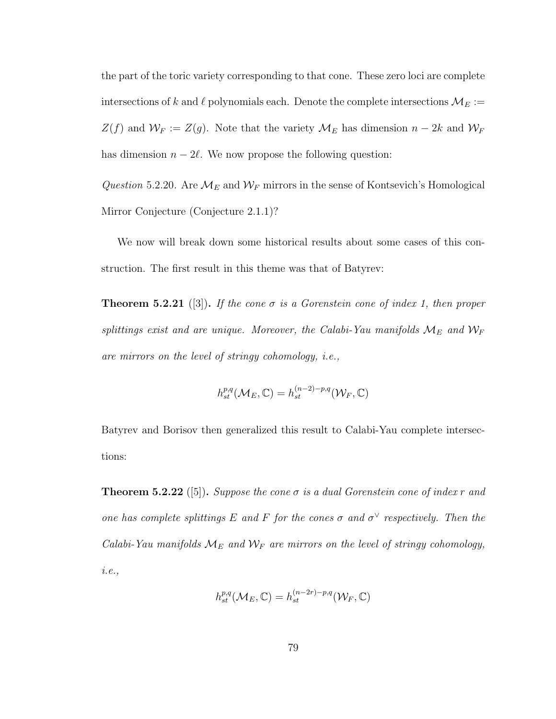the part of the toric variety corresponding to that cone. These zero loci are complete intersections of k and  $\ell$  polynomials each. Denote the complete intersections  $\mathcal{M}_E :=$  $Z(f)$  and  $\mathcal{W}_F := Z(g)$ . Note that the variety  $\mathcal{M}_E$  has dimension  $n - 2k$  and  $\mathcal{W}_F$ has dimension  $n - 2\ell$ . We now propose the following question:

Question 5.2.20. Are  $\mathcal{M}_E$  and  $\mathcal{W}_F$  mirrors in the sense of Kontsevich's Homological Mirror Conjecture (Conjecture 2.1.1)?

We now will break down some historical results about some cases of this construction. The first result in this theme was that of Batyrev:

**Theorem 5.2.21** ([3]). If the cone  $\sigma$  is a Gorenstein cone of index 1, then proper splittings exist and are unique. Moreover, the Calabi-Yau manifolds  $\mathcal{M}_E$  and  $\mathcal{W}_F$ are mirrors on the level of stringy cohomology, i.e.,

$$
h^{p,q}_{st}(\mathcal{M}_E,\mathbb{C})=h^{(n-2)-p,q}_{st}(\mathcal{W}_F,\mathbb{C})
$$

Batyrev and Borisov then generalized this result to Calabi-Yau complete intersections:

**Theorem 5.2.22** ([5]). Suppose the cone  $\sigma$  is a dual Gorenstein cone of index r and one has complete splittings E and F for the cones  $\sigma$  and  $\sigma^{\vee}$  respectively. Then the Calabi-Yau manifolds  $\mathcal{M}_E$  and  $\mathcal{W}_F$  are mirrors on the level of stringy cohomology, i.e.,

$$
h_{st}^{p,q}(\mathcal{M}_E,\mathbb{C})=h_{st}^{(n-2r)-p,q}(\mathcal{W}_F,\mathbb{C})
$$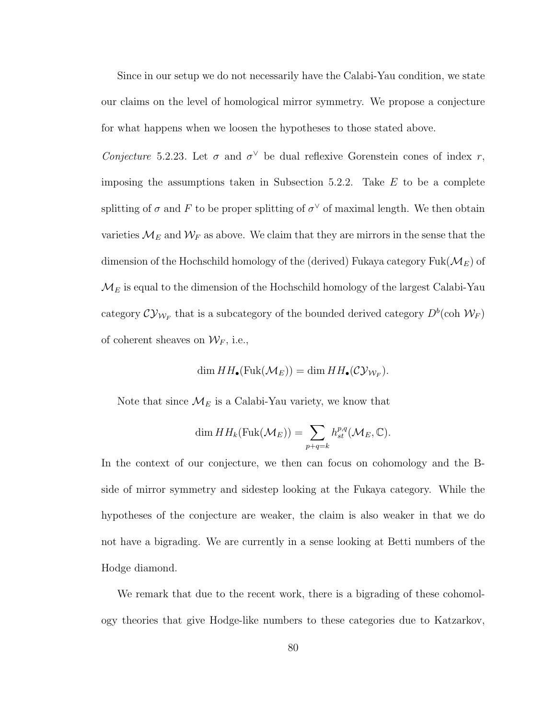Since in our setup we do not necessarily have the Calabi-Yau condition, we state our claims on the level of homological mirror symmetry. We propose a conjecture for what happens when we loosen the hypotheses to those stated above.

Conjecture 5.2.23. Let  $\sigma$  and  $\sigma^{\vee}$  be dual reflexive Gorenstein cones of index r, imposing the assumptions taken in Subsection 5.2.2. Take  $E$  to be a complete splitting of  $\sigma$  and F to be proper splitting of  $\sigma^{\vee}$  of maximal length. We then obtain varieties  $\mathcal{M}_E$  and  $\mathcal{W}_F$  as above. We claim that they are mirrors in the sense that the dimension of the Hochschild homology of the (derived) Fukaya category  $Fuk(M_E)$  of  $\mathcal{M}_{E}$  is equal to the dimension of the Hochschild homology of the largest Calabi-Yau category  $\mathcal{CY}_{\mathcal{W}_F}$  that is a subcategory of the bounded derived category  $D^b(\mathrm{coh}\ \mathcal{W}_F)$ of coherent sheaves on  $\mathcal{W}_F$ , i.e.,

$$
\dim HH_{\bullet}(\mathrm{Fuk}(\mathcal{M}_E)) = \dim HH_{\bullet}(\mathcal{CV}_{\mathcal{W}_F}).
$$

Note that since  $\mathcal{M}_E$  is a Calabi-Yau variety, we know that

$$
\dim HH_k(\text{Fuk}(\mathcal{M}_E)) = \sum_{p+q=k} h^{p,q}_{st}(\mathcal{M}_E, \mathbb{C}).
$$

In the context of our conjecture, we then can focus on cohomology and the Bside of mirror symmetry and sidestep looking at the Fukaya category. While the hypotheses of the conjecture are weaker, the claim is also weaker in that we do not have a bigrading. We are currently in a sense looking at Betti numbers of the Hodge diamond.

We remark that due to the recent work, there is a bigrading of these cohomology theories that give Hodge-like numbers to these categories due to Katzarkov,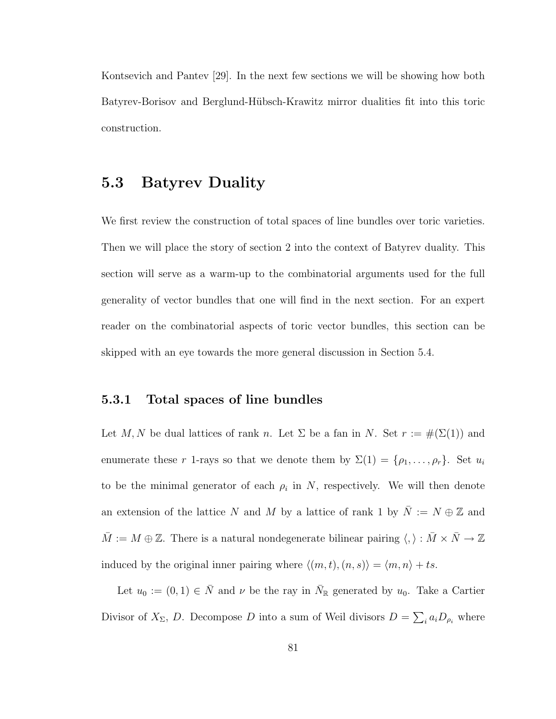Kontsevich and Pantev [29]. In the next few sections we will be showing how both Batyrev-Borisov and Berglund-H¨ubsch-Krawitz mirror dualities fit into this toric construction.

#### 5.3 Batyrev Duality

We first review the construction of total spaces of line bundles over toric varieties. Then we will place the story of section 2 into the context of Batyrev duality. This section will serve as a warm-up to the combinatorial arguments used for the full generality of vector bundles that one will find in the next section. For an expert reader on the combinatorial aspects of toric vector bundles, this section can be skipped with an eye towards the more general discussion in Section 5.4.

#### 5.3.1 Total spaces of line bundles

Let M, N be dual lattices of rank n. Let  $\Sigma$  be a fan in N. Set  $r := \#(\Sigma(1))$  and enumerate these r 1-rays so that we denote them by  $\Sigma(1) = \{\rho_1, \ldots, \rho_r\}$ . Set  $u_i$ to be the minimal generator of each  $\rho_i$  in N, respectively. We will then denote an extension of the lattice  $N$  and  $M$  by a lattice of rank 1 by  $\overline{N} := N \oplus \mathbb{Z}$  and  $\bar{M} := M \oplus \mathbb{Z}$ . There is a natural nondegenerate bilinear pairing  $\langle , \rangle : \bar{M} \times \bar{N} \to \mathbb{Z}$ induced by the original inner pairing where  $\langle (m, t), (n, s) \rangle = \langle m, n \rangle + ts$ .

Let  $u_0 := (0, 1) \in \overline{N}$  and  $\nu$  be the ray in  $\overline{N}_{\mathbb{R}}$  generated by  $u_0$ . Take a Cartier Divisor of  $X_{\Sigma}$ , D. Decompose D into a sum of Weil divisors  $D = \sum_i a_i D_{\rho_i}$  where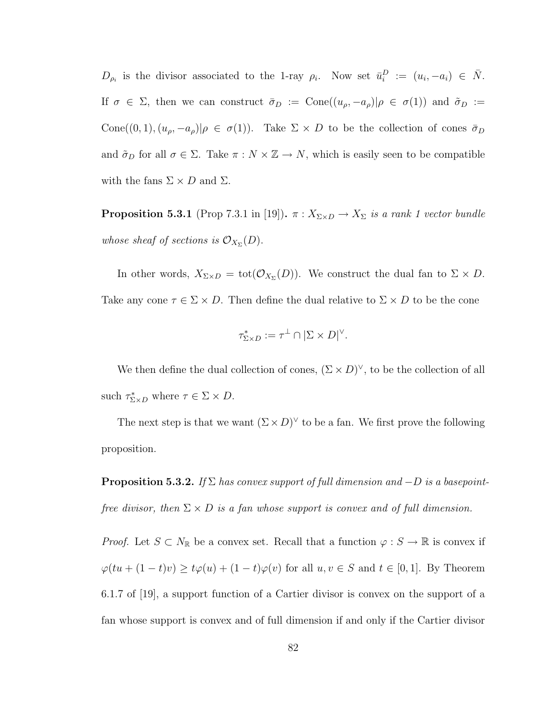$D_{\rho_i}$  is the divisor associated to the 1-ray  $\rho_i$ . Now set  $\bar{u}_i^D := (u_i, -a_i) \in \bar{N}$ . If  $\sigma \in \Sigma$ , then we can construct  $\bar{\sigma}_D := \text{Cone}((u_{\rho}, -a_{\rho})|\rho \in \sigma(1))$  and  $\tilde{\sigma}_D :=$ Cone((0, 1),  $(u_{\rho}, -a_{\rho})|\rho \in \sigma(1)$ ). Take  $\Sigma \times D$  to be the collection of cones  $\bar{\sigma}_D$ and  $\tilde{\sigma}_D$  for all  $\sigma \in \Sigma$ . Take  $\pi : N \times \mathbb{Z} \to N$ , which is easily seen to be compatible with the fans  $\Sigma \times D$  and  $\Sigma$ .

**Proposition 5.3.1** (Prop 7.3.1 in [19]).  $\pi : X_{\Sigma \times D} \to X_{\Sigma}$  is a rank 1 vector bundle whose sheaf of sections is  $\mathcal{O}_{X_{\Sigma}}(D)$ .

In other words,  $X_{\Sigma \times D} = \text{tot}(\mathcal{O}_{X_{\Sigma}}(D))$ . We construct the dual fan to  $\Sigma \times D$ . Take any cone  $\tau \in \Sigma \times D$ . Then define the dual relative to  $\Sigma \times D$  to be the cone

$$
\tau_{\Sigma \times D}^* := \tau^{\perp} \cap |\Sigma \times D|^{\vee}.
$$

We then define the dual collection of cones,  $(\Sigma \times D)^{\vee}$ , to be the collection of all such  $\tau_{\Sigma \times D}^*$  where  $\tau \in \Sigma \times D$ .

The next step is that we want  $(\Sigma \times D)^{\vee}$  to be a fan. We first prove the following proposition.

**Proposition 5.3.2.** If  $\Sigma$  has convex support of full dimension and  $-D$  is a basepointfree divisor, then  $\Sigma \times D$  is a fan whose support is convex and of full dimension.

*Proof.* Let  $S \subset N_{\mathbb{R}}$  be a convex set. Recall that a function  $\varphi : S \to \mathbb{R}$  is convex if  $\varphi(tu + (1-t)v) \ge t\varphi(u) + (1-t)\varphi(v)$  for all  $u, v \in S$  and  $t \in [0,1]$ . By Theorem 6.1.7 of [19], a support function of a Cartier divisor is convex on the support of a fan whose support is convex and of full dimension if and only if the Cartier divisor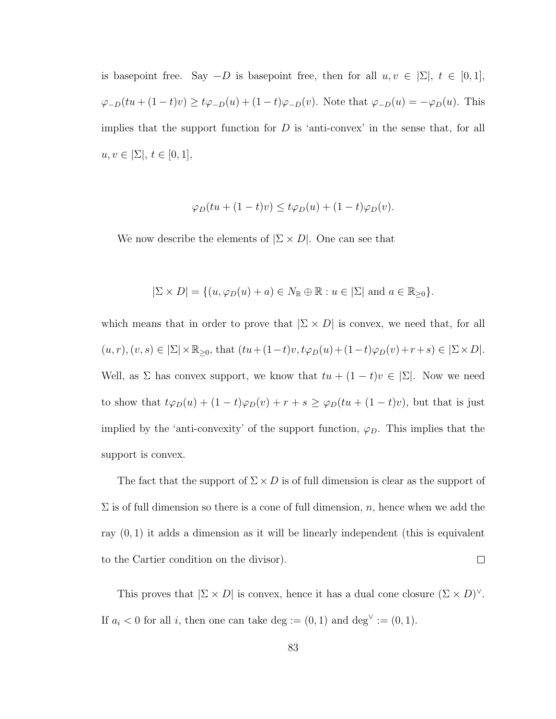is basepoint free. Say  $-D$  is basepoint free, then for all  $u, v \in \Sigma$ ,  $t \in [0, 1]$ ,  $\varphi_{-D}(tu + (1-t)v) \ge t\varphi_{-D}(u) + (1-t)\varphi_{-D}(v)$ . Note that  $\varphi_{-D}(u) = -\varphi_D(u)$ . This implies that the support function for  $D$  is 'anti-convex' in the sense that, for all  $u, v \in \Sigma, t \in [0, 1],$ 

$$
\varphi_D(tu + (1-t)v) \le t\varphi_D(u) + (1-t)\varphi_D(v).
$$

We now describe the elements of  $|\Sigma \times D|$ . One can see that

$$
|\Sigma \times D| = \{ (u, \varphi_D(u) + a) \in N_{\mathbb{R}} \oplus \mathbb{R} : u \in |\Sigma| \text{ and } a \in \mathbb{R}_{\geq 0} \}.
$$

which means that in order to prove that  $|\Sigma \times D|$  is convex, we need that, for all  $(u, r), (v, s) \in |\Sigma| \times \mathbb{R}_{\geq 0}, \: \text{that} \: (tu + (1-t)v, t\varphi_D(u) + (1-t)\varphi_D(v) + r + s) \in |\Sigma \times D|.$ Well, as  $\Sigma$  has convex support, we know that  $tu + (1 - t)v \in |\Sigma|$ . Now we need to show that  $t\varphi_D(u) + (1-t)\varphi_D(v) + r + s \geq \varphi_D(tu + (1-t)v)$ , but that is just implied by the 'anti-convexity' of the support function,  $\varphi_D$ . This implies that the support is convex.

The fact that the support of  $\Sigma \times D$  is of full dimension is clear as the support of  $\Sigma$  is of full dimension so there is a cone of full dimension, n, hence when we add the ray (0, 1) it adds a dimension as it will be linearly independent (this is equivalent  $\Box$ to the Cartier condition on the divisor).

This proves that  $|\Sigma \times D|$  is convex, hence it has a dual cone closure  $(\Sigma \times D)^{\vee}$ . If  $a_i < 0$  for all i, then one can take deg :=  $(0, 1)$  and deg<sup> $\vee$ </sup> :=  $(0, 1)$ .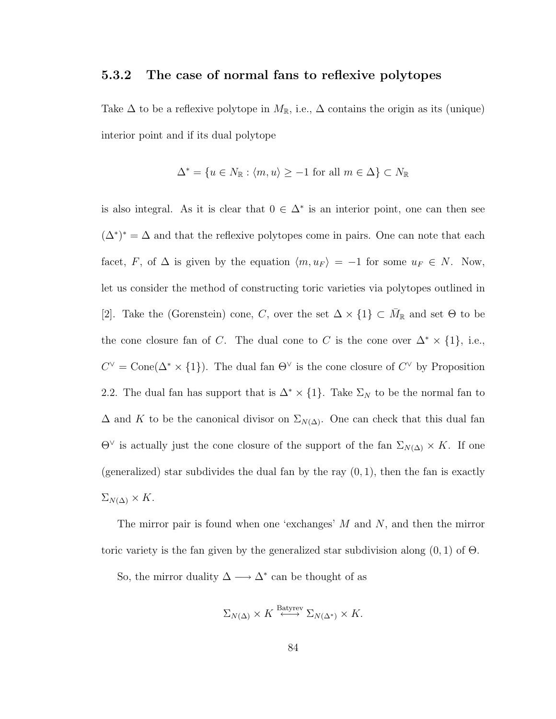#### 5.3.2 The case of normal fans to reflexive polytopes

Take  $\Delta$  to be a reflexive polytope in  $M_{\mathbb{R}}$ , i.e.,  $\Delta$  contains the origin as its (unique) interior point and if its dual polytope

$$
\Delta^* = \{ u \in N_{\mathbb{R}} : \langle m, u \rangle \ge -1 \text{ for all } m \in \Delta \} \subset N_{\mathbb{R}}
$$

is also integral. As it is clear that  $0 \in \Delta^*$  is an interior point, one can then see  $(\Delta^*)^* = \Delta$  and that the reflexive polytopes come in pairs. One can note that each facet, F, of  $\Delta$  is given by the equation  $\langle m, u_F \rangle = -1$  for some  $u_F \in N$ . Now, let us consider the method of constructing toric varieties via polytopes outlined in [2]. Take the (Gorenstein) cone, C, over the set  $\Delta \times \{1\} \subset \overline{M}_{\mathbb{R}}$  and set  $\Theta$  to be the cone closure fan of C. The dual cone to C is the cone over  $\Delta^* \times \{1\}$ , i.e.,  $C^{\vee} = \text{Cone}(\Delta^* \times \{1\})$ . The dual fan  $\Theta^{\vee}$  is the cone closure of  $C^{\vee}$  by Proposition 2.2. The dual fan has support that is  $\Delta^* \times \{1\}$ . Take  $\Sigma_N$  to be the normal fan to  $\Delta$  and K to be the canonical divisor on  $\Sigma_{N(\Delta)}$ . One can check that this dual fan  $\Theta^{\vee}$  is actually just the cone closure of the support of the fan  $\Sigma_{N(\Delta)} \times K$ . If one (generalized) star subdivides the dual fan by the ray  $(0, 1)$ , then the fan is exactly  $\Sigma_{N(\Delta)} \times K$ .

The mirror pair is found when one 'exchanges'  $M$  and  $N$ , and then the mirror toric variety is the fan given by the generalized star subdivision along  $(0, 1)$  of  $\Theta$ .

So, the mirror duality  $\Delta \longrightarrow \Delta^*$  can be thought of as

$$
\Sigma_{N(\Delta)} \times K \stackrel{\text{Batyrev}}{\longleftrightarrow} \Sigma_{N(\Delta^*)} \times K.
$$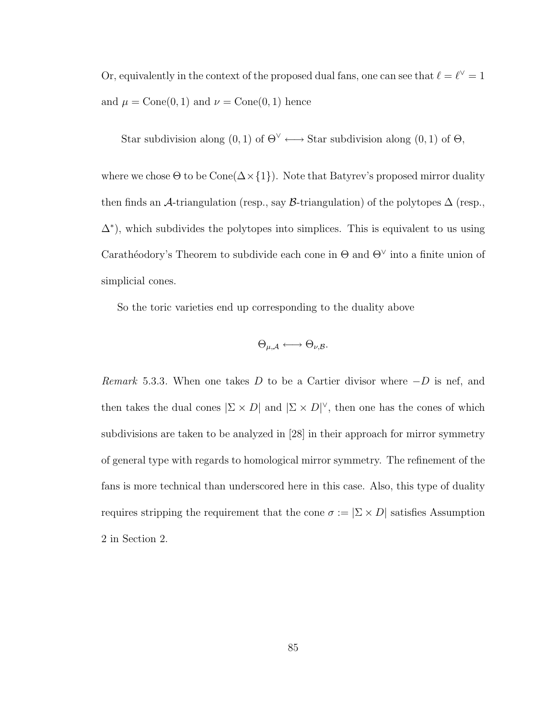Or, equivalently in the context of the proposed dual fans, one can see that  $\ell = \ell^{\vee} = 1$ and  $\mu = \text{Cone}(0, 1)$  and  $\nu = \text{Cone}(0, 1)$  hence

Star subdivision along  $(0,1)$  of  $\Theta^{\vee} \longleftrightarrow$  Star subdivision along  $(0,1)$  of  $\Theta$ ,

where we chose  $\Theta$  to be  $Cone(\Delta \times \{1\})$ . Note that Batyrev's proposed mirror duality then finds an A-triangulation (resp., say B-triangulation) of the polytopes  $\Delta$  (resp.,  $\Delta^*$ ), which subdivides the polytopes into simplices. This is equivalent to us using Carathéodory's Theorem to subdivide each cone in  $\Theta$  and  $\Theta^{\vee}$  into a finite union of simplicial cones.

So the toric varieties end up corresponding to the duality above

$$
\Theta_{\mu,\mathcal{A}} \longleftrightarrow \Theta_{\nu,\mathcal{B}}.
$$

Remark 5.3.3. When one takes D to be a Cartier divisor where  $-D$  is nef, and then takes the dual cones  $|\Sigma \times D|$  and  $|\Sigma \times D|^{\vee}$ , then one has the cones of which subdivisions are taken to be analyzed in [28] in their approach for mirror symmetry of general type with regards to homological mirror symmetry. The refinement of the fans is more technical than underscored here in this case. Also, this type of duality requires stripping the requirement that the cone  $\sigma := |\Sigma \times D|$  satisfies Assumption 2 in Section 2.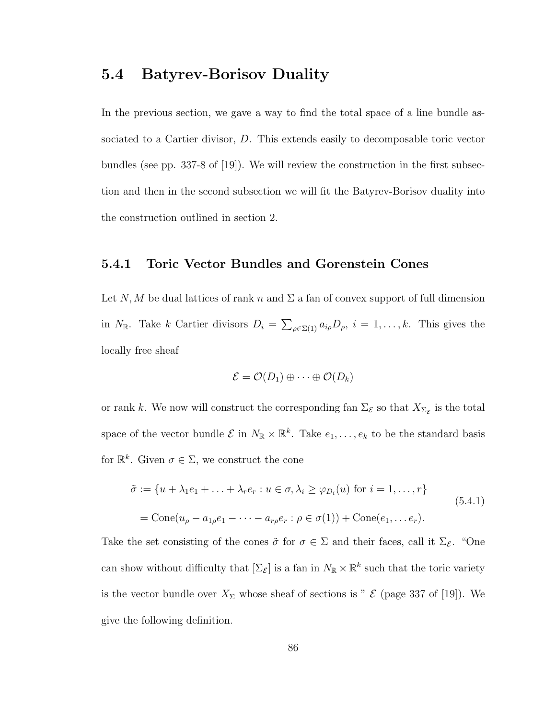#### 5.4 Batyrev-Borisov Duality

In the previous section, we gave a way to find the total space of a line bundle associated to a Cartier divisor, D. This extends easily to decomposable toric vector bundles (see pp. 337-8 of [19]). We will review the construction in the first subsection and then in the second subsection we will fit the Batyrev-Borisov duality into the construction outlined in section 2.

#### 5.4.1 Toric Vector Bundles and Gorenstein Cones

Let N, M be dual lattices of rank n and  $\Sigma$  a fan of convex support of full dimension in  $N_{\mathbb{R}}$ . Take k Cartier divisors  $D_i = \sum_{\rho \in \Sigma(1)} a_{i\rho} D_{\rho}, i = 1, \ldots, k$ . This gives the locally free sheaf

$$
\mathcal{E} = \mathcal{O}(D_1) \oplus \cdots \oplus \mathcal{O}(D_k)
$$

or rank k. We now will construct the corresponding fan  $\Sigma_{\mathcal{E}}$  so that  $X_{\Sigma_{\mathcal{E}}}$  is the total space of the vector bundle  $\mathcal{E}$  in  $N_{\mathbb{R}} \times \mathbb{R}^k$ . Take  $e_1, \ldots, e_k$  to be the standard basis for  $\mathbb{R}^k$ . Given  $\sigma \in \Sigma$ , we construct the cone

$$
\tilde{\sigma} := \{u + \lambda_1 e_1 + \ldots + \lambda_r e_r : u \in \sigma, \lambda_i \ge \varphi_{D_i}(u) \text{ for } i = 1, \ldots, r\}
$$
  
= Cone(u<sub>\rho</sub> - a<sub>1\rho</sub>e<sub>1</sub> - \cdots - a<sub>r\rho</sub>e<sub>r</sub> :  $\rho \in \sigma(1)$ ) + Cone(e<sub>1</sub>, \ldots e<sub>r</sub>). (5.4.1)

Take the set consisting of the cones  $\tilde{\sigma}$  for  $\sigma \in \Sigma$  and their faces, call it  $\Sigma_{\mathcal{E}}$ . "One can show without difficulty that  $[\Sigma_{\mathcal{E}}]$  is a fan in  $N_{\mathbb{R}} \times \mathbb{R}^k$  such that the toric variety is the vector bundle over  $X_{\Sigma}$  whose sheaf of sections is "  $\mathcal{E}$  (page 337 of [19]). We give the following definition.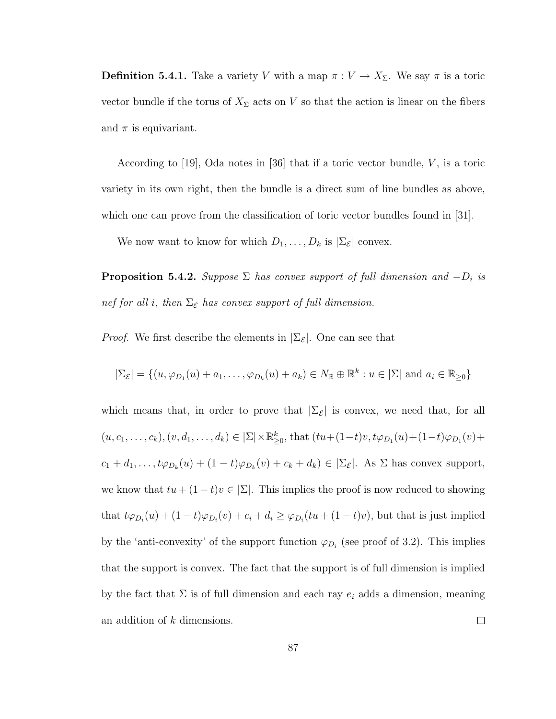**Definition 5.4.1.** Take a variety V with a map  $\pi : V \to X_{\Sigma}$ . We say  $\pi$  is a toric vector bundle if the torus of  $X_{\Sigma}$  acts on V so that the action is linear on the fibers and  $\pi$  is equivariant.

According to  $[19]$ , Oda notes in  $[36]$  that if a toric vector bundle, V, is a toric variety in its own right, then the bundle is a direct sum of line bundles as above, which one can prove from the classification of toric vector bundles found in [31].

We now want to know for which  $D_1, \ldots, D_k$  is  $|\Sigma_{\mathcal{E}}|$  convex.

**Proposition 5.4.2.** Suppose  $\Sigma$  has convex support of full dimension and  $-D_i$  is nef for all i, then  $\Sigma_{\mathcal{E}}$  has convex support of full dimension.

*Proof.* We first describe the elements in  $\Sigma_{\mathcal{E}}$ . One can see that

$$
|\Sigma_{\mathcal{E}}| = \{(u, \varphi_{D_1}(u) + a_1, \dots, \varphi_{D_k}(u) + a_k) \in N_{\mathbb{R}} \oplus \mathbb{R}^k : u \in |\Sigma| \text{ and } a_i \in \mathbb{R}_{\geq 0}\}\
$$

which means that, in order to prove that  $|\Sigma_{\mathcal{E}}|$  is convex, we need that, for all  $(u, c_1, \ldots, c_k), (v, d_1, \ldots, d_k) \in |\Sigma| \times \mathbb{R}_{\geq 0}^k$ , that  $(tu + (1-t)v, t\varphi_{D_1}(u) + (1-t)\varphi_{D_1}(v) +$  $c_1 + d_1, \ldots, t\varphi_{D_k}(u) + (1-t)\varphi_{D_k}(v) + c_k + d_k) \in |\Sigma_{\mathcal{E}}|$ . As  $\Sigma$  has convex support, we know that  $tu + (1 - t)v \in |\Sigma|$ . This implies the proof is now reduced to showing that  $t\varphi_{D_i}(u) + (1-t)\varphi_{D_i}(v) + c_i + d_i \geq \varphi_{D_i}(tu + (1-t)v)$ , but that is just implied by the 'anti-convexity' of the support function  $\varphi_{D_i}$  (see proof of 3.2). This implies that the support is convex. The fact that the support is of full dimension is implied by the fact that  $\Sigma$  is of full dimension and each ray  $e_i$  adds a dimension, meaning an addition of k dimensions.  $\Box$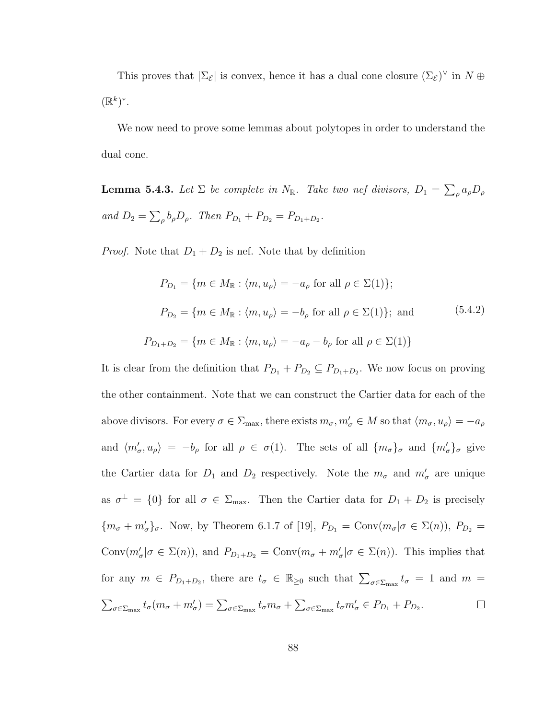This proves that  $|\Sigma_{\mathcal{E}}|$  is convex, hence it has a dual cone closure  $(\Sigma_{\mathcal{E}})^{\vee}$  in  $N \oplus$  $(\mathbb{R}^k)^*$ .

We now need to prove some lemmas about polytopes in order to understand the dual cone.

**Lemma 5.4.3.** Let  $\Sigma$  be complete in  $N_{\mathbb{R}}$ . Take two nef divisors,  $D_1 = \sum_{\rho} a_{\rho} D_{\rho}$ and  $D_2 = \sum_{\rho} b_{\rho} D_{\rho}$ . Then  $P_{D_1} + P_{D_2} = P_{D_1 + D_2}$ .

*Proof.* Note that  $D_1 + D_2$  is nef. Note that by definition

$$
P_{D_1} = \{ m \in M_{\mathbb{R}} : \langle m, u_{\rho} \rangle = -a_{\rho} \text{ for all } \rho \in \Sigma(1) \};
$$
  

$$
P_{D_2} = \{ m \in M_{\mathbb{R}} : \langle m, u_{\rho} \rangle = -b_{\rho} \text{ for all } \rho \in \Sigma(1) \}; \text{ and}
$$
  

$$
P_{D_1 + D_2} = \{ m \in M_{\mathbb{R}} : \langle m, u_{\rho} \rangle = -a_{\rho} - b_{\rho} \text{ for all } \rho \in \Sigma(1) \}
$$
  
(5.4.2)

It is clear from the definition that  $P_{D_1} + P_{D_2} \subseteq P_{D_1 + D_2}$ . We now focus on proving the other containment. Note that we can construct the Cartier data for each of the above divisors. For every  $\sigma \in \Sigma_{\max}$ , there exists  $m_{\sigma}, m'_{\sigma} \in M$  so that  $\langle m_{\sigma}, u_{\rho} \rangle = -a_{\rho}$ and  $\langle m'_\sigma, u_\rho \rangle = -b_\rho$  for all  $\rho \in \sigma(1)$ . The sets of all  $\{m_\sigma\}_\sigma$  and  $\{m'_\sigma\}_\sigma$  give the Cartier data for  $D_1$  and  $D_2$  respectively. Note the  $m_{\sigma}$  and  $m'_{\sigma}$  are unique as  $\sigma^{\perp} = \{0\}$  for all  $\sigma \in \Sigma_{\text{max}}$ . Then the Cartier data for  $D_1 + D_2$  is precisely  ${m<sub>\sigma</sub> + m'<sub>\sigma</sub>}$ , Now, by Theorem 6.1.7 of [19],  $P_{D_1} = \text{Conv}(m_{\sigma}|\sigma \in \Sigma(n)), P_{D_2} =$ Conv $(m'_\sigma | \sigma \in \Sigma(n))$ , and  $P_{D_1+D_2} = \text{Conv}(m_\sigma + m'_\sigma | \sigma \in \Sigma(n))$ . This implies that for any  $m \in P_{D_1+D_2}$ , there are  $t_{\sigma} \in \mathbb{R}_{\geq 0}$  such that  $\sum_{\sigma \in \Sigma_{\max}} t_{\sigma} = 1$  and  $m =$  $\sum_{\sigma \in \Sigma_{\max}} t_{\sigma}(m_{\sigma} + m_{\sigma}') = \sum_{\sigma \in \Sigma_{\max}} t_{\sigma} m_{\sigma} + \sum_{\sigma \in \Sigma_{\max}} t_{\sigma} m_{\sigma}' \in P_{D_1} + P_{D_2}.$  $\Box$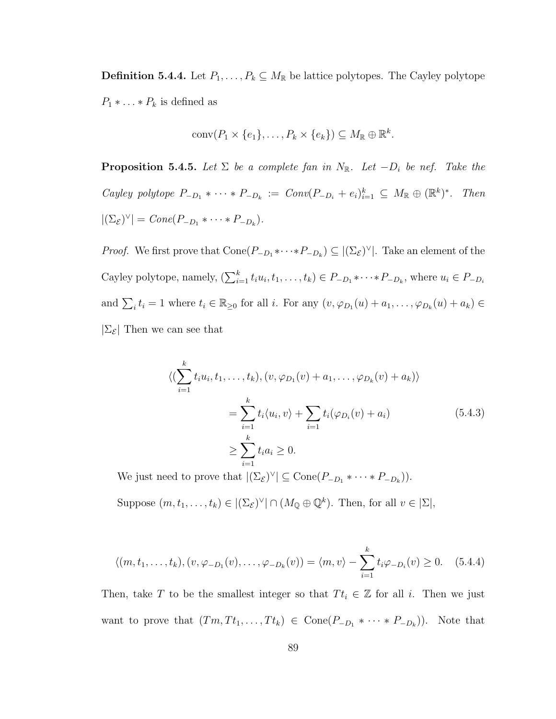**Definition 5.4.4.** Let  $P_1, \ldots, P_k \subseteq M_{\mathbb{R}}$  be lattice polytopes. The Cayley polytope  $P_1 * \ldots * P_k$  is defined as

$$
conv(P_1 \times \{e_1\}, \ldots, P_k \times \{e_k\}) \subseteq M_{\mathbb{R}} \oplus \mathbb{R}^k.
$$

**Proposition 5.4.5.** Let  $\Sigma$  be a complete fan in  $N_{\mathbb{R}}$ . Let  $-D_i$  be nef. Take the Cayley polytope  $P_{-D_1} * \cdots * P_{-D_k} := Conv(P_{-D_i} + e_i)_{i=1}^k \subseteq M_{\mathbb{R}} \oplus (\mathbb{R}^k)^*$ . Then  $|(\Sigma_{\mathcal{E}})^{\vee}| = Cone(P_{-D_1} * \cdots * P_{-D_k}).$ 

*Proof.* We first prove that  $Cone(P_{-D_1} * \cdots * P_{-D_k}) \subseteq |(\Sigma_{\mathcal{E}})^{\vee}|$ . Take an element of the Cayley polytope, namely,  $(\sum_{i=1}^{k} t_i u_i, t_1, \ldots, t_k) \in P_{-D_1} * \cdots * P_{-D_k}$ , where  $u_i \in P_{-D_i}$ and  $\sum_i t_i = 1$  where  $t_i \in \mathbb{R}_{\geq 0}$  for all i. For any  $(v, \varphi_{D_1}(u) + a_1, \ldots, \varphi_{D_k}(u) + a_k) \in$  $|\Sigma_{\mathcal{E}}|$  Then we can see that

$$
\langle (\sum_{i=1}^{k} t_i u_i, t_1, \dots, t_k), (v, \varphi_{D_1}(v) + a_1, \dots, \varphi_{D_k}(v) + a_k) \rangle
$$
  
= 
$$
\sum_{i=1}^{k} t_i \langle u_i, v \rangle + \sum_{i=1}^{k} t_i (\varphi_{D_i}(v) + a_i)
$$
  

$$
\geq \sum_{i=1}^{k} t_i a_i \geq 0.
$$
 (5.4.3)

We just need to prove that  $|(\Sigma_{\mathcal{E}})^{\vee}| \subseteq \text{Cone}(P_{-D_1} * \cdots * P_{-D_k})$ .

Suppose  $(m, t_1, \ldots, t_k) \in |(\Sigma_{\mathcal{E}})^{\vee}| \cap (M_{\mathbb{Q}} \oplus \mathbb{Q}^k)$ . Then, for all  $v \in |\Sigma|$ ,

$$
\langle (m, t_1, \dots, t_k), (v, \varphi_{-D_1}(v), \dots, \varphi_{-D_k}(v)) \rangle = \langle m, v \rangle - \sum_{i=1}^k t_i \varphi_{-D_i}(v) \ge 0. \quad (5.4.4)
$$

Then, take T to be the smallest integer so that  $T t_i \in \mathbb{Z}$  for all i. Then we just want to prove that  $(Tm, Tt_1, \ldots, Tt_k) \in \text{Cone}(P_{-D_1} * \cdots * P_{-D_k})$ . Note that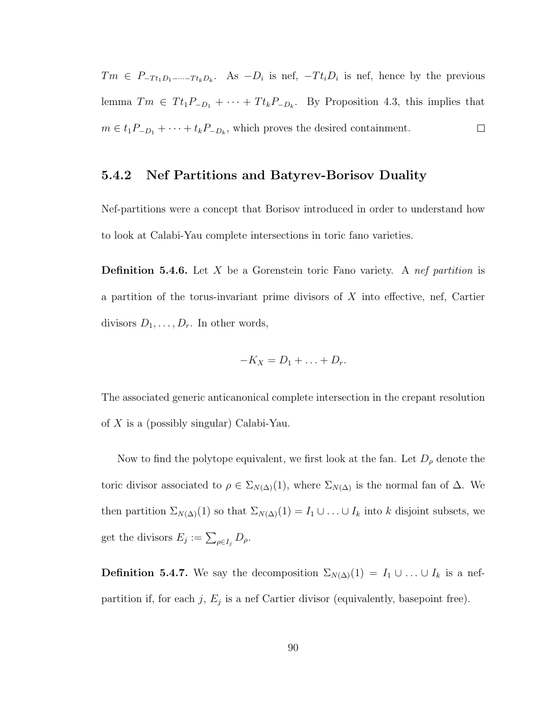$Tm \in P_{-Tt_1D_1-\cdots-Tt_kD_k}$ . As  $-D_i$  is nef,  $-Tt_iD_i$  is nef, hence by the previous lemma  $Tm \in Tt_1P_{-D_1} + \cdots + Tt_kP_{-D_k}$ . By Proposition 4.3, this implies that  $m \in t_1 P_{-D_1} + \cdots + t_k P_{-D_k}$ , which proves the desired containment.  $\Box$ 

#### 5.4.2 Nef Partitions and Batyrev-Borisov Duality

Nef-partitions were a concept that Borisov introduced in order to understand how to look at Calabi-Yau complete intersections in toric fano varieties.

**Definition 5.4.6.** Let X be a Gorenstein toric Fano variety. A nef partition is a partition of the torus-invariant prime divisors of  $X$  into effective, nef, Cartier divisors  $D_1, \ldots, D_r$ . In other words,

$$
-K_X=D_1+\ldots+D_r.
$$

The associated generic anticanonical complete intersection in the crepant resolution of X is a (possibly singular) Calabi-Yau.

Now to find the polytope equivalent, we first look at the fan. Let  $D_{\rho}$  denote the toric divisor associated to  $\rho \in \Sigma_{N(\Delta)}(1)$ , where  $\Sigma_{N(\Delta)}$  is the normal fan of  $\Delta$ . We then partition  $\Sigma_{N(\Delta)}(1)$  so that  $\Sigma_{N(\Delta)}(1) = I_1 \cup ... \cup I_k$  into k disjoint subsets, we get the divisors  $E_j := \sum_{\rho \in I_j} D_\rho$ .

**Definition 5.4.7.** We say the decomposition  $\Sigma_{N(\Delta)}(1) = I_1 \cup ... \cup I_k$  is a nefpartition if, for each j,  $E_j$  is a nef Cartier divisor (equivalently, basepoint free).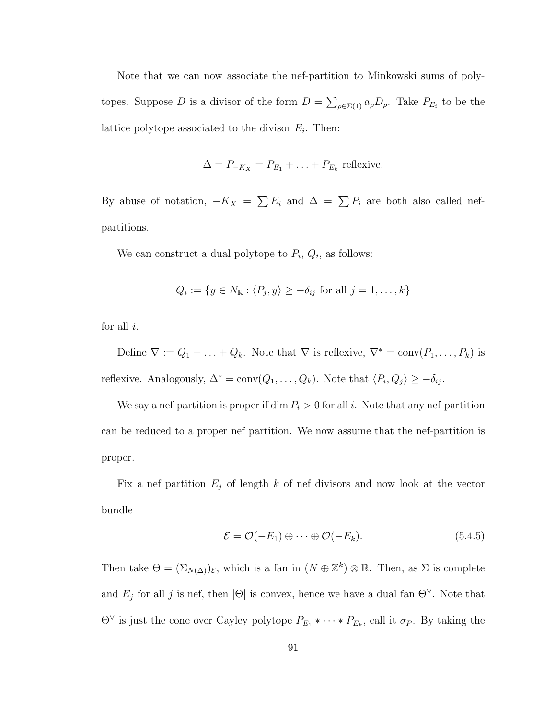Note that we can now associate the nef-partition to Minkowski sums of polytopes. Suppose D is a divisor of the form  $D = \sum_{\rho \in \Sigma(1)} a_{\rho} D_{\rho}$ . Take  $P_{E_i}$  to be the lattice polytope associated to the divisor  $E_i$ . Then:

$$
\Delta = P_{-K_X} = P_{E_1} + \ldots + P_{E_k}
$$
 reflexive.

By abuse of notation,  $-K_X = \sum E_i$  and  $\Delta = \sum P_i$  are both also called nefpartitions.

We can construct a dual polytope to  $P_i$ ,  $Q_i$ , as follows:

$$
Q_i := \{ y \in N_{\mathbb{R}} : \langle P_j, y \rangle \ge -\delta_{ij} \text{ for all } j = 1, \dots, k \}
$$

for all  $i$ .

Define  $\nabla := Q_1 + \ldots + Q_k$ . Note that  $\nabla$  is reflexive,  $\nabla^* = \text{conv}(P_1, \ldots, P_k)$  is reflexive. Analogously,  $\Delta^* = \text{conv}(Q_1, \ldots, Q_k)$ . Note that  $\langle P_i, Q_j \rangle \ge -\delta_{ij}$ .

We say a nef-partition is proper if dim  $P_i > 0$  for all i. Note that any nef-partition can be reduced to a proper nef partition. We now assume that the nef-partition is proper.

Fix a nef partition  $E_j$  of length k of nef divisors and now look at the vector bundle

$$
\mathcal{E} = \mathcal{O}(-E_1) \oplus \cdots \oplus \mathcal{O}(-E_k). \tag{5.4.5}
$$

Then take  $\Theta = (\Sigma_{N(\Delta)})_{\mathcal{E}}$ , which is a fan in  $(N \oplus \mathbb{Z}^k) \otimes \mathbb{R}$ . Then, as  $\Sigma$  is complete and  $E_j$  for all j is nef, then  $|\Theta|$  is convex, hence we have a dual fan  $\Theta^{\vee}$ . Note that  $\Theta^{\vee}$  is just the cone over Cayley polytope  $P_{E_1} * \cdots * P_{E_k}$ , call it  $\sigma_P$ . By taking the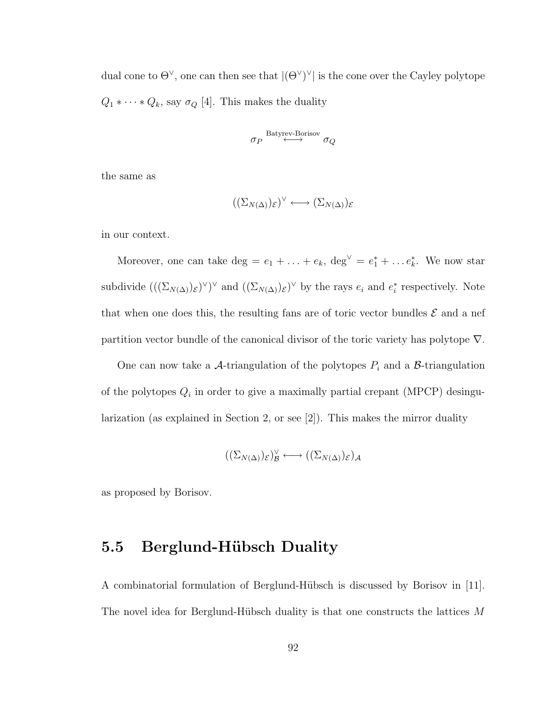dual cone to  $\Theta^{\vee}$ , one can then see that  $|(\Theta^{\vee})^{\vee}|$  is the cone over the Cayley polytope  $Q_1 * \cdots * Q_k$ , say  $\sigma_Q$  [4]. This makes the duality

$$
\sigma_P \overset{\text{Batyrev-Borisov}}{\longleftrightarrow} \sigma_Q
$$

the same as

$$
((\Sigma_{N(\Delta)})_{\mathcal{E}})^{\vee} \longleftrightarrow (\Sigma_{N(\Delta)})_{\mathcal{E}}
$$

in our context.

Moreover, one can take  $\deg = e_1 + \ldots + e_k$ ,  $\deg^{\vee} = e_1^* + \ldots + e_k^*$ . We now star subdivide  $((\Sigma_{N(\Delta)})_{\varepsilon})^{\vee}$  and  $((\Sigma_{N(\Delta)})_{\varepsilon})^{\vee}$  by the rays  $e_i$  and  $e_i^*$  respectively. Note that when one does this, the resulting fans are of toric vector bundles  $\mathcal E$  and a nef partition vector bundle of the canonical divisor of the toric variety has polytope  $\nabla$ .

One can now take a A-triangulation of the polytopes  $P_i$  and a B-triangulation of the polytopes  $Q_i$  in order to give a maximally partial crepant (MPCP) desingularization (as explained in Section 2, or see [2]). This makes the mirror duality

$$
((\Sigma_{N(\Delta)})_{\mathcal{E}})_{\mathcal{B}}^{\vee} \longleftrightarrow ((\Sigma_{N(\Delta)})_{\mathcal{E}})_{\mathcal{A}}
$$

as proposed by Borisov.

#### 5.5 Berglund-Hübsch Duality

A combinatorial formulation of Berglund-Hübsch is discussed by Borisov in [11]. The novel idea for Berglund-Hübsch duality is that one constructs the lattices  $M$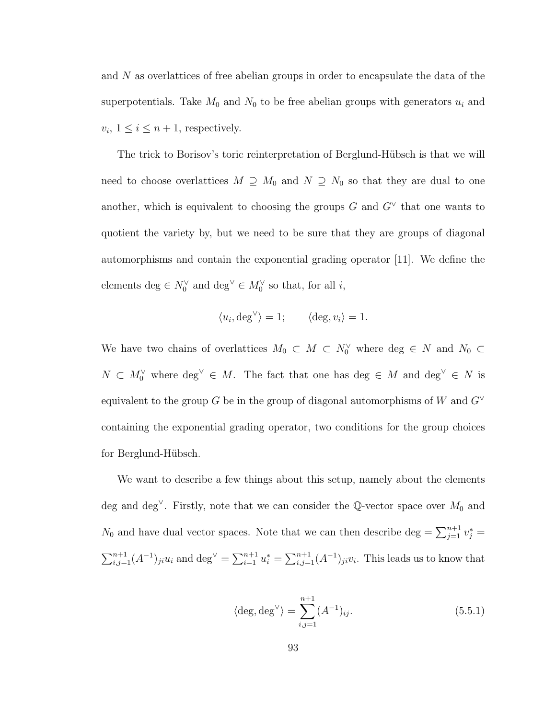and N as overlattices of free abelian groups in order to encapsulate the data of the superpotentials. Take  $M_0$  and  $N_0$  to be free abelian groups with generators  $u_i$  and  $v_i, 1 \leq i \leq n+1$ , respectively.

The trick to Borisov's toric reinterpretation of Berglund-Hübsch is that we will need to choose overlattices  $M \supseteq M_0$  and  $N \supseteq N_0$  so that they are dual to one another, which is equivalent to choosing the groups G and  $G^{\vee}$  that one wants to quotient the variety by, but we need to be sure that they are groups of diagonal automorphisms and contain the exponential grading operator [11]. We define the elements deg  $\in N_0^{\vee}$  and deg<sup> $\vee \in M_0^{\vee}$ </sup> so that, for all *i*,

$$
\langle u_i, \deg^{\vee} \rangle = 1;
$$
  $\langle \deg, v_i \rangle = 1.$ 

We have two chains of overlattices  $M_0 \subset M \subset N_0^{\vee}$  where  $\deg \in N$  and  $N_0 \subset$  $N \subset M_0^{\vee}$  where  $\deg^{\vee} \in M$ . The fact that one has  $\deg \in M$  and  $\deg^{\vee} \in N$  is equivalent to the group G be in the group of diagonal automorphisms of W and  $G^{\vee}$ containing the exponential grading operator, two conditions for the group choices for Berglund-Hübsch.

We want to describe a few things about this setup, namely about the elements deg and deg<sup>∨</sup>. Firstly, note that we can consider the Q-vector space over  $M_0$  and  $N_0$  and have dual vector spaces. Note that we can then describe deg =  $\sum_{j=1}^{n+1} v_j^*$  =  $\sum_{i,j=1}^{n+1} (A^{-1})_{ji} u_i$  and deg<sup> $\vee = \sum_{i=1}^{n+1} u_i^* = \sum_{i,j=1}^{n+1} (A^{-1})_{ji} v_i$ . This leads us to know that</sup>

$$
\langle \deg, \deg^{\vee} \rangle = \sum_{i,j=1}^{n+1} (A^{-1})_{ij}.
$$
 (5.5.1)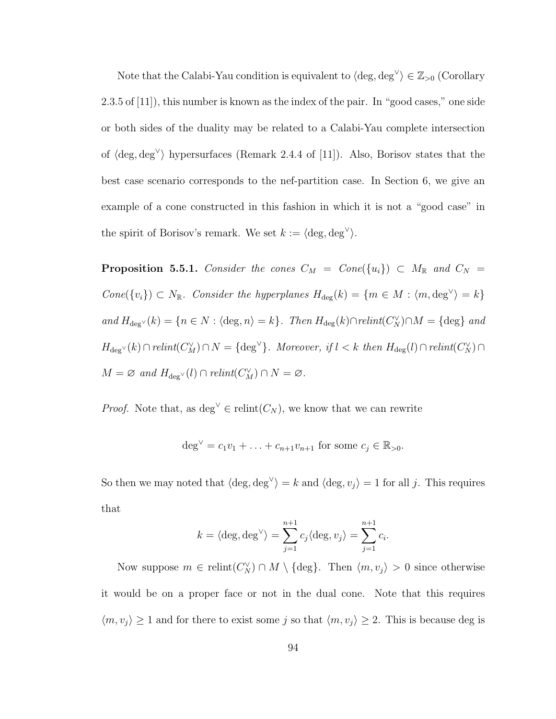Note that the Calabi-Yau condition is equivalent to  $\langle \text{deg}, \text{deg}^{\vee} \rangle \in \mathbb{Z}_{>0}$  (Corollary 2.3.5 of [11]), this number is known as the index of the pair. In "good cases," one side or both sides of the duality may be related to a Calabi-Yau complete intersection of  $\langle \text{deg}, \text{deg}^{\vee} \rangle$  hypersurfaces (Remark 2.4.4 of [11]). Also, Borisov states that the best case scenario corresponds to the nef-partition case. In Section 6, we give an example of a cone constructed in this fashion in which it is not a "good case" in the spirit of Borisov's remark. We set  $k := \langle \deg, \deg^{\vee} \rangle$ .

**Proposition 5.5.1.** Consider the cones  $C_M = Cone({u_i}) \subset M_R$  and  $C_N =$ Cone({v<sub>i</sub>}) ⊂ N<sub>R</sub>. Consider the hyperplanes  $H_{\text{deg}}(k) = \{m \in M : \langle m, \text{deg}^{\vee} \rangle = k\}$ and  $H_{\text{deg}}(k) = \{n \in N : \langle \text{deg}, n \rangle = k\}.$  Then  $H_{\text{deg}}(k) \cap relint(C_N^{\vee}) \cap M = \{\text{deg}\}\$ and  $H_{\text{deg}}(k) \cap relint(C_M^{\vee}) \cap N = {\text{deg}}^{\vee}$ . Moreover, if  $l < k$  then  $H_{\text{deg}}(l) \cap relint(C_N^{\vee}) \cap$  $M = \varnothing$  and  $H_{\text{deg}} \vee (l) \cap relint(C_M^{\vee}) \cap N = \varnothing$ .

*Proof.* Note that, as deg<sup> $\vee$ </sup> ∈ relint $(C_N)$ , we know that we can rewrite

$$
deg^{\vee} = c_1v_1 + \ldots + c_{n+1}v_{n+1}
$$
 for some  $c_j \in \mathbb{R}_{>0}$ .

So then we may noted that  $\langle \text{deg}, \text{deg}^{\vee} \rangle = k$  and  $\langle \text{deg}, v_j \rangle = 1$  for all j. This requires that

$$
k = \langle \deg, \deg^{\vee} \rangle = \sum_{j=1}^{n+1} c_j \langle \deg, v_j \rangle = \sum_{j=1}^{n+1} c_i.
$$

Now suppose  $m \in \text{relint}(C_N^{\vee}) \cap M \setminus \{\text{deg}\}\$ . Then  $\langle m, v_j \rangle > 0$  since otherwise it would be on a proper face or not in the dual cone. Note that this requires  $\langle m, v_j \rangle \ge 1$  and for there to exist some j so that  $\langle m, v_j \rangle \ge 2$ . This is because deg is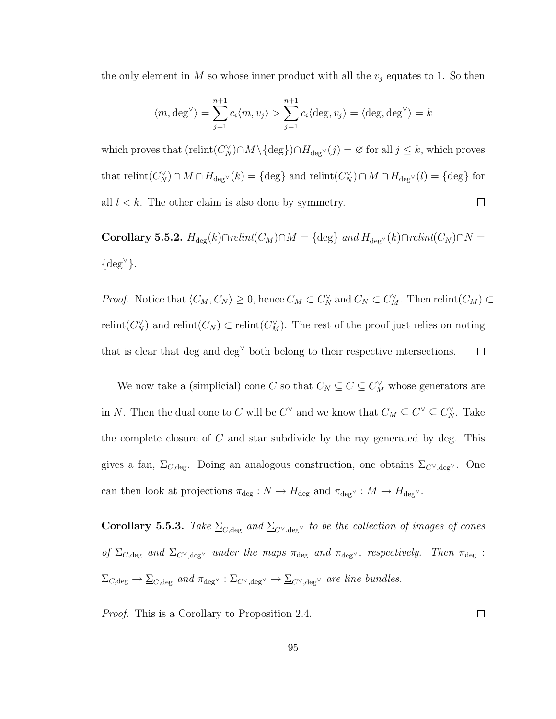the only element in M so whose inner product with all the  $v_j$  equates to 1. So then

$$
\langle m, \deg^{\vee} \rangle = \sum_{j=1}^{n+1} c_i \langle m, v_j \rangle > \sum_{j=1}^{n+1} c_i \langle \deg, v_j \rangle = \langle \deg, \deg^{\vee} \rangle = k
$$

which proves that  $(\text{relint}(C_N^{\vee}) \cap M \setminus {\text{deg}}) \cap H_{\text{deg}^{\vee}}(j) = \varnothing$  for all  $j \leq k$ , which proves that  $relint(C_N^{\vee}) \cap M \cap H_{\text{deg}^{\vee}}(k) = \{\text{deg}\}\$  and  $relint(C_N^{\vee}) \cap M \cap H_{\text{deg}^{\vee}}(l) = \{\text{deg}\}\$  for all  $l < k$ . The other claim is also done by symmetry.  $\Box$ 

Corollary 5.5.2.  $H_{\text{deg}}(k) \cap relint(C_M) \cap M = \{\text{deg}\}\ and\ H_{\text{deg}^{\vee}}(k) \cap relint(C_N) \cap N =$  $\{ \text{deg}^{\vee} \}.$ 

*Proof.* Notice that  $\langle C_M, C_N \rangle \geq 0$ , hence  $C_M \subset C_N^{\vee}$  and  $C_N \subset C_M^{\vee}$ . Then relint $(C_M) \subset C_M$ relint( $C_N^{\vee}$ ) and relint( $C_N$ )  $\subset$  relint( $C_M^{\vee}$ ). The rest of the proof just relies on noting that is clear that deg and deg<sup> $\vee$ </sup> both belong to their respective intersections.  $\Box$ 

We now take a (simplicial) cone C so that  $C_N \subseteq C \subseteq C_M^{\vee}$  whose generators are in N. Then the dual cone to C will be  $C^{\vee}$  and we know that  $C_M \subseteq C^{\vee} \subseteq C_N^{\vee}$ . Take the complete closure of  $C$  and star subdivide by the ray generated by deg. This gives a fan,  $\Sigma_{C,\text{deg}}$ . Doing an analogous construction, one obtains  $\Sigma_{C\vee,\text{deg}}$ . One can then look at projections  $\pi_{\text{deg}}: N \to H_{\text{deg}}$  and  $\pi_{\text{deg}} \vee : M \to H_{\text{deg}} \vee$ .

Corollary 5.5.3. Take  $\sum_{C,\text{deg}}$  and  $\sum_{C',\text{deg}^{\vee}}$  to be the collection of images of cones of  $\Sigma_{C,\text{deg}}$  and  $\Sigma_{C\vee,\text{deg}}$  under the maps  $\pi_{\text{deg}}$  and  $\pi_{\text{deg}}$ , respectively. Then  $\pi_{\text{deg}}$ :  $\Sigma_{C,\text{deg}} \to \underline{\Sigma}_{C,\text{deg}}$  and  $\pi_{\text{deg}} \vee : \Sigma_{C^{\vee},\text{deg}} \to \underline{\Sigma}_{C^{\vee},\text{deg}} \vee$  are line bundles.

Proof. This is a Corollary to Proposition 2.4.

 $\Box$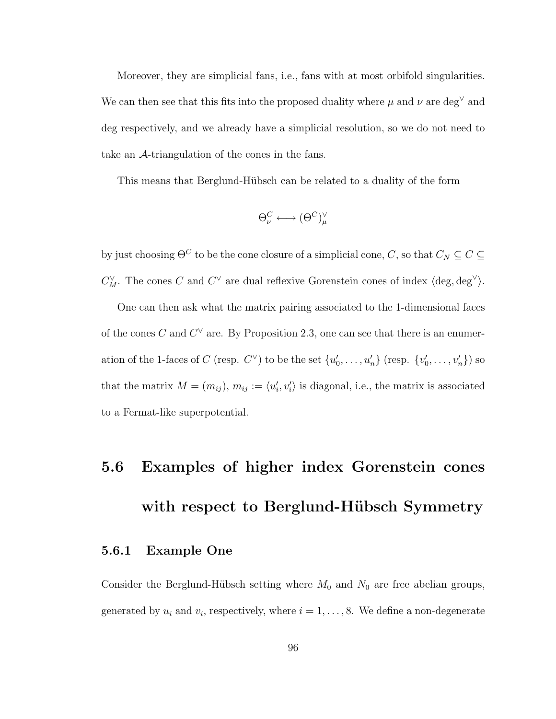Moreover, they are simplicial fans, i.e., fans with at most orbifold singularities. We can then see that this fits into the proposed duality where  $\mu$  and  $\nu$  are deg<sup> $\vee$ </sup> and deg respectively, and we already have a simplicial resolution, so we do not need to take an A-triangulation of the cones in the fans.

This means that Berglund-Hübsch can be related to a duality of the form

$$
\Theta^C_{\nu} \longleftrightarrow (\Theta^C)^{\vee}_{\mu}
$$

by just choosing  $\Theta^C$  to be the cone closure of a simplicial cone,  $C$ , so that  $C_N \subseteq C \subseteq$  $C_M^{\vee}$ . The cones C and  $C^{\vee}$  are dual reflexive Gorenstein cones of index  $\langle \text{deg}, \text{deg}^{\vee} \rangle$ .

One can then ask what the matrix pairing associated to the 1-dimensional faces of the cones C and  $C^{\vee}$  are. By Proposition 2.3, one can see that there is an enumeration of the 1-faces of C (resp.  $C^{\vee}$ ) to be the set  $\{u'_0, \ldots, u'_n\}$  (resp.  $\{v'_0, \ldots, v'_n\}$ ) so that the matrix  $M = (m_{ij}), m_{ij} := \langle u'_i, v'_i \rangle$  is diagonal, i.e., the matrix is associated to a Fermat-like superpotential.

## 5.6 Examples of higher index Gorenstein cones with respect to Berglund-Hübsch Symmetry

#### 5.6.1 Example One

Consider the Berglund-Hübsch setting where  $M_0$  and  $N_0$  are free abelian groups, generated by  $u_i$  and  $v_i$ , respectively, where  $i = 1, \ldots, 8$ . We define a non-degenerate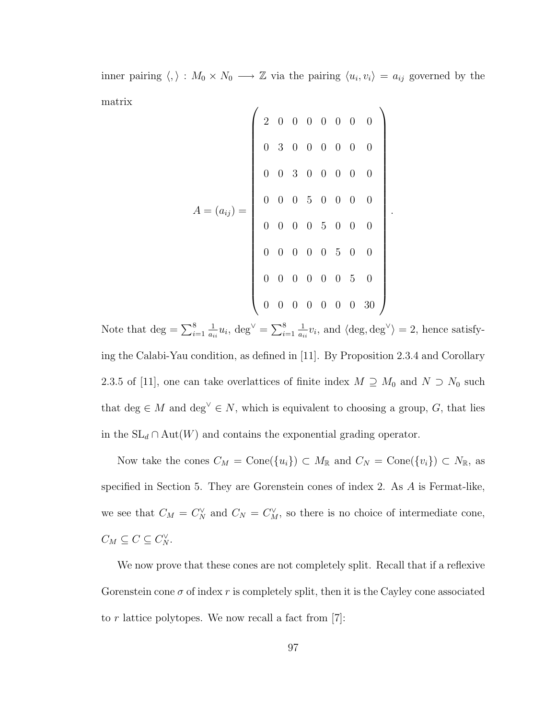inner pairing  $\langle , \rangle : M_0 \times N_0 \longrightarrow \mathbb{Z}$  via the pairing  $\langle u_i, v_i \rangle = a_{ij}$  governed by the matrix

$$
A = (a_{ij}) = \left(\begin{array}{cccccc} 2 & 0 & 0 & 0 & 0 & 0 & 0 & 0 \\ & 0 & 3 & 0 & 0 & 0 & 0 & 0 & 0 \\ & 0 & 0 & 3 & 0 & 0 & 0 & 0 & 0 \\ & 0 & 0 & 0 & 5 & 0 & 0 & 0 & 0 \\ & 0 & 0 & 0 & 0 & 5 & 0 & 0 & 0 \\ & 0 & 0 & 0 & 0 & 0 & 5 & 0 & 0 \\ & 0 & 0 & 0 & 0 & 0 & 0 & 5 & 0 \\ & 0 & 0 & 0 & 0 & 0 & 0 & 0 & 30 \end{array}\right).
$$

Note that  $\deg = \sum_{i=1}^{8}$ 1  $\frac{1}{a_{ii}}u_i$ , deg<sup> $\vee$ </sup> =  $\sum_{i=1}^8$ 1  $\frac{1}{a_{ii}}v_i$ , and  $\langle \text{deg}, \text{deg}^{\vee} \rangle = 2$ , hence satisfying the Calabi-Yau condition, as defined in [11]. By Proposition 2.3.4 and Corollary 2.3.5 of [11], one can take overlattices of finite index  $M \supseteq M_0$  and  $N \supset N_0$  such that deg ∈ M and deg<sup> $\vee$ </sup> ∈ N, which is equivalent to choosing a group, G, that lies in the  $SL_d \cap Aut(W)$  and contains the exponential grading operator.

Now take the cones  $C_M = \text{Cone}(\{u_i\}) \subset M_{\mathbb{R}}$  and  $C_N = \text{Cone}(\{v_i\}) \subset N_{\mathbb{R}}$ , as specified in Section 5. They are Gorenstein cones of index 2. As A is Fermat-like, we see that  $C_M = C_N^{\vee}$  and  $C_N = C_M^{\vee}$ , so there is no choice of intermediate cone,  $C_M \subseteq C \subseteq C_N^{\vee}$ .

We now prove that these cones are not completely split. Recall that if a reflexive Gorenstein cone  $\sigma$  of index r is completely split, then it is the Cayley cone associated to r lattice polytopes. We now recall a fact from  $[7]$ :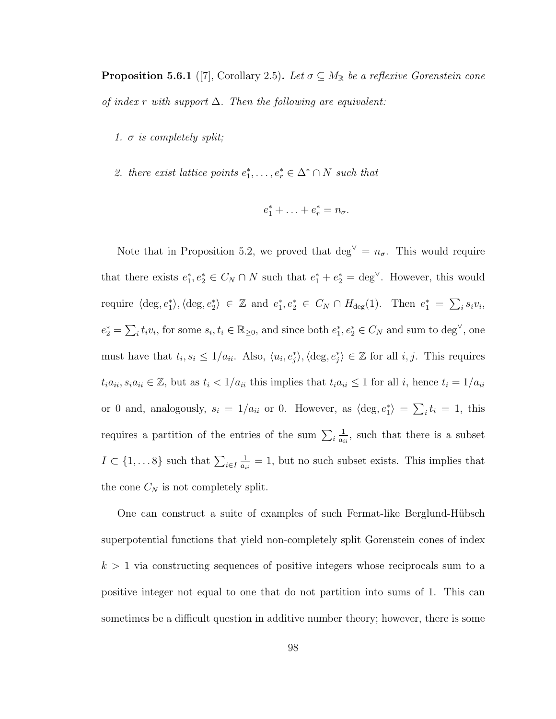**Proposition 5.6.1** ([7], Corollary 2.5). Let  $\sigma \subseteq M_{\mathbb{R}}$  be a reflexive Gorenstein cone of index r with support  $\Delta$ . Then the following are equivalent:

- 1.  $\sigma$  is completely split;
- 2. there exist lattice points  $e_1^*, \ldots, e_r^* \in \Delta^* \cap N$  such that

$$
e_1^* + \ldots + e_r^* = n_\sigma.
$$

Note that in Proposition 5.2, we proved that deg<sup> $\vee$ </sup> =  $n_{\sigma}$ . This would require that there exists  $e_1^*, e_2^* \in C_N \cap N$  such that  $e_1^* + e_2^* = \text{deg}^{\vee}$ . However, this would require  $\langle \deg, e_1^* \rangle, \langle \deg, e_2^* \rangle \in \mathbb{Z}$  and  $e_1^*, e_2^* \in C_N \cap H_{\text{deg}}(1)$ . Then  $e_1^* = \sum_i s_i v_i$ ,  $e_2^* = \sum_i t_i v_i$ , for some  $s_i, t_i \in \mathbb{R}_{\geq 0}$ , and since both  $e_1^*, e_2^* \in C_N$  and sum to  $\deg^{\vee}$ , one must have that  $t_i, s_i \leq 1/a_{ii}$ . Also,  $\langle u_i, e_j^* \rangle$ ,  $\langle \text{deg}, e_j^* \rangle \in \mathbb{Z}$  for all  $i, j$ . This requires  $t_i a_{ii}, s_i a_{ii} \in \mathbb{Z}$ , but as  $t_i < 1/a_{ii}$  this implies that  $t_i a_{ii} \leq 1$  for all i, hence  $t_i = 1/a_{ii}$ or 0 and, analogously,  $s_i = 1/a_{ii}$  or 0. However, as  $\langle \text{deg}, e_1^* \rangle = \sum_i t_i = 1$ , this requires a partition of the entries of the sum  $\sum_i$ 1  $\frac{1}{a_{ii}}$ , such that there is a subset  $I \subset \{1, \ldots 8\}$  such that  $\sum_{i \in I}$ 1  $\frac{1}{a_{ii}} = 1$ , but no such subset exists. This implies that the cone  $C_N$  is not completely split.

One can construct a suite of examples of such Fermat-like Berglund-Hübsch superpotential functions that yield non-completely split Gorenstein cones of index  $k > 1$  via constructing sequences of positive integers whose reciprocals sum to a positive integer not equal to one that do not partition into sums of 1. This can sometimes be a difficult question in additive number theory; however, there is some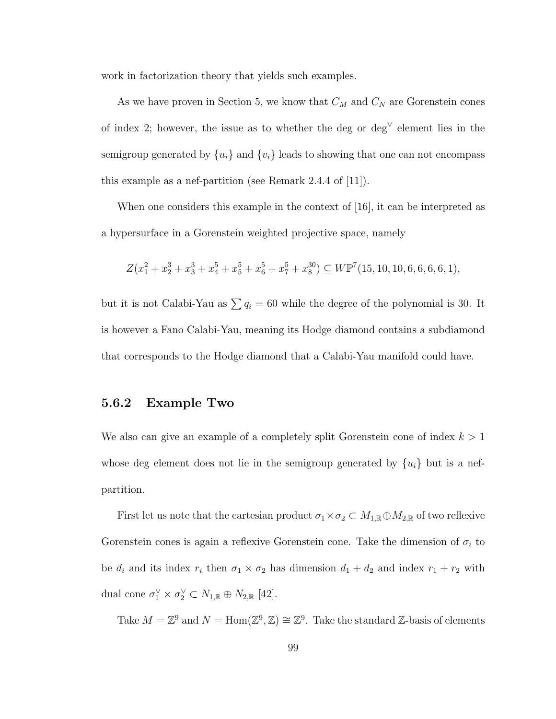work in factorization theory that yields such examples.

As we have proven in Section 5, we know that  $C_M$  and  $C_N$  are Gorenstein cones of index 2; however, the issue as to whether the deg or deg<sup> $\vee$ </sup> element lies in the semigroup generated by  $\{u_i\}$  and  $\{v_i\}$  leads to showing that one can not encompass this example as a nef-partition (see Remark 2.4.4 of [11]).

When one considers this example in the context of [16], it can be interpreted as a hypersurface in a Gorenstein weighted projective space, namely

$$
Z(x_1^2 + x_2^3 + x_3^3 + x_4^5 + x_5^5 + x_6^5 + x_7^5 + x_8^{30}) \subseteq W\mathbb{P}^7(15, 10, 10, 6, 6, 6, 6, 1),
$$

but it is not Calabi-Yau as  $\sum q_i = 60$  while the degree of the polynomial is 30. It is however a Fano Calabi-Yau, meaning its Hodge diamond contains a subdiamond that corresponds to the Hodge diamond that a Calabi-Yau manifold could have.

## 5.6.2 Example Two

We also can give an example of a completely split Gorenstein cone of index  $k > 1$ whose deg element does not lie in the semigroup generated by  $\{u_i\}$  but is a nefpartition.

First let us note that the cartesian product  $\sigma_1 \times \sigma_2 \subset M_{1,\mathbb{R}} \oplus M_{2,\mathbb{R}}$  of two reflexive Gorenstein cones is again a reflexive Gorenstein cone. Take the dimension of  $\sigma_i$  to be  $d_i$  and its index  $r_i$  then  $\sigma_1 \times \sigma_2$  has dimension  $d_1 + d_2$  and index  $r_1 + r_2$  with dual cone  $\sigma_1^{\vee} \times \sigma_2^{\vee} \subset N_{1,\mathbb{R}} \oplus N_{2,\mathbb{R}}$  [42].

Take  $M = \mathbb{Z}^9$  and  $N = \text{Hom}(\mathbb{Z}^9, \mathbb{Z}) \cong \mathbb{Z}^9$ . Take the standard  $\mathbb{Z}$ -basis of elements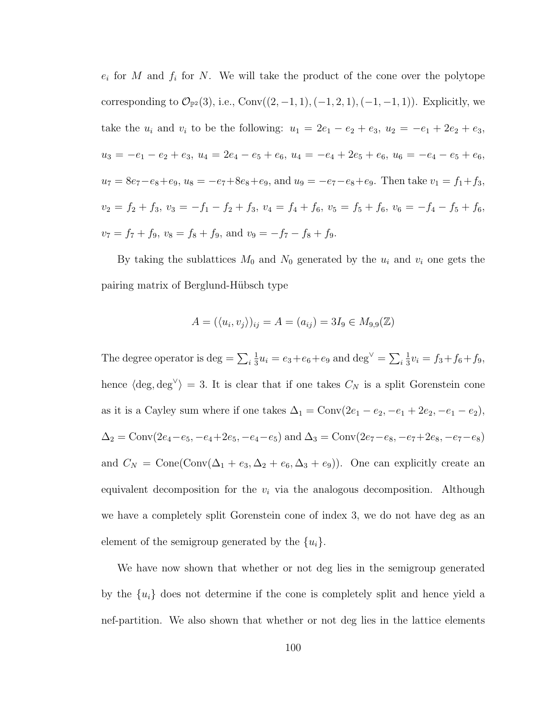$e_i$  for M and  $f_i$  for N. We will take the product of the cone over the polytope corresponding to  $\mathcal{O}_{\mathbb{P}^2}(3)$ , i.e., Conv $((2, -1, 1), (-1, 2, 1), (-1, -1, 1))$ . Explicitly, we take the  $u_i$  and  $v_i$  to be the following:  $u_1 = 2e_1 - e_2 + e_3$ ,  $u_2 = -e_1 + 2e_2 + e_3$ ,  $u_3 = -e_1 - e_2 + e_3$ ,  $u_4 = 2e_4 - e_5 + e_6$ ,  $u_4 = -e_4 + 2e_5 + e_6$ ,  $u_6 = -e_4 - e_5 + e_6$ ,  $u_7 = 8e_7 - e_8 + e_9$ ,  $u_8 = -e_7 + 8e_8 + e_9$ , and  $u_9 = -e_7 - e_8 + e_9$ . Then take  $v_1 = f_1 + f_3$ ,  $v_2 = f_2 + f_3$ ,  $v_3 = -f_1 - f_2 + f_3$ ,  $v_4 = f_4 + f_6$ ,  $v_5 = f_5 + f_6$ ,  $v_6 = -f_4 - f_5 + f_6$ ,  $v_7 = f_7 + f_9$ ,  $v_8 = f_8 + f_9$ , and  $v_9 = -f_7 - f_8 + f_9$ .

By taking the sublattices  $M_0$  and  $N_0$  generated by the  $u_i$  and  $v_i$  one gets the pairing matrix of Berglund-Hübsch type

$$
A = (\langle u_i, v_j \rangle)_{ij} = A = (a_{ij}) = 3I_9 \in M_{9,9}(\mathbb{Z})
$$

The degree operator is deg  $= \sum_i$ 1  $\frac{1}{3}u_i = e_3 + e_6 + e_9$  and  $\deg^{\vee} = \sum_i$ 1  $\frac{1}{3}v_i = f_3+f_6+f_9,$ hence  $\langle \text{deg}, \text{deg} \rangle = 3$ . It is clear that if one takes  $C_N$  is a split Gorenstein cone as it is a Cayley sum where if one takes  $\Delta_1 = \text{Conv}(2e_1 - e_2, -e_1 + 2e_2, -e_1 - e_2)$ ,  $\Delta_2 = \text{Conv}(2e_4 - e_5, -e_4 + 2e_5, -e_4 - e_5)$  and  $\Delta_3 = \text{Conv}(2e_7 - e_8, -e_7 + 2e_8, -e_7 - e_8)$ and  $C_N = \text{Cone}(\text{Conv}(\Delta_1 + e_3, \Delta_2 + e_6, \Delta_3 + e_9))$ . One can explicitly create an equivalent decomposition for the  $v_i$  via the analogous decomposition. Although we have a completely split Gorenstein cone of index 3, we do not have deg as an element of the semigroup generated by the  $\{u_i\}$ .

We have now shown that whether or not deg lies in the semigroup generated by the  $\{u_i\}$  does not determine if the cone is completely split and hence yield a nef-partition. We also shown that whether or not deg lies in the lattice elements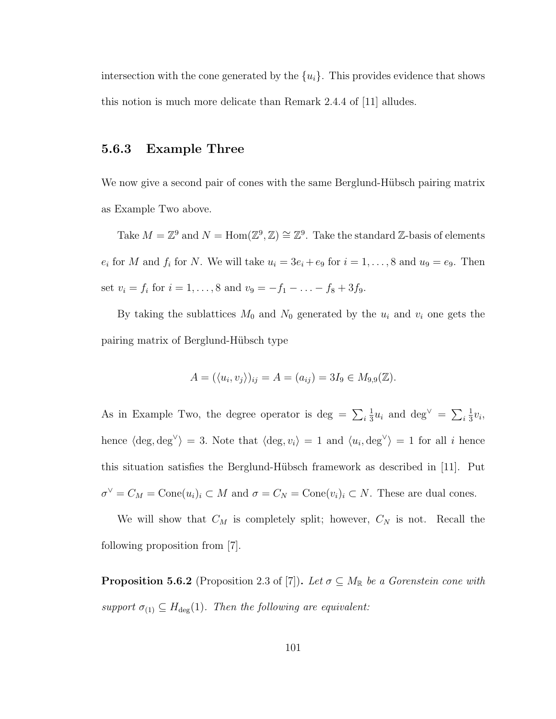intersection with the cone generated by the  $\{u_i\}$ . This provides evidence that shows this notion is much more delicate than Remark 2.4.4 of [11] alludes.

## 5.6.3 Example Three

We now give a second pair of cones with the same Berglund-Hübsch pairing matrix as Example Two above.

Take  $M = \mathbb{Z}^9$  and  $N = \text{Hom}(\mathbb{Z}^9, \mathbb{Z}) \cong \mathbb{Z}^9$ . Take the standard  $\mathbb{Z}$ -basis of elements  $e_i$  for M and  $f_i$  for N. We will take  $u_i = 3e_i + e_9$  for  $i = 1, ..., 8$  and  $u_9 = e_9$ . Then set  $v_i = f_i$  for  $i = 1, ..., 8$  and  $v_9 = -f_1 - ... - f_8 + 3f_9$ .

By taking the sublattices  $M_0$  and  $N_0$  generated by the  $u_i$  and  $v_i$  one gets the pairing matrix of Berglund-Hübsch type

$$
A = (\langle u_i, v_j \rangle)_{ij} = A = (a_{ij}) = 3I_9 \in M_{9,9}(\mathbb{Z}).
$$

As in Example Two, the degree operator is deg =  $\sum_i$ 1  $\frac{1}{3}u_i$  and  $\deg^{\vee} = \sum_i$ 1  $rac{1}{3}v_i,$ hence  $\langle \text{deg}, \text{deg} \rangle = 3$ . Note that  $\langle \text{deg}, v_i \rangle = 1$  and  $\langle u_i, \text{deg} \rangle = 1$  for all i hence this situation satisfies the Berglund-Hübsch framework as described in  $|11|$ . Put  $\sigma^{\vee} = C_M = \text{Cone}(u_i)_i \subset M$  and  $\sigma = C_N = \text{Cone}(v_i)_i \subset N$ . These are dual cones.

We will show that  $C_M$  is completely split; however,  $C_N$  is not. Recall the following proposition from [7].

**Proposition 5.6.2** (Proposition 2.3 of [7]). Let  $\sigma \subseteq M_{\mathbb{R}}$  be a Gorenstein cone with support  $\sigma_{(1)} \subseteq H_{\text{deg}}(1)$ . Then the following are equivalent: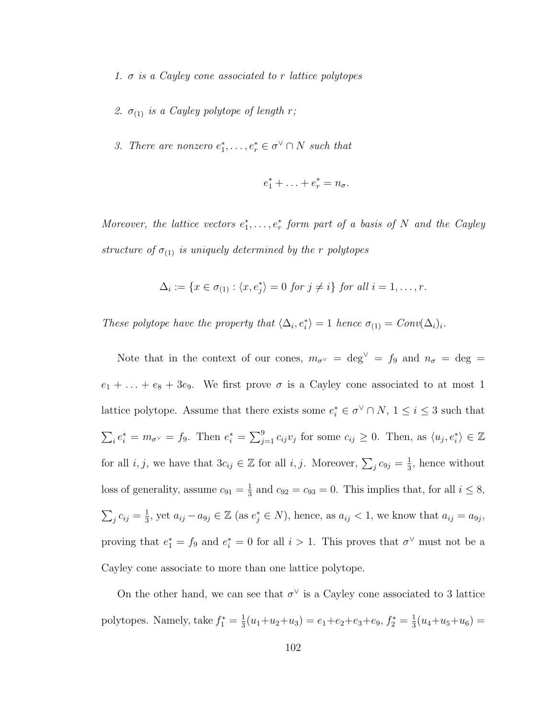- 1.  $\sigma$  is a Cayley cone associated to r lattice polytopes
- 2.  $\sigma_{(1)}$  is a Cayley polytope of length r;
- 3. There are nonzero  $e_1^*, \ldots, e_r^* \in \sigma^{\vee} \cap N$  such that

$$
e_1^* + \ldots + e_r^* = n_\sigma.
$$

Moreover, the lattice vectors  $e_1^*, \ldots, e_r^*$  form part of a basis of N and the Cayley structure of  $\sigma_{(1)}$  is uniquely determined by the r polytopes

$$
\Delta_i := \{x \in \sigma_{(1)} : \langle x, e_j^* \rangle = 0 \text{ for } j \neq i\} \text{ for all } i = 1, \ldots, r.
$$

These polytope have the property that  $\langle \Delta_i, e_i^* \rangle = 1$  hence  $\sigma_{(1)} = Conv(\Delta_i)_i$ .

Note that in the context of our cones,  $m_{\sigma}$   $\sim$  = deg<sup> $\vee$ </sup> = f<sub>9</sub> and  $n_{\sigma}$  = deg =  $e_1 + \ldots + e_8 + 3e_9$ . We first prove  $\sigma$  is a Cayley cone associated to at most 1 lattice polytope. Assume that there exists some  $e_i^* \in \sigma^{\vee} \cap N$ ,  $1 \leq i \leq 3$  such that  $\sum_i e_i^* = m_{\sigma \vee} = f_9$ . Then  $e_i^* = \sum_{j=1}^9 c_{ij} v_j$  for some  $c_{ij} \geq 0$ . Then, as  $\langle u_j, e_i^* \rangle \in \mathbb{Z}$ for all  $i, j$ , we have that  $3c_{ij} \in \mathbb{Z}$  for all  $i, j$ . Moreover,  $\sum_j c_{9j} = \frac{1}{3}$  $\frac{1}{3}$ , hence without loss of generality, assume  $c_{91} = \frac{1}{3}$  $\frac{1}{3}$  and  $c_{92} = c_{93} = 0$ . This implies that, for all  $i \leq 8$ ,  $\sum_j c_{ij} = \frac{1}{3}$  $\frac{1}{3}$ , yet  $a_{ij} - a_{9j} \in \mathbb{Z}$  (as  $e_j^* \in N$ ), hence, as  $a_{ij} < 1$ , we know that  $a_{ij} = a_{9j}$ , proving that  $e_1^* = f_9$  and  $e_i^* = 0$  for all  $i > 1$ . This proves that  $\sigma^{\vee}$  must not be a Cayley cone associate to more than one lattice polytope.

On the other hand, we can see that  $\sigma^{\vee}$  is a Cayley cone associated to 3 lattice polytopes. Namely, take  $f_1^* = \frac{1}{3}$  $\frac{1}{3}(u_1+u_2+u_3)=e_1+e_2+e_3+e_9, f_2^*=\frac{1}{3}$  $\frac{1}{3}(u_4+u_5+u_6)=$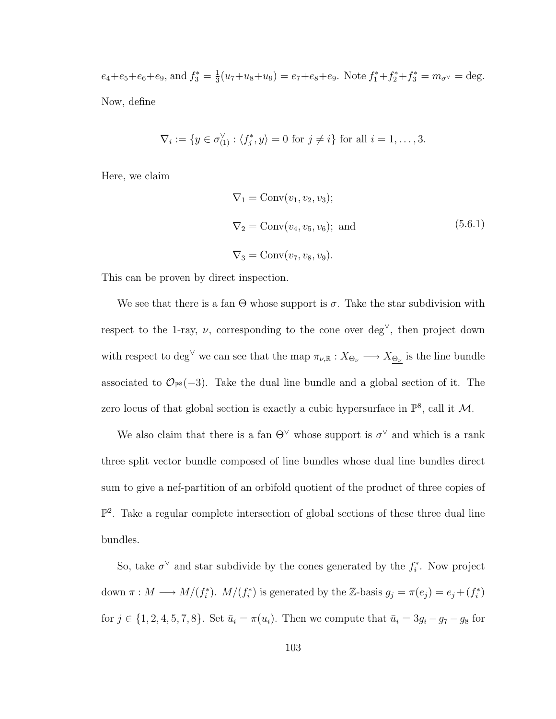$e_4 + e_5 + e_6 + e_9$ , and  $f_3^* = \frac{1}{3}$  $\frac{1}{3}(u_7+u_8+u_9) = e_7+e_8+e_9$ . Note  $f_1^*+f_2^*+f_3^* = m_{\sigma}$   $\sim$   $=$  deg. Now, define

$$
\nabla_i := \{ y \in \sigma_{(1)}^{\vee} : \langle f_j^*, y \rangle = 0 \text{ for } j \neq i \} \text{ for all } i = 1, \dots, 3.
$$

Here, we claim

$$
\nabla_1 = \text{Conv}(v_1, v_2, v_3);
$$
  
\n
$$
\nabla_2 = \text{Conv}(v_4, v_5, v_6); \text{ and}
$$
  
\n
$$
\nabla_3 = \text{Conv}(v_7, v_8, v_9).
$$
\n(5.6.1)

This can be proven by direct inspection.

We see that there is a fan  $\Theta$  whose support is  $\sigma$ . Take the star subdivision with respect to the 1-ray,  $\nu$ , corresponding to the cone over deg<sup> $\vee$ </sup>, then project down with respect to deg<sup> $\vee$ </sup> we can see that the map  $\pi_{\nu,\mathbb{R}} : X_{\Theta_{\nu}} \longrightarrow X_{\Theta_{\nu}}$  is the line bundle associated to  $\mathcal{O}_{\mathbb{P}^8}(-3)$ . Take the dual line bundle and a global section of it. The zero locus of that global section is exactly a cubic hypersurface in  $\mathbb{P}^8$ , call it M.

We also claim that there is a fan  $\Theta^{\vee}$  whose support is  $\sigma^{\vee}$  and which is a rank three split vector bundle composed of line bundles whose dual line bundles direct sum to give a nef-partition of an orbifold quotient of the product of three copies of  $\mathbb{P}^2$ . Take a regular complete intersection of global sections of these three dual line bundles.

So, take  $\sigma^{\vee}$  and star subdivide by the cones generated by the  $f_i^*$ . Now project down  $\pi : M \longrightarrow M/(f_i^*)$ .  $M/(f_i^*)$  is generated by the Z-basis  $g_j = \pi(e_j) = e_j + (f_i^*)$ for  $j \in \{1, 2, 4, 5, 7, 8\}$ . Set  $\bar{u}_i = \pi(u_i)$ . Then we compute that  $\bar{u}_i = 3g_i - g_7 - g_8$  for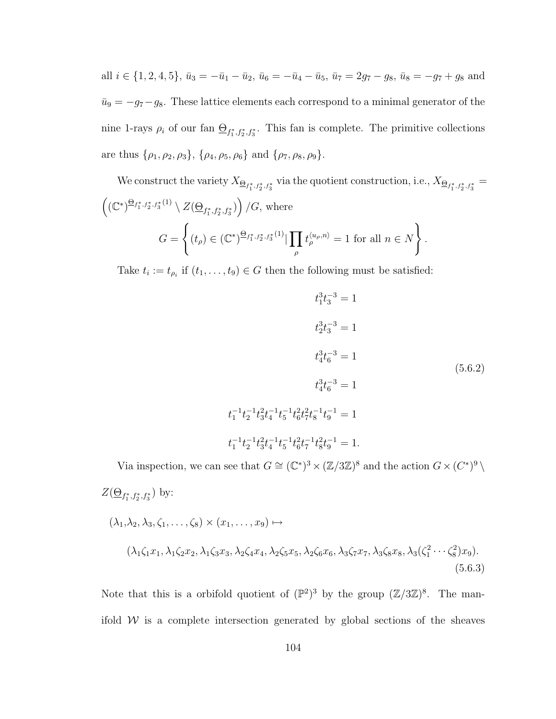all  $i \in \{1, 2, 4, 5\}$ ,  $\bar{u}_3 = -\bar{u}_1 - \bar{u}_2$ ,  $\bar{u}_6 = -\bar{u}_4 - \bar{u}_5$ ,  $\bar{u}_7 = 2g_7 - g_8$ ,  $\bar{u}_8 = -g_7 + g_8$  and  $\bar{u}_9 = -g_7-g_8$ . These lattice elements each correspond to a minimal generator of the nine 1-rays  $\rho_i$  of our fan  $\underline{\Theta}_{f_1^*, f_2^*, f_3^*}$ . This fan is complete. The primitive collections are thus  $\{\rho_1, \rho_2, \rho_3\}, \{\rho_4, \rho_5, \rho_6\}$  and  $\{\rho_7, \rho_8, \rho_9\}.$ 

We construct the variety  $X_{\Theta_{f_1^*,f_2^*,f_3^*}}$  via the quotient construction, i.e.,  $X_{\Theta_{f_1^*,f_2^*,f_3^*}} =$  $((\mathbb{C}^*)^{\underline{\Theta}_{f_1^*,f_2^*,f_3^*}(1)} \setminus Z(\underline{\Theta}_{f_1^*,f_2^*,f_3^*})$  /G, where  $G =$  $\int$  $(t_\rho) \in (\mathbb{C}^*)^{\bigoplus_{f_1^*, f_2^*, f_3^*}(1)} \big| \prod$ ρ  $t_{\rho}^{\langle u_{\rho},n\rangle}=1$  for all  $n\in\mathbb{N}$ ) .

Take  $t_i := t_{\rho_i}$  if  $(t_1, \ldots, t_9) \in G$  then the following must be satisfied:

$$
t_1^3 t_3^{-3} = 1
$$
  
\n
$$
t_2^3 t_3^{-3} = 1
$$
  
\n
$$
t_3^3 t_6^{-3} = 1
$$
  
\n
$$
t_4^3 t_6^{-3} = 1
$$
  
\n
$$
t_1^{-1} t_2^{-1} t_3^2 t_4^{-1} t_5^{-1} t_6^2 t_7^{-1} t_8^{-1} t_9^{-1} = 1
$$
  
\n
$$
t_1^{-1} t_2^{-1} t_3^2 t_4^{-1} t_5^{-1} t_6^2 t_7^{-1} t_8^2 t_9^{-1} = 1.
$$
  
\n(5.6.2)

(5.6.3)

Via inspection, we can see that  $G \cong (\mathbb{C}^*)^3 \times (\mathbb{Z}/3\mathbb{Z})^8$  and the action  $G \times (C^*)^9$  $Z(\underline{\Theta}_{f_1^*, f_2^*, f_3^*})$  by:  $(\lambda_1, \lambda_2, \lambda_3, \zeta_1, \ldots, \zeta_8) \times (x_1, \ldots, x_9) \mapsto$  $(\lambda_1\zeta_1x_1, \lambda_1\zeta_2x_2, \lambda_1\zeta_3x_3, \lambda_2\zeta_4x_4, \lambda_2\zeta_5x_5, \lambda_2\zeta_6x_6, \lambda_3\zeta_7x_7, \lambda_3\zeta_8x_8, \lambda_3(\zeta_1^2\cdots\zeta_8^2)x_9).$ 

Note that this is a orbifold quotient of  $(\mathbb{P}^2)^3$  by the group  $(\mathbb{Z}/3\mathbb{Z})^8$ . The manifold  $W$  is a complete intersection generated by global sections of the sheaves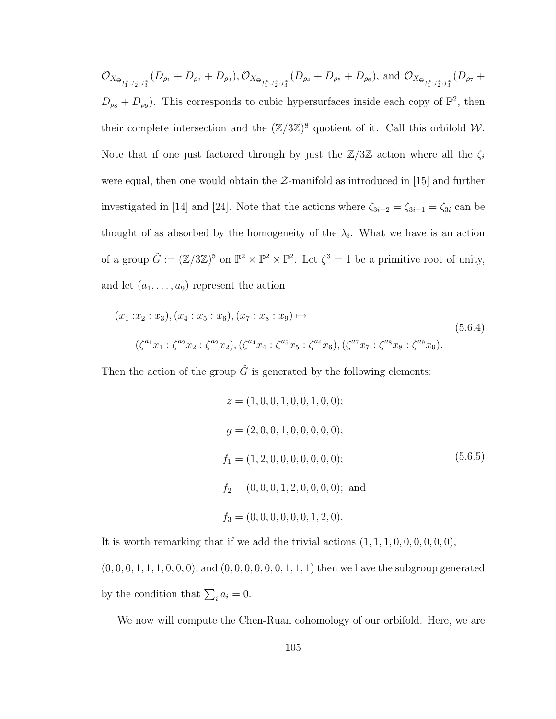$\mathcal{O}_{X_{\underline{\Theta}_{f_1^*,f_2^*,f_3^*}}}(D_{\rho_1}+D_{\rho_2}+D_{\rho_3}),\mathcal{O}_{X_{\underline{\Theta}_{f_1^*,f_2^*,f_3^*}}}(D_{\rho_4}+D_{\rho_5}+D_{\rho_6}),$  and  $\mathcal{O}_{X_{\underline{\Theta}_{f_1^*,f_2^*,f_3^*}}}(D_{\rho_7}+D_{\rho_8}+D_{\rho_9})$  $D_{\rho_8} + D_{\rho_9}$ ). This corresponds to cubic hypersurfaces inside each copy of  $\mathbb{P}^2$ , then their complete intersection and the  $(\mathbb{Z}/3\mathbb{Z})^8$  quotient of it. Call this orbifold W. Note that if one just factored through by just the  $\mathbb{Z}/3\mathbb{Z}$  action where all the  $\zeta_i$ were equal, then one would obtain the  $\mathcal{Z}$ -manifold as introduced in [15] and further investigated in [14] and [24]. Note that the actions where  $\zeta_{3i-2} = \zeta_{3i-1} = \zeta_{3i}$  can be thought of as absorbed by the homogeneity of the  $\lambda_i$ . What we have is an action of a group  $\tilde{G} := (\mathbb{Z}/3\mathbb{Z})^5$  on  $\mathbb{P}^2 \times \mathbb{P}^2 \times \mathbb{P}^2$ . Let  $\zeta^3 = 1$  be a primitive root of unity, and let  $(a_1, \ldots, a_9)$  represent the action

$$
(x_1:x_2:x_3), (x_4:x_5:x_6), (x_7:x_8:x_9) \mapsto
$$
  

$$
(\zeta^{a_1}x_1:\zeta^{a_2}x_2:\zeta^{a_2}x_2), (\zeta^{a_4}x_4:\zeta^{a_5}x_5:\zeta^{a_6}x_6), (\zeta^{a_7}x_7:\zeta^{a_8}x_8:\zeta^{a_9}x_9).
$$
 (5.6.4)

Then the action of the group  $\tilde{G}$  is generated by the following elements:

$$
z = (1, 0, 0, 1, 0, 0, 1, 0, 0);
$$
  
\n
$$
g = (2, 0, 0, 1, 0, 0, 0, 0, 0);
$$
  
\n
$$
f_1 = (1, 2, 0, 0, 0, 0, 0, 0, 0);
$$
  
\n
$$
f_2 = (0, 0, 0, 1, 2, 0, 0, 0, 0);
$$
 and  
\n
$$
f_3 = (0, 0, 0, 0, 0, 0, 1, 2, 0).
$$
 (5.6.5)

It is worth remarking that if we add the trivial actions  $(1, 1, 1, 0, 0, 0, 0, 0, 0)$ ,  $(0, 0, 0, 1, 1, 1, 0, 0, 0)$ , and  $(0, 0, 0, 0, 0, 0, 1, 1, 1)$  then we have the subgroup generated by the condition that  $\sum_i a_i = 0$ .

We now will compute the Chen-Ruan cohomology of our orbifold. Here, we are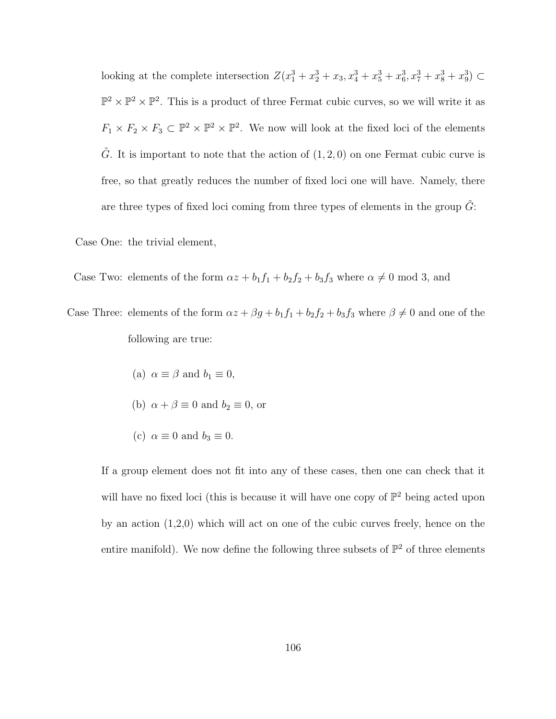looking at the complete intersection  $Z(x_1^3 + x_2^3 + x_3, x_4^3 + x_5^3 + x_6^3, x_7^3 + x_8^3 + x_9^3) \subset$  $\mathbb{P}^2 \times \mathbb{P}^2 \times \mathbb{P}^2$ . This is a product of three Fermat cubic curves, so we will write it as  $F_1 \times F_2 \times F_3 \subset \mathbb{P}^2 \times \mathbb{P}^2 \times \mathbb{P}^2$ . We now will look at the fixed loci of the elements  $\tilde{G}$ . It is important to note that the action of  $(1, 2, 0)$  on one Fermat cubic curve is free, so that greatly reduces the number of fixed loci one will have. Namely, there are three types of fixed loci coming from three types of elements in the group  $\tilde{G}$ :

Case One: the trivial element,

Case Two: elements of the form  $\alpha z + b_1 f_1 + b_2 f_2 + b_3 f_3$  where  $\alpha \neq 0 \mod 3$ , and

Case Three: elements of the form  $\alpha z + \beta g + b_1 f_1 + b_2 f_2 + b_3 f_3$  where  $\beta \neq 0$  and one of the following are true:

- (a)  $\alpha \equiv \beta$  and  $b_1 \equiv 0$ ,
- (b)  $\alpha + \beta \equiv 0$  and  $b_2 \equiv 0$ , or
- (c)  $\alpha \equiv 0$  and  $b_3 \equiv 0$ .

If a group element does not fit into any of these cases, then one can check that it will have no fixed loci (this is because it will have one copy of  $\mathbb{P}^2$  being acted upon by an action (1,2,0) which will act on one of the cubic curves freely, hence on the entire manifold). We now define the following three subsets of  $\mathbb{P}^2$  of three elements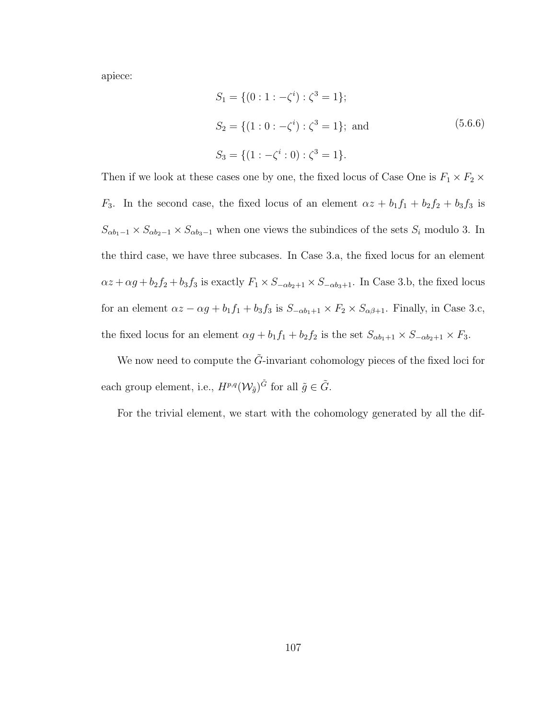apiece:

$$
S_1 = \{ (0:1:-\zeta^i) : \zeta^3 = 1 \};
$$
  
\n
$$
S_2 = \{ (1:0:-\zeta^i) : \zeta^3 = 1 \}; \text{ and } (5.6.6)
$$
  
\n
$$
S_3 = \{ (1:-\zeta^i:0) : \zeta^3 = 1 \}.
$$

Then if we look at these cases one by one, the fixed locus of Case One is  $F_1 \times F_2 \times$  $F_3$ . In the second case, the fixed locus of an element  $\alpha z + b_1 f_1 + b_2 f_2 + b_3 f_3$  is  $S_{\alpha b_1-1} \times S_{\alpha b_2-1} \times S_{\alpha b_3-1}$  when one views the subindices of the sets  $S_i$  modulo 3. In the third case, we have three subcases. In Case 3.a, the fixed locus for an element  $\alpha z + \alpha g + b_2 f_2 + b_3 f_3$  is exactly  $F_1 \times S_{-\alpha b_2+1} \times S_{-\alpha b_3+1}$ . In Case 3.b, the fixed locus for an element  $\alpha z - \alpha g + b_1 f_1 + b_3 f_3$  is  $S_{-\alpha b_1+1} \times F_2 \times S_{\alpha \beta+1}$ . Finally, in Case 3.c, the fixed locus for an element  $\alpha g + b_1 f_1 + b_2 f_2$  is the set  $S_{\alpha b_1+1} \times S_{-\alpha b_2+1} \times F_3$ .

We now need to compute the  $\tilde{G}$ -invariant cohomology pieces of the fixed loci for each group element, i.e.,  $H^{p,q}(W_{\tilde{g}})^{\tilde{G}}$  for all  $\tilde{g} \in \tilde{G}$ .

For the trivial element, we start with the cohomology generated by all the dif-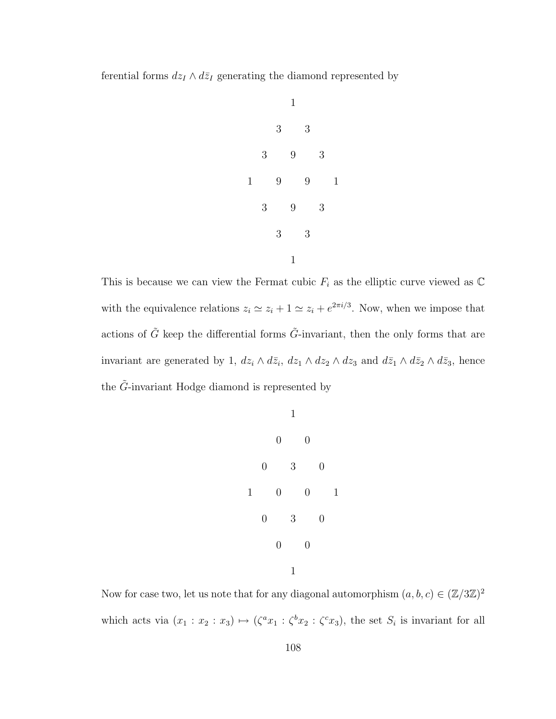ferential forms  $dz_I \wedge d\bar{z}_I$  generating the diamond represented by



This is because we can view the Fermat cubic  $F_i$  as the elliptic curve viewed as  $\mathbb C$ with the equivalence relations  $z_i \simeq z_i + 1 \simeq z_i + e^{2\pi i/3}$ . Now, when we impose that actions of  $\tilde{G}$  keep the differential forms  $\tilde{G}$ -invariant, then the only forms that are invariant are generated by 1,  $dz_i \wedge d\bar{z}_i$ ,  $dz_1 \wedge dz_2 \wedge dz_3$  and  $d\bar{z}_1 \wedge d\bar{z}_2 \wedge d\bar{z}_3$ , hence the  $\tilde{G}$ -invariant Hodge diamond is represented by

|             |                  |                | 1 |                  |                  |   |
|-------------|------------------|----------------|---|------------------|------------------|---|
|             |                  | $\overline{0}$ |   | $\boldsymbol{0}$ |                  |   |
|             | $\overline{0}$   |                | 3 |                  | $\overline{0}$   |   |
| $\mathbf 1$ |                  | $\overline{0}$ |   | $\overline{0}$   |                  | 1 |
|             | $\boldsymbol{0}$ |                | 3 |                  | $\boldsymbol{0}$ |   |
|             |                  | $\overline{0}$ |   | $\overline{0}$   |                  |   |
|             |                  |                | 1 |                  |                  |   |

Now for case two, let us note that for any diagonal automorphism  $(a, b, c) \in (\mathbb{Z}/3\mathbb{Z})^2$ which acts via  $(x_1 : x_2 : x_3) \mapsto (\zeta^a x_1 : \zeta^b x_2 : \zeta^c x_3)$ , the set  $S_i$  is invariant for all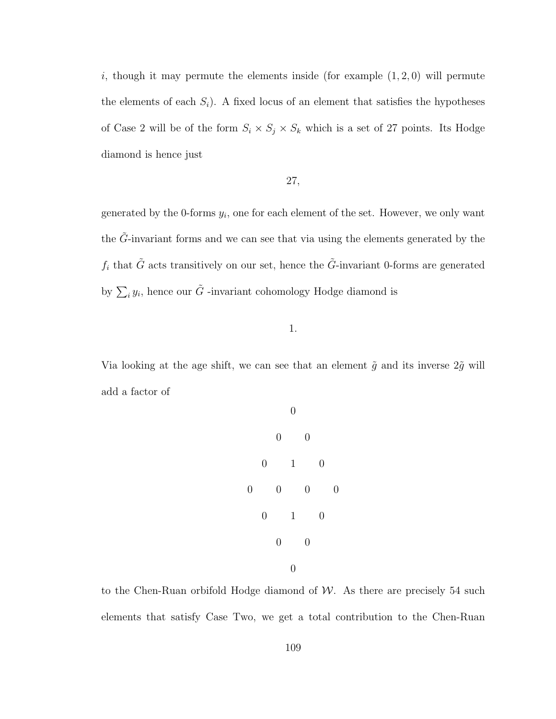i, though it may permute the elements inside (for example  $(1, 2, 0)$ ) will permute the elements of each  $S_i$ ). A fixed locus of an element that satisfies the hypotheses of Case 2 will be of the form  $S_i \times S_j \times S_k$  which is a set of 27 points. Its Hodge diamond is hence just

## 27,

generated by the 0-forms  $y_i$ , one for each element of the set. However, we only want the  $\tilde{G}\text{-invariant forms}$  and we can see that via using the elements generated by the  $f_i$  that  $\tilde{G}$  acts transitively on our set, hence the  $\tilde{G}$ -invariant 0-forms are generated by  $\sum_i y_i$ , hence our  $\tilde{G}$  -invariant cohomology Hodge diamond is

1.

Via looking at the age shift, we can see that an element  $\tilde{g}$  and its inverse  $2\tilde{g}$  will add a factor of

0 0 0 0 1 0 0 0 0 0 0 1 0 0 0 0

to the Chen-Ruan orbifold Hodge diamond of  $W$ . As there are precisely 54 such elements that satisfy Case Two, we get a total contribution to the Chen-Ruan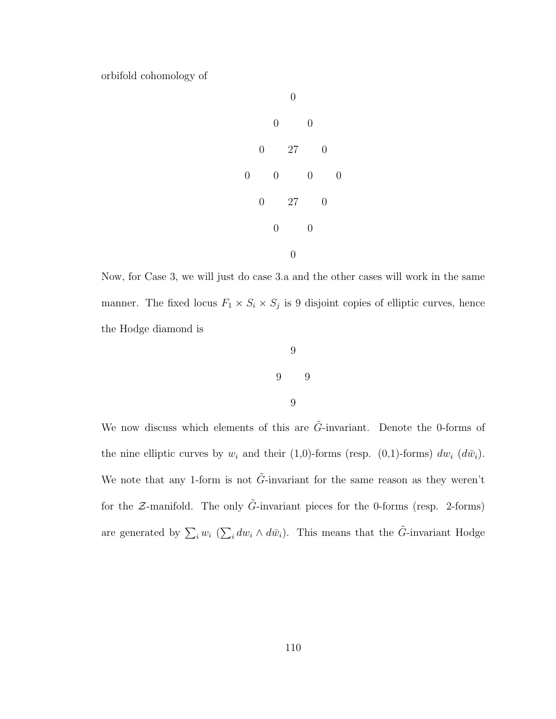orbifold cohomology of



Now, for Case 3, we will just do case 3.a and the other cases will work in the same manner. The fixed locus  $F_1 \times S_i \times S_j$  is 9 disjoint copies of elliptic curves, hence the Hodge diamond is



9

We now discuss which elements of this are  $\tilde{G}$ -invariant. Denote the 0-forms of the nine elliptic curves by  $w_i$  and their (1,0)-forms (resp. (0,1)-forms)  $dw_i$  ( $d\bar{w}_i$ ). We note that any 1-form is not  $\tilde{G}$ -invariant for the same reason as they weren't for the  $\mathcal{Z}\text{-manifold}$ . The only  $\tilde{G}\text{-invariant pieces}$  for the 0-forms (resp. 2-forms) are generated by  $\sum_i w_i \ (\sum_i dw_i \wedge d\bar{w}_i)$ . This means that the  $\tilde{G}$ -invariant Hodge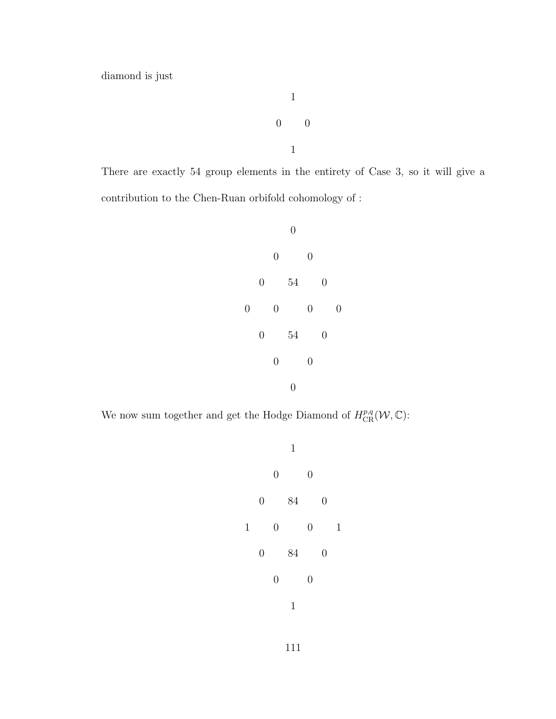diamond is just

 $\begin{matrix} 0 \end{matrix} \qquad \begin{matrix} 0 \end{matrix}$ 1

1

There are exactly 54 group elements in the entirety of Case 3, so it will give a contribution to the Chen-Ruan orbifold cohomology of :



We now sum together and get the Hodge Diamond of  $H_{\text{CR}}^{p,q}(\mathcal{W}, \mathbb{C})$ :



111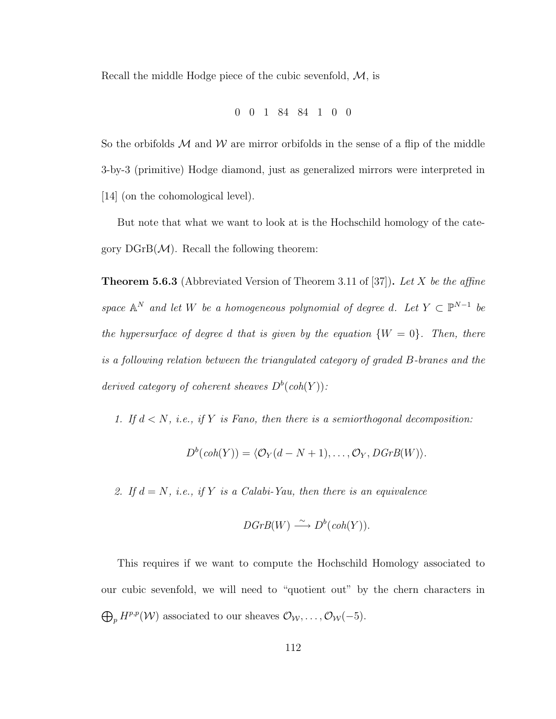Recall the middle Hodge piece of the cubic sevenfold,  $M$ , is

$$
0\quad 0\quad 1\quad 84\quad 84\quad 1\quad 0\quad 0
$$

So the orbifolds  $M$  and  $W$  are mirror orbifolds in the sense of a flip of the middle 3-by-3 (primitive) Hodge diamond, just as generalized mirrors were interpreted in [14] (on the cohomological level).

But note that what we want to look at is the Hochschild homology of the category  $\mathrm{DGrB}(\mathcal{M})$ . Recall the following theorem:

**Theorem 5.6.3** (Abbreviated Version of Theorem 3.11 of [37]). Let X be the affine space  $\mathbb{A}^N$  and let W be a homogeneous polynomial of degree d. Let  $Y \subset \mathbb{P}^{N-1}$  be the hypersurface of degree d that is given by the equation  $\{W = 0\}$ . Then, there is a following relation between the triangulated category of graded B-branes and the derived category of coherent sheaves  $D^b(\text{coh}(Y))$ :

1. If  $d < N$ , i.e., if Y is Fano, then there is a semiorthogonal decomposition:

$$
D^{b}(coh(Y)) = \langle \mathcal{O}_{Y}(d-N+1), \ldots, \mathcal{O}_{Y}, DGrB(W) \rangle.
$$

2. If  $d = N$ , i.e., if Y is a Calabi-Yau, then there is an equivalence

$$
DGrB(W) \xrightarrow{\sim} D^b(\text{coh}(Y)).
$$

This requires if we want to compute the Hochschild Homology associated to our cubic sevenfold, we will need to "quotient out" by the chern characters in  $\bigoplus_p H^{p,p}(\mathcal{W})$  associated to our sheaves  $\mathcal{O}_{\mathcal{W}}, \ldots, \mathcal{O}_{\mathcal{W}}(-5)$ .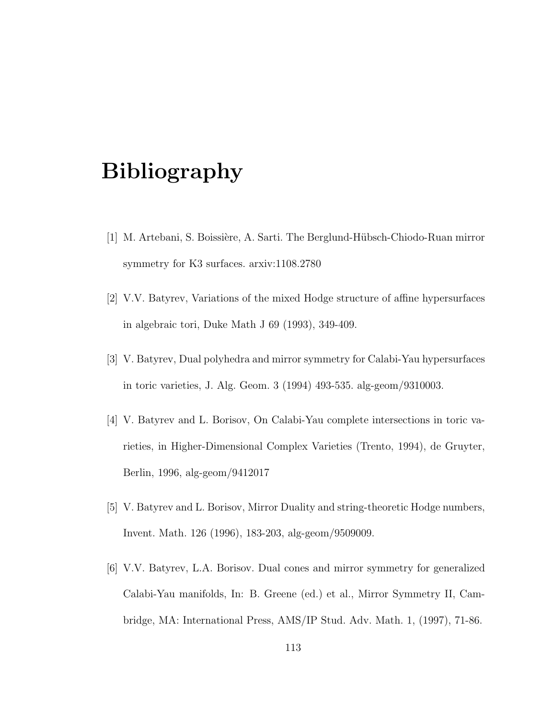## Bibliography

- [1] M. Artebani, S. Boissière, A. Sarti. The Berglund-Hübsch-Chiodo-Ruan mirror symmetry for K3 surfaces. arxiv:1108.2780
- [2] V.V. Batyrev, Variations of the mixed Hodge structure of affine hypersurfaces in algebraic tori, Duke Math J 69 (1993), 349-409.
- [3] V. Batyrev, Dual polyhedra and mirror symmetry for Calabi-Yau hypersurfaces in toric varieties, J. Alg. Geom. 3 (1994) 493-535. alg-geom/9310003.
- [4] V. Batyrev and L. Borisov, On Calabi-Yau complete intersections in toric varieties, in Higher-Dimensional Complex Varieties (Trento, 1994), de Gruyter, Berlin, 1996, alg-geom/9412017
- [5] V. Batyrev and L. Borisov, Mirror Duality and string-theoretic Hodge numbers, Invent. Math. 126 (1996), 183-203, alg-geom/9509009.
- [6] V.V. Batyrev, L.A. Borisov. Dual cones and mirror symmetry for generalized Calabi-Yau manifolds, In: B. Greene (ed.) et al., Mirror Symmetry II, Cambridge, MA: International Press, AMS/IP Stud. Adv. Math. 1, (1997), 71-86.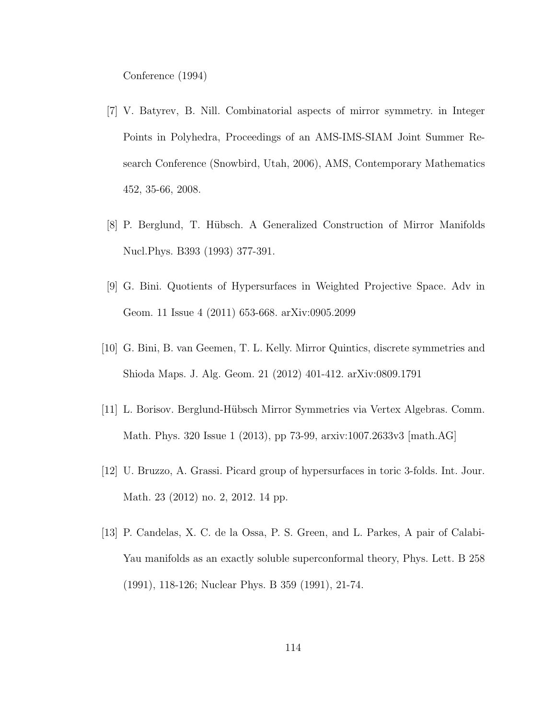Conference (1994)

- [7] V. Batyrev, B. Nill. Combinatorial aspects of mirror symmetry. in Integer Points in Polyhedra, Proceedings of an AMS-IMS-SIAM Joint Summer Research Conference (Snowbird, Utah, 2006), AMS, Contemporary Mathematics 452, 35-66, 2008.
- [8] P. Berglund, T. H¨ubsch. A Generalized Construction of Mirror Manifolds Nucl.Phys. B393 (1993) 377-391.
- [9] G. Bini. Quotients of Hypersurfaces in Weighted Projective Space. Adv in Geom. 11 Issue 4 (2011) 653-668. arXiv:0905.2099
- [10] G. Bini, B. van Geemen, T. L. Kelly. Mirror Quintics, discrete symmetries and Shioda Maps. J. Alg. Geom. 21 (2012) 401-412. arXiv:0809.1791
- [11] L. Borisov. Berglund-H¨ubsch Mirror Symmetries via Vertex Algebras. Comm. Math. Phys. 320 Issue 1 (2013), pp 73-99, arxiv:1007.2633v3 [math.AG]
- [12] U. Bruzzo, A. Grassi. Picard group of hypersurfaces in toric 3-folds. Int. Jour. Math. 23 (2012) no. 2, 2012. 14 pp.
- [13] P. Candelas, X. C. de la Ossa, P. S. Green, and L. Parkes, A pair of Calabi-Yau manifolds as an exactly soluble superconformal theory, Phys. Lett. B 258 (1991), 118-126; Nuclear Phys. B 359 (1991), 21-74.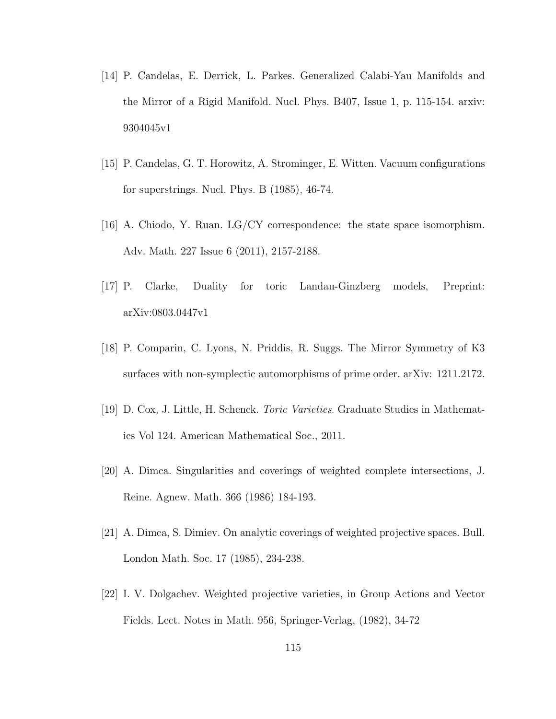- [14] P. Candelas, E. Derrick, L. Parkes. Generalized Calabi-Yau Manifolds and the Mirror of a Rigid Manifold. Nucl. Phys. B407, Issue 1, p. 115-154. arxiv: 9304045v1
- [15] P. Candelas, G. T. Horowitz, A. Strominger, E. Witten. Vacuum configurations for superstrings. Nucl. Phys. B (1985), 46-74.
- [16] A. Chiodo, Y. Ruan. LG/CY correspondence: the state space isomorphism. Adv. Math. 227 Issue 6 (2011), 2157-2188.
- [17] P. Clarke, Duality for toric Landau-Ginzberg models, Preprint: arXiv:0803.0447v1
- [18] P. Comparin, C. Lyons, N. Priddis, R. Suggs. The Mirror Symmetry of K3 surfaces with non-symplectic automorphisms of prime order. arXiv: 1211.2172.
- [19] D. Cox, J. Little, H. Schenck. Toric Varieties. Graduate Studies in Mathematics Vol 124. American Mathematical Soc., 2011.
- [20] A. Dimca. Singularities and coverings of weighted complete intersections, J. Reine. Agnew. Math. 366 (1986) 184-193.
- [21] A. Dimca, S. Dimiev. On analytic coverings of weighted projective spaces. Bull. London Math. Soc. 17 (1985), 234-238.
- [22] I. V. Dolgachev. Weighted projective varieties, in Group Actions and Vector Fields. Lect. Notes in Math. 956, Springer-Verlag, (1982), 34-72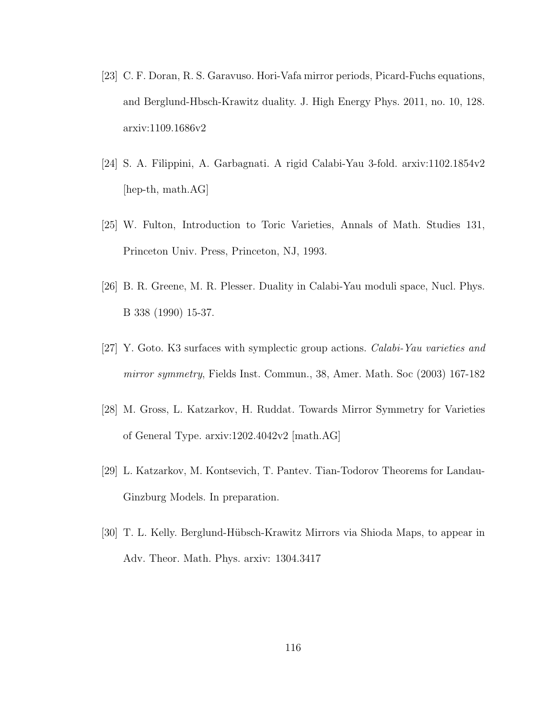- [23] C. F. Doran, R. S. Garavuso. Hori-Vafa mirror periods, Picard-Fuchs equations, and Berglund-Hbsch-Krawitz duality. J. High Energy Phys. 2011, no. 10, 128. arxiv:1109.1686v2
- [24] S. A. Filippini, A. Garbagnati. A rigid Calabi-Yau 3-fold. arxiv:1102.1854v2 [hep-th, math.AG]
- [25] W. Fulton, Introduction to Toric Varieties, Annals of Math. Studies 131, Princeton Univ. Press, Princeton, NJ, 1993.
- [26] B. R. Greene, M. R. Plesser. Duality in Calabi-Yau moduli space, Nucl. Phys. B 338 (1990) 15-37.
- [27] Y. Goto. K3 surfaces with symplectic group actions. Calabi-Yau varieties and mirror symmetry, Fields Inst. Commun., 38, Amer. Math. Soc (2003) 167-182
- [28] M. Gross, L. Katzarkov, H. Ruddat. Towards Mirror Symmetry for Varieties of General Type. arxiv:1202.4042v2 [math.AG]
- [29] L. Katzarkov, M. Kontsevich, T. Pantev. Tian-Todorov Theorems for Landau-Ginzburg Models. In preparation.
- [30] T. L. Kelly. Berglund-H¨ubsch-Krawitz Mirrors via Shioda Maps, to appear in Adv. Theor. Math. Phys. arxiv: 1304.3417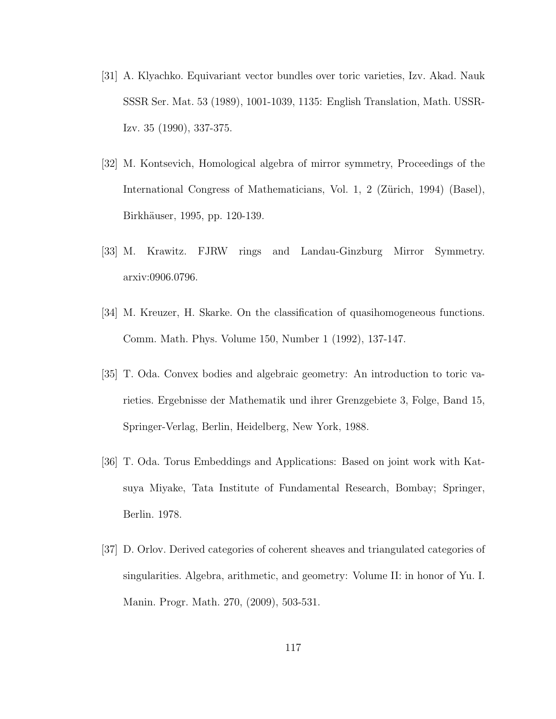- [31] A. Klyachko. Equivariant vector bundles over toric varieties, Izv. Akad. Nauk SSSR Ser. Mat. 53 (1989), 1001-1039, 1135: English Translation, Math. USSR-Izv. 35 (1990), 337-375.
- [32] M. Kontsevich, Homological algebra of mirror symmetry, Proceedings of the International Congress of Mathematicians, Vol. 1, 2 (Zürich, 1994) (Basel), Birkhäuser, 1995, pp. 120-139.
- [33] M. Krawitz. FJRW rings and Landau-Ginzburg Mirror Symmetry. arxiv:0906.0796.
- [34] M. Kreuzer, H. Skarke. On the classification of quasihomogeneous functions. Comm. Math. Phys. Volume 150, Number 1 (1992), 137-147.
- [35] T. Oda. Convex bodies and algebraic geometry: An introduction to toric varieties. Ergebnisse der Mathematik und ihrer Grenzgebiete 3, Folge, Band 15, Springer-Verlag, Berlin, Heidelberg, New York, 1988.
- [36] T. Oda. Torus Embeddings and Applications: Based on joint work with Katsuya Miyake, Tata Institute of Fundamental Research, Bombay; Springer, Berlin. 1978.
- [37] D. Orlov. Derived categories of coherent sheaves and triangulated categories of singularities. Algebra, arithmetic, and geometry: Volume II: in honor of Yu. I. Manin. Progr. Math. 270, (2009), 503-531.